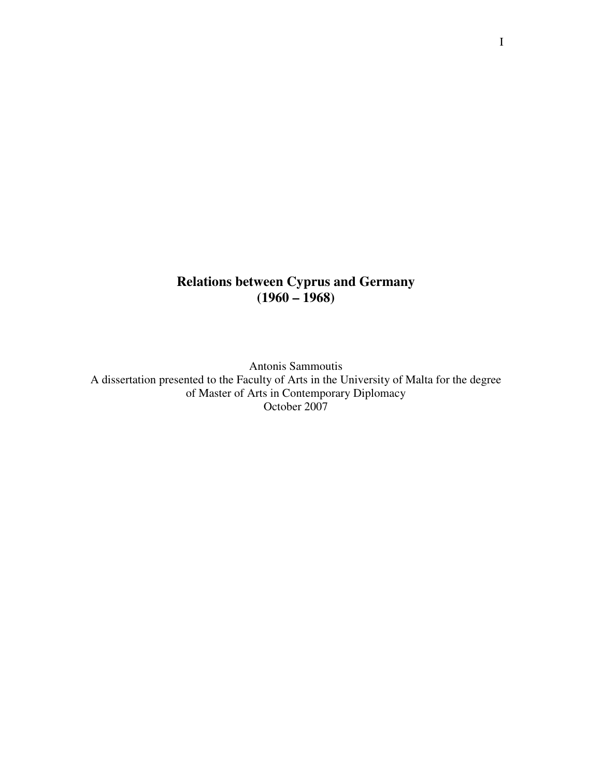# **Relations between Cyprus and Germany (1960 – 1968)**

Antonis Sammoutis A dissertation presented to the Faculty of Arts in the University of Malta for the degree of Master of Arts in Contemporary Diplomacy October 2007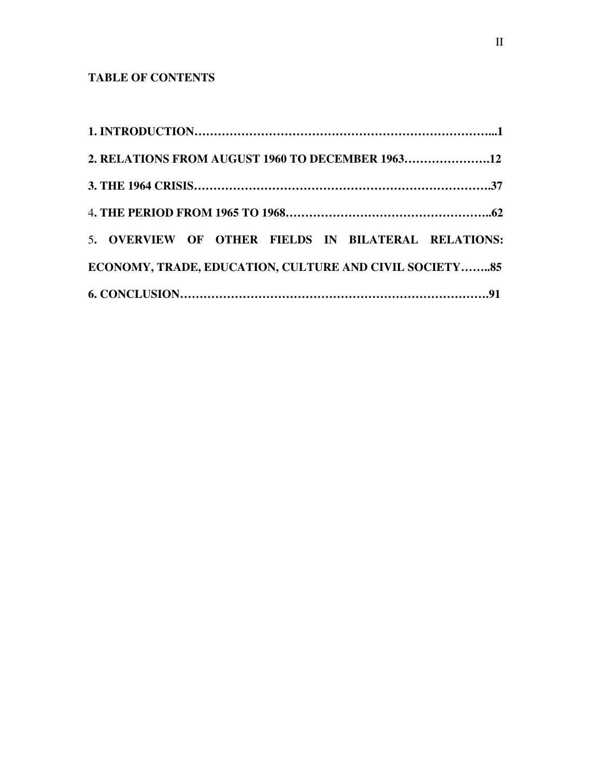# **TABLE OF CONTENTS**

| 2. RELATIONS FROM AUGUST 1960 TO DECEMBER 196312        |  |
|---------------------------------------------------------|--|
|                                                         |  |
|                                                         |  |
| 5. OVERVIEW OF OTHER FIELDS IN BILATERAL RELATIONS:     |  |
| ECONOMY, TRADE, EDUCATION, CULTURE AND CIVIL SOCIETY 85 |  |
|                                                         |  |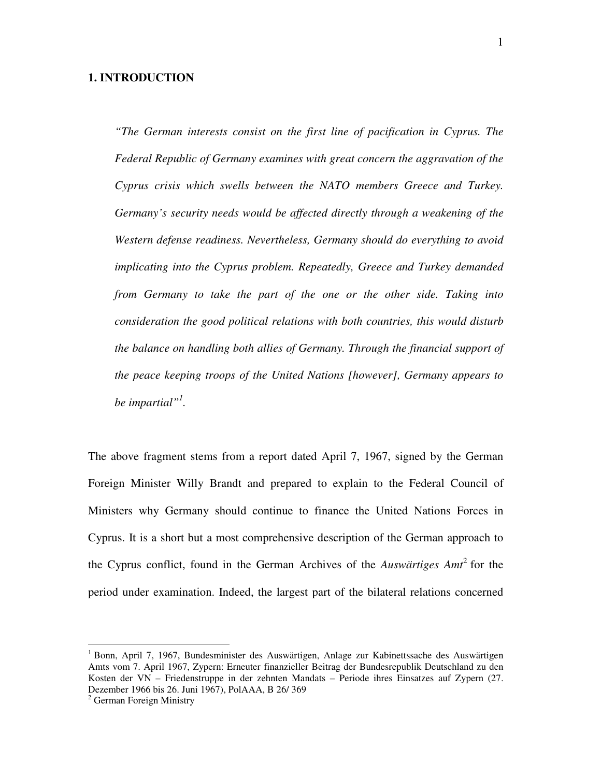## **1. INTRODUCTION**

*"The German interests consist on the first line of pacification in Cyprus. The Federal Republic of Germany examines with great concern the aggravation of the Cyprus crisis which swells between the NATO members Greece and Turkey. Germany's security needs would be affected directly through a weakening of the Western defense readiness. Nevertheless, Germany should do everything to avoid implicating into the Cyprus problem. Repeatedly, Greece and Turkey demanded from Germany to take the part of the one or the other side. Taking into consideration the good political relations with both countries, this would disturb the balance on handling both allies of Germany. Through the financial support of the peace keeping troops of the United Nations [however], Germany appears to be impartial"<sup>1</sup> .* 

The above fragment stems from a report dated April 7, 1967, signed by the German Foreign Minister Willy Brandt and prepared to explain to the Federal Council of Ministers why Germany should continue to finance the United Nations Forces in Cyprus. It is a short but a most comprehensive description of the German approach to the Cyprus conflict, found in the German Archives of the *Auswärtiges Amt*<sup>2</sup> for the period under examination. Indeed, the largest part of the bilateral relations concerned

<sup>&</sup>lt;sup>1</sup> Bonn, April 7, 1967, Bundesminister des Auswärtigen, Anlage zur Kabinettssache des Auswärtigen Amts vom 7. April 1967, Zypern: Erneuter finanzieller Beitrag der Bundesrepublik Deutschland zu den Kosten der VN – Friedenstruppe in der zehnten Mandats – Periode ihres Einsatzes auf Zypern (27. Dezember 1966 bis 26. Juni 1967), PolAAA, B 26/ 369

<sup>&</sup>lt;sup>2</sup> German Foreign Ministry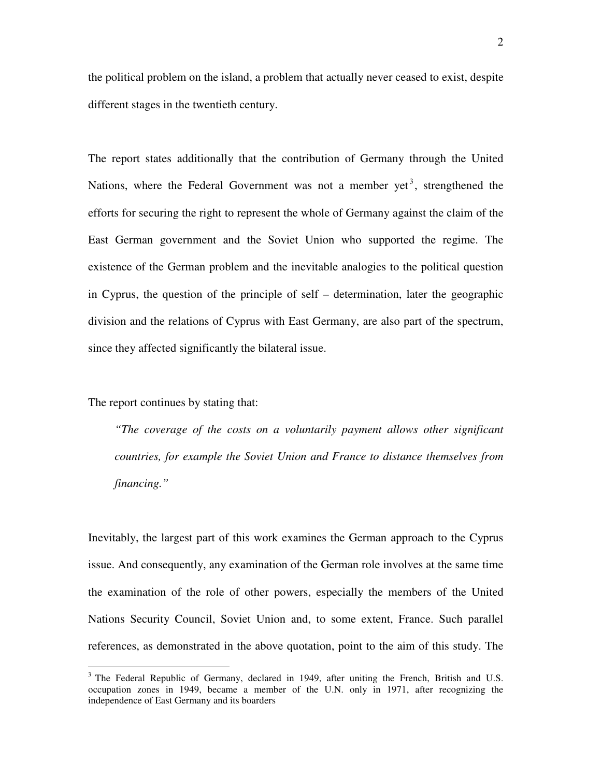the political problem on the island, a problem that actually never ceased to exist, despite different stages in the twentieth century.

The report states additionally that the contribution of Germany through the United Nations, where the Federal Government was not a member yet<sup>3</sup>, strengthened the efforts for securing the right to represent the whole of Germany against the claim of the East German government and the Soviet Union who supported the regime. The existence of the German problem and the inevitable analogies to the political question in Cyprus, the question of the principle of self – determination, later the geographic division and the relations of Cyprus with East Germany, are also part of the spectrum, since they affected significantly the bilateral issue.

The report continues by stating that:

 $\overline{a}$ 

*"The coverage of the costs on a voluntarily payment allows other significant countries, for example the Soviet Union and France to distance themselves from financing."* 

Inevitably, the largest part of this work examines the German approach to the Cyprus issue. And consequently, any examination of the German role involves at the same time the examination of the role of other powers, especially the members of the United Nations Security Council, Soviet Union and, to some extent, France. Such parallel references, as demonstrated in the above quotation, point to the aim of this study. The

<sup>&</sup>lt;sup>3</sup> The Federal Republic of Germany, declared in 1949, after uniting the French, British and U.S. occupation zones in 1949, became a member of the U.N. only in 1971, after recognizing the independence of East Germany and its boarders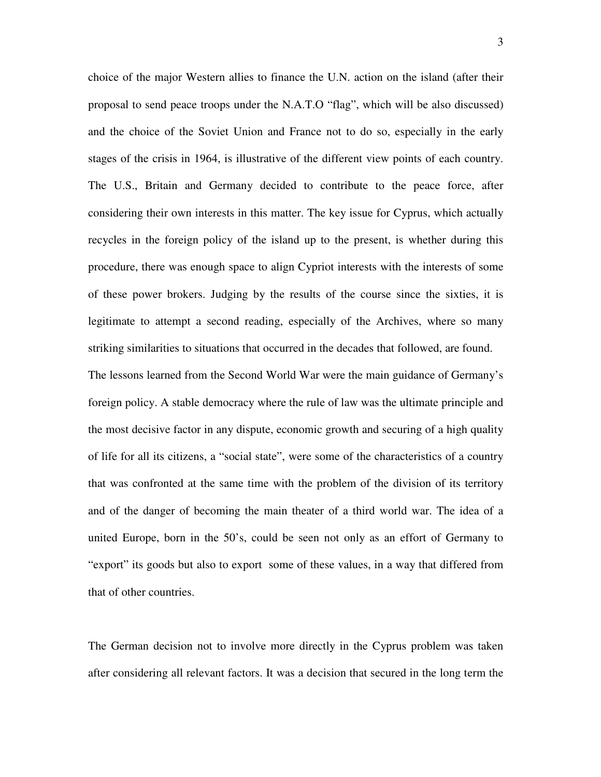choice of the major Western allies to finance the U.N. action on the island (after their proposal to send peace troops under the N.A.T.O "flag", which will be also discussed) and the choice of the Soviet Union and France not to do so, especially in the early stages of the crisis in 1964, is illustrative of the different view points of each country. The U.S., Britain and Germany decided to contribute to the peace force, after considering their own interests in this matter. The key issue for Cyprus, which actually recycles in the foreign policy of the island up to the present, is whether during this procedure, there was enough space to align Cypriot interests with the interests of some of these power brokers. Judging by the results of the course since the sixties, it is legitimate to attempt a second reading, especially of the Archives, where so many striking similarities to situations that occurred in the decades that followed, are found. The lessons learned from the Second World War were the main guidance of Germany's

foreign policy. A stable democracy where the rule of law was the ultimate principle and the most decisive factor in any dispute, economic growth and securing of a high quality of life for all its citizens, a "social state", were some of the characteristics of a country that was confronted at the same time with the problem of the division of its territory and of the danger of becoming the main theater of a third world war. The idea of a united Europe, born in the 50's, could be seen not only as an effort of Germany to "export" its goods but also to export some of these values, in a way that differed from that of other countries.

The German decision not to involve more directly in the Cyprus problem was taken after considering all relevant factors. It was a decision that secured in the long term the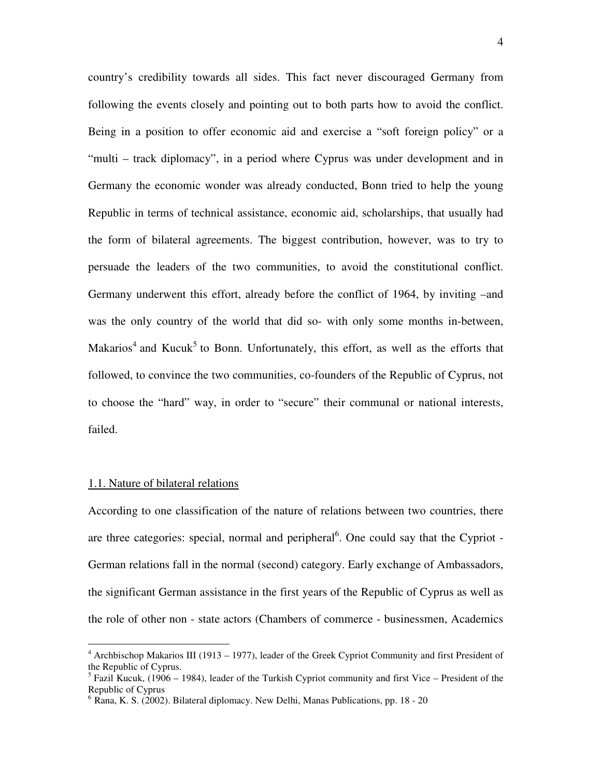country's credibility towards all sides. This fact never discouraged Germany from following the events closely and pointing out to both parts how to avoid the conflict. Being in a position to offer economic aid and exercise a "soft foreign policy" or a "multi – track diplomacy", in a period where Cyprus was under development and in Germany the economic wonder was already conducted, Bonn tried to help the young Republic in terms of technical assistance, economic aid, scholarships, that usually had the form of bilateral agreements. The biggest contribution, however, was to try to persuade the leaders of the two communities, to avoid the constitutional conflict. Germany underwent this effort, already before the conflict of 1964, by inviting –and was the only country of the world that did so- with only some months in-between, Makarios<sup>4</sup> and Kucuk<sup>5</sup> to Bonn. Unfortunately, this effort, as well as the efforts that followed, to convince the two communities, co-founders of the Republic of Cyprus, not to choose the "hard" way, in order to "secure" their communal or national interests, failed.

#### 1.1. Nature of bilateral relations

According to one classification of the nature of relations between two countries, there are three categories: special, normal and peripheral<sup>6</sup>. One could say that the Cypriot -German relations fall in the normal (second) category. Early exchange of Ambassadors, the significant German assistance in the first years of the Republic of Cyprus as well as the role of other non - state actors (Chambers of commerce - businessmen, Academics

 4 Archbischop Makarios III (1913 – 1977), leader of the Greek Cypriot Community and first President of the Republic of Cyprus.

<sup>&</sup>lt;sup>5</sup> Fazil Kucuk, (1906 – 1984), leader of the Turkish Cypriot community and first Vice – President of the Republic of Cyprus

 $6$  Rana, K. S. (2002). Bilateral diplomacy. New Delhi, Manas Publications, pp. 18 - 20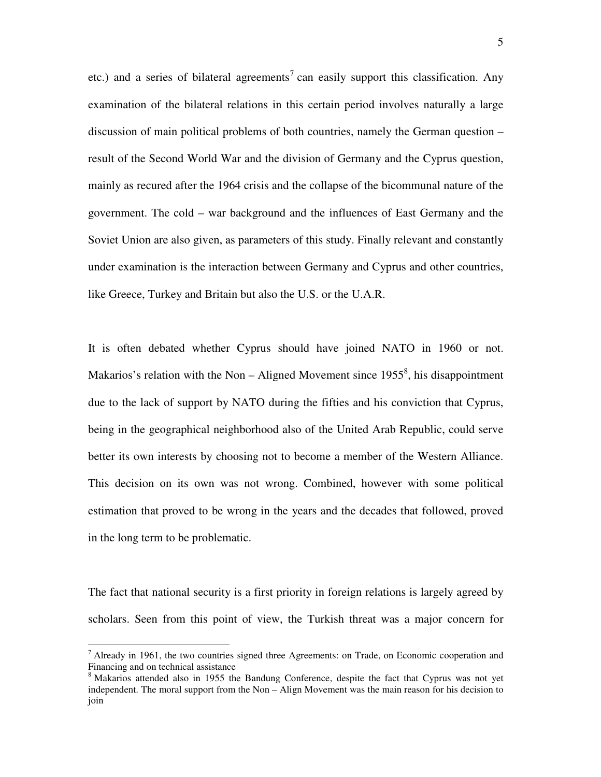etc.) and a series of bilateral agreements<sup>7</sup> can easily support this classification. Any examination of the bilateral relations in this certain period involves naturally a large discussion of main political problems of both countries, namely the German question – result of the Second World War and the division of Germany and the Cyprus question, mainly as recured after the 1964 crisis and the collapse of the bicommunal nature of the government. The cold – war background and the influences of East Germany and the Soviet Union are also given, as parameters of this study. Finally relevant and constantly under examination is the interaction between Germany and Cyprus and other countries, like Greece, Turkey and Britain but also the U.S. or the U.A.R.

It is often debated whether Cyprus should have joined NATO in 1960 or not. Makarios's relation with the Non  $-$  Aligned Movement since 1955<sup>8</sup>, his disappointment due to the lack of support by NATO during the fifties and his conviction that Cyprus, being in the geographical neighborhood also of the United Arab Republic, could serve better its own interests by choosing not to become a member of the Western Alliance. This decision on its own was not wrong. Combined, however with some political estimation that proved to be wrong in the years and the decades that followed, proved in the long term to be problematic.

The fact that national security is a first priority in foreign relations is largely agreed by scholars. Seen from this point of view, the Turkish threat was a major concern for

<sup>&</sup>lt;sup>7</sup> Already in 1961, the two countries signed three Agreements: on Trade, on Economic cooperation and <sup>7</sup> Financing and on technical assistance

<sup>&</sup>lt;sup>8</sup> Makarios attended also in 1955 the Bandung Conference, despite the fact that Cyprus was not yet independent. The moral support from the Non – Align Movement was the main reason for his decision to join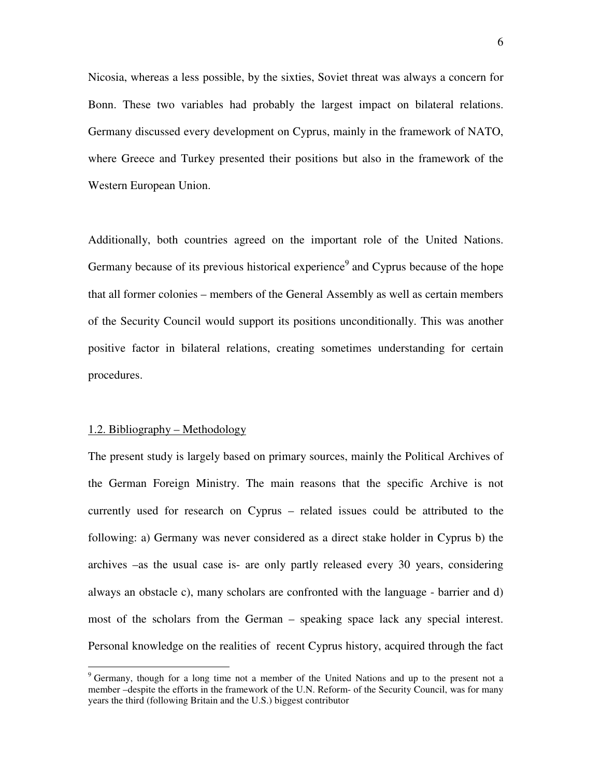Nicosia, whereas a less possible, by the sixties, Soviet threat was always a concern for Bonn. These two variables had probably the largest impact on bilateral relations. Germany discussed every development on Cyprus, mainly in the framework of NATO, where Greece and Turkey presented their positions but also in the framework of the Western European Union.

Additionally, both countries agreed on the important role of the United Nations. Germany because of its previous historical experience<sup>9</sup> and Cyprus because of the hope that all former colonies – members of the General Assembly as well as certain members of the Security Council would support its positions unconditionally. This was another positive factor in bilateral relations, creating sometimes understanding for certain procedures.

#### 1.2. Bibliography – Methodology

 $\overline{a}$ 

The present study is largely based on primary sources, mainly the Political Archives of the German Foreign Ministry. The main reasons that the specific Archive is not currently used for research on Cyprus – related issues could be attributed to the following: a) Germany was never considered as a direct stake holder in Cyprus b) the archives –as the usual case is- are only partly released every 30 years, considering always an obstacle c), many scholars are confronted with the language - barrier and d) most of the scholars from the German – speaking space lack any special interest. Personal knowledge on the realities of recent Cyprus history, acquired through the fact

<sup>&</sup>lt;sup>9</sup> Germany, though for a long time not a member of the United Nations and up to the present not a member –despite the efforts in the framework of the U.N. Reform- of the Security Council, was for many years the third (following Britain and the U.S.) biggest contributor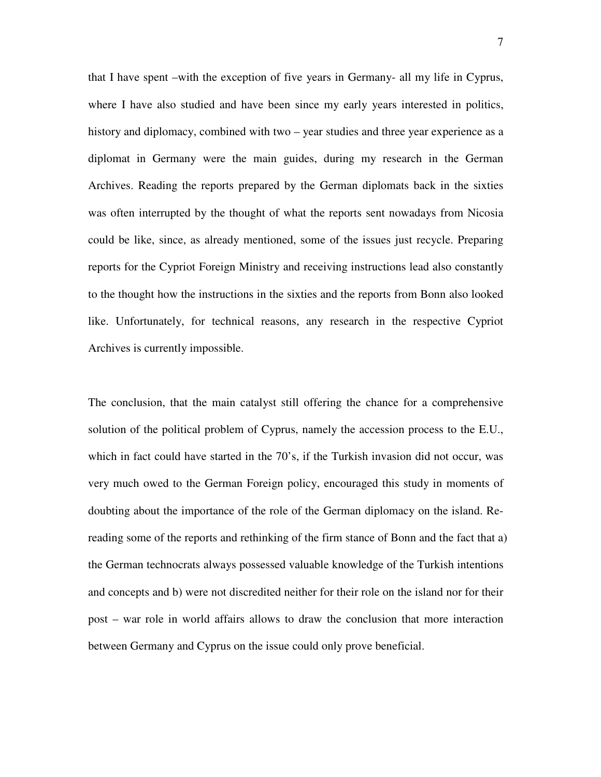that I have spent –with the exception of five years in Germany- all my life in Cyprus, where I have also studied and have been since my early years interested in politics, history and diplomacy, combined with two – year studies and three year experience as a diplomat in Germany were the main guides, during my research in the German Archives. Reading the reports prepared by the German diplomats back in the sixties was often interrupted by the thought of what the reports sent nowadays from Nicosia could be like, since, as already mentioned, some of the issues just recycle. Preparing reports for the Cypriot Foreign Ministry and receiving instructions lead also constantly to the thought how the instructions in the sixties and the reports from Bonn also looked like. Unfortunately, for technical reasons, any research in the respective Cypriot Archives is currently impossible.

The conclusion, that the main catalyst still offering the chance for a comprehensive solution of the political problem of Cyprus, namely the accession process to the E.U., which in fact could have started in the 70's, if the Turkish invasion did not occur, was very much owed to the German Foreign policy, encouraged this study in moments of doubting about the importance of the role of the German diplomacy on the island. Rereading some of the reports and rethinking of the firm stance of Bonn and the fact that a) the German technocrats always possessed valuable knowledge of the Turkish intentions and concepts and b) were not discredited neither for their role on the island nor for their post – war role in world affairs allows to draw the conclusion that more interaction between Germany and Cyprus on the issue could only prove beneficial.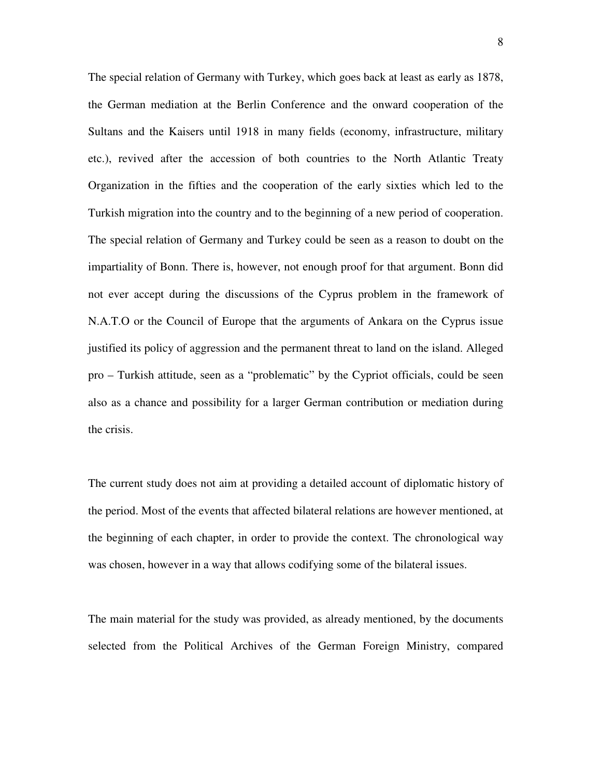The special relation of Germany with Turkey, which goes back at least as early as 1878, the German mediation at the Berlin Conference and the onward cooperation of the Sultans and the Kaisers until 1918 in many fields (economy, infrastructure, military etc.), revived after the accession of both countries to the North Atlantic Treaty Organization in the fifties and the cooperation of the early sixties which led to the Turkish migration into the country and to the beginning of a new period of cooperation. The special relation of Germany and Turkey could be seen as a reason to doubt on the impartiality of Bonn. There is, however, not enough proof for that argument. Bonn did not ever accept during the discussions of the Cyprus problem in the framework of N.A.T.O or the Council of Europe that the arguments of Ankara on the Cyprus issue justified its policy of aggression and the permanent threat to land on the island. Alleged pro – Turkish attitude, seen as a "problematic" by the Cypriot officials, could be seen also as a chance and possibility for a larger German contribution or mediation during the crisis.

The current study does not aim at providing a detailed account of diplomatic history of the period. Most of the events that affected bilateral relations are however mentioned, at the beginning of each chapter, in order to provide the context. The chronological way was chosen, however in a way that allows codifying some of the bilateral issues.

The main material for the study was provided, as already mentioned, by the documents selected from the Political Archives of the German Foreign Ministry, compared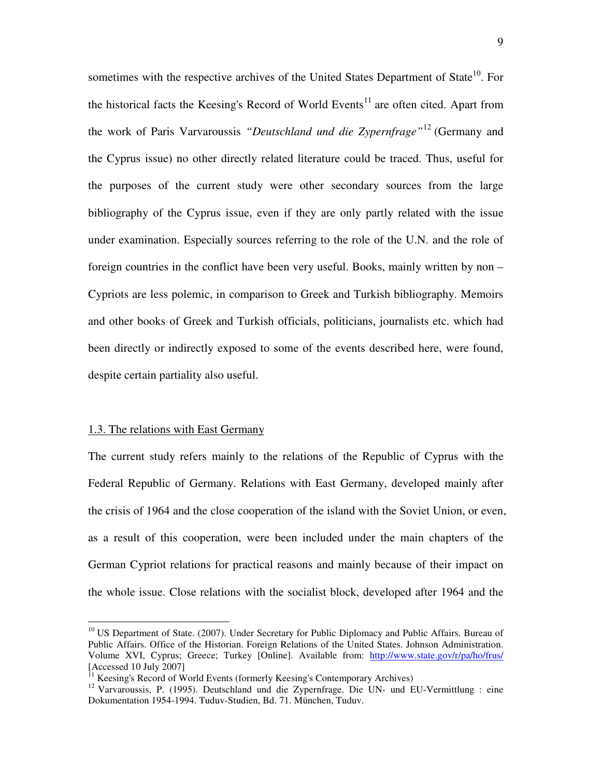sometimes with the respective archives of the United States Department of State<sup>10</sup>. For the historical facts the Keesing's Record of World Events<sup>11</sup> are often cited. Apart from the work of Paris Varvaroussis *"Deutschland und die Zypernfrage"*<sup>12</sup> (Germany and the Cyprus issue) no other directly related literature could be traced. Thus, useful for the purposes of the current study were other secondary sources from the large bibliography of the Cyprus issue, even if they are only partly related with the issue under examination. Especially sources referring to the role of the U.N. and the role of foreign countries in the conflict have been very useful. Books, mainly written by non – Cypriots are less polemic, in comparison to Greek and Turkish bibliography. Memoirs and other books of Greek and Turkish officials, politicians, journalists etc. which had been directly or indirectly exposed to some of the events described here, were found, despite certain partiality also useful.

#### 1.3. The relations with East Germany

 $\overline{a}$ 

The current study refers mainly to the relations of the Republic of Cyprus with the Federal Republic of Germany. Relations with East Germany, developed mainly after the crisis of 1964 and the close cooperation of the island with the Soviet Union, or even, as a result of this cooperation, were been included under the main chapters of the German Cypriot relations for practical reasons and mainly because of their impact on the whole issue. Close relations with the socialist block, developed after 1964 and the

<sup>&</sup>lt;sup>10</sup> US Department of State. (2007). Under Secretary for Public Diplomacy and Public Affairs. Bureau of Public Affairs. Office of the Historian. Foreign Relations of the United States. Johnson Administration. Volume XVI, Cyprus; Greece; Turkey [Online]. Available from: http://www.state.gov/r/pa/ho/frus/ [Accessed 10 July 2007]

<sup>&</sup>lt;sup>11</sup> Keesing's Record of World Events (formerly Keesing's Contemporary Archives)

<sup>&</sup>lt;sup>12</sup> Varvaroussis, P. (1995). Deutschland und die Zypernfrage. Die UN- und EU-Vermittlung : eine Dokumentation 1954-1994. Tuduv-Studien, Bd. 71. München, Tuduv.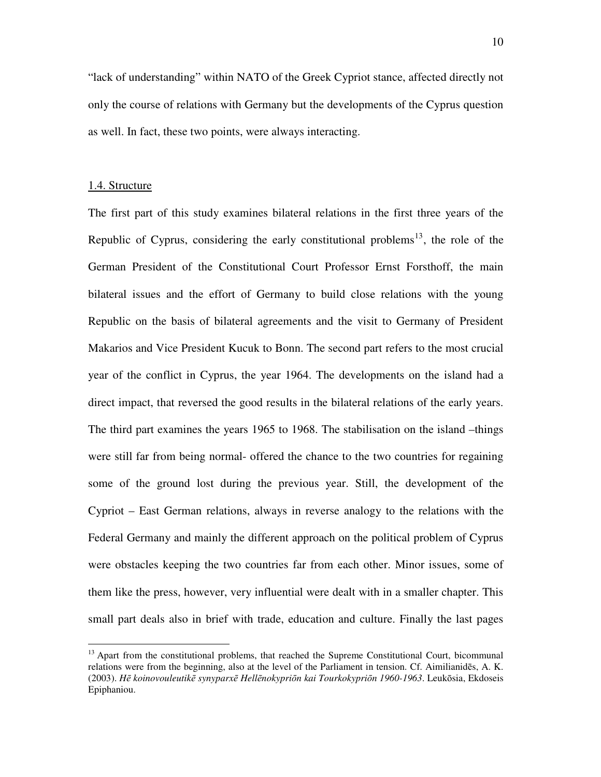"lack of understanding" within NATO of the Greek Cypriot stance, affected directly not only the course of relations with Germany but the developments of the Cyprus question as well. In fact, these two points, were always interacting.

#### 1.4. Structure

 $\overline{a}$ 

The first part of this study examines bilateral relations in the first three years of the Republic of Cyprus, considering the early constitutional problems<sup>13</sup>, the role of the German President of the Constitutional Court Professor Ernst Forsthoff, the main bilateral issues and the effort of Germany to build close relations with the young Republic on the basis of bilateral agreements and the visit to Germany of President Makarios and Vice President Kucuk to Bonn. The second part refers to the most crucial year of the conflict in Cyprus, the year 1964. The developments on the island had a direct impact, that reversed the good results in the bilateral relations of the early years. The third part examines the years 1965 to 1968. The stabilisation on the island –things were still far from being normal- offered the chance to the two countries for regaining some of the ground lost during the previous year. Still, the development of the Cypriot – East German relations, always in reverse analogy to the relations with the Federal Germany and mainly the different approach on the political problem of Cyprus were obstacles keeping the two countries far from each other. Minor issues, some of them like the press, however, very influential were dealt with in a smaller chapter. This small part deals also in brief with trade, education and culture. Finally the last pages

<sup>&</sup>lt;sup>13</sup> Apart from the constitutional problems, that reached the Supreme Constitutional Court, bicommunal relations were from the beginning, also at the level of the Parliament in tension. Cf. Aimilianidēs, A. K. (2003). *H*ē *koinovouleutik*ē *synyparx*ē *Hell*ē*nokypri*ō*n kai Tourkokypri*ō*n 1960-1963*. Leukōsia, Ekdoseis Epiphaniou.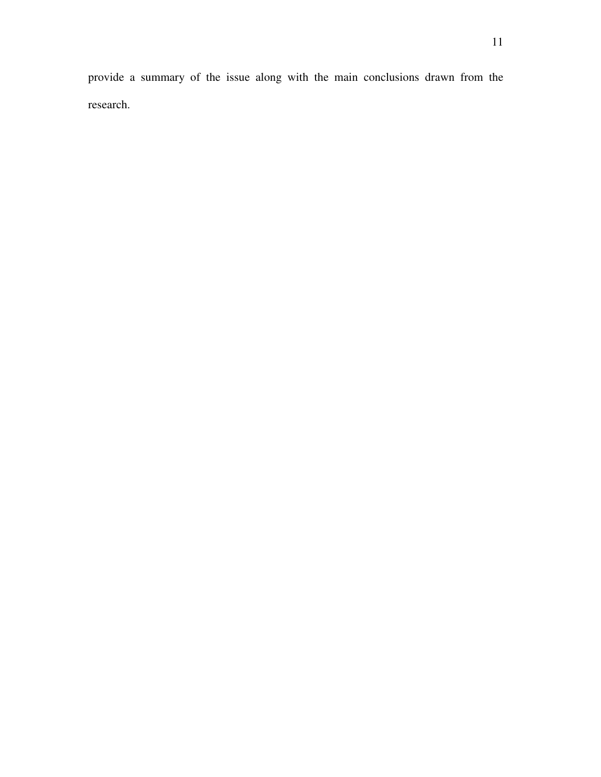provide a summary of the issue along with the main conclusions drawn from the research.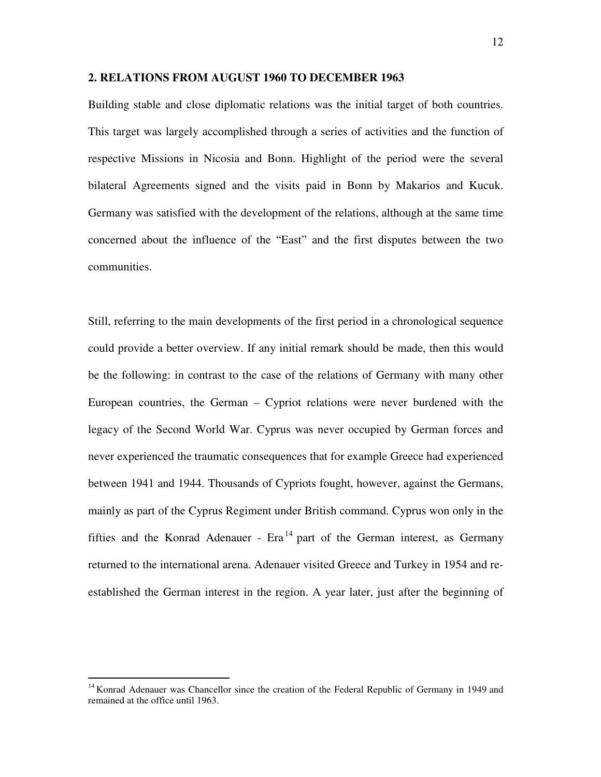#### **2. RELATIONS FROM AUGUST 1960 TO DECEMBER 1963**

Building stable and close diplomatic relations was the initial target of both countries. This target was largely accomplished through a series of activities and the function of respective Missions in Nicosia and Bonn. Highlight of the period were the several bilateral Agreements signed and the visits paid in Bonn by Makarios and Kucuk. Germany was satisfied with the development of the relations, although at the same time concerned about the influence of the "East" and the first disputes between the two communities.

Still, referring to the main developments of the first period in a chronological sequence could provide a better overview. If any initial remark should be made, then this would be the following: in contrast to the case of the relations of Germany with many other European countries, the German – Cypriot relations were never burdened with the legacy of the Second World War. Cyprus was never occupied by German forces and never experienced the traumatic consequences that for example Greece had experienced between 1941 and 1944. Thousands of Cypriots fought, however, against the Germans, mainly as part of the Cyprus Regiment under British command. Cyprus won only in the fifties and the Konrad Adenauer -  $Ex^{14}$  part of the German interest, as Germany returned to the international arena. Adenauer visited Greece and Turkey in 1954 and reestablished the German interest in the region. A year later, just after the beginning of

<sup>&</sup>lt;sup>14</sup> Konrad Adenauer was Chancellor since the creation of the Federal Republic of Germany in 1949 and remained at the office until 1963.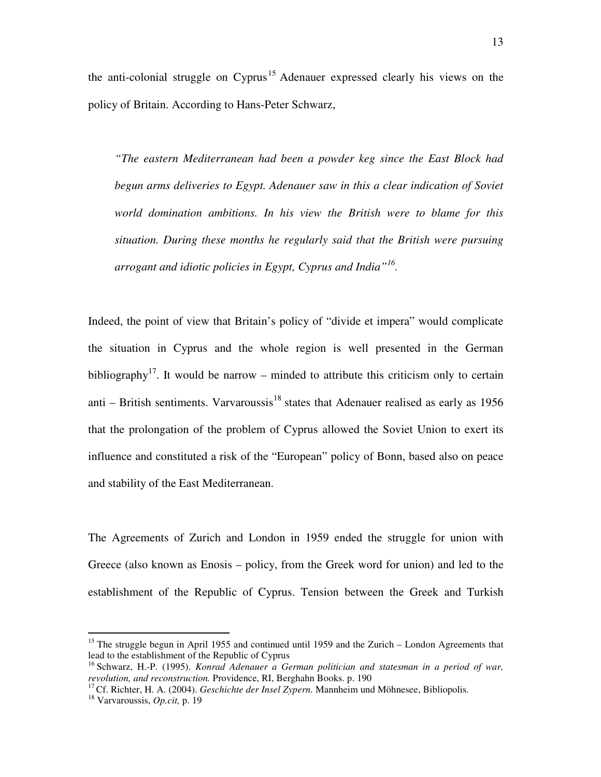the anti-colonial struggle on  $Cvprus$ <sup>15</sup> Adenauer expressed clearly his views on the policy of Britain. According to Hans-Peter Schwarz,

*"The eastern Mediterranean had been a powder keg since the East Block had begun arms deliveries to Egypt. Adenauer saw in this a clear indication of Soviet world domination ambitions. In his view the British were to blame for this situation. During these months he regularly said that the British were pursuing arrogant and idiotic policies in Egypt, Cyprus and India"<sup>16</sup> .* 

Indeed, the point of view that Britain's policy of "divide et impera" would complicate the situation in Cyprus and the whole region is well presented in the German bibliography<sup>17</sup>. It would be narrow – minded to attribute this criticism only to certain anti – British sentiments. Varvaroussis $18$  states that Adenauer realised as early as 1956 that the prolongation of the problem of Cyprus allowed the Soviet Union to exert its influence and constituted a risk of the "European" policy of Bonn, based also on peace and stability of the East Mediterranean.

The Agreements of Zurich and London in 1959 ended the struggle for union with Greece (also known as Enosis – policy, from the Greek word for union) and led to the establishment of the Republic of Cyprus. Tension between the Greek and Turkish

<sup>&</sup>lt;sup>15</sup> The struggle begun in April 1955 and continued until 1959 and the Zurich – London Agreements that lead to the establishment of the Republic of Cyprus

<sup>&</sup>lt;sup>16</sup> Schwarz, H.-P. (1995). *Konrad Adenauer a German politician and statesman in a period of war, revolution, and reconstruction.* Providence, RI, Berghahn Books. p. 190

<sup>&</sup>lt;sup>17</sup> Cf. Richter, H. A. (2004). *Geschichte der Insel Zypern*. Mannheim und Möhnesee, Bibliopolis.

<sup>18</sup> Varvaroussis, *Op.cit,* p. 19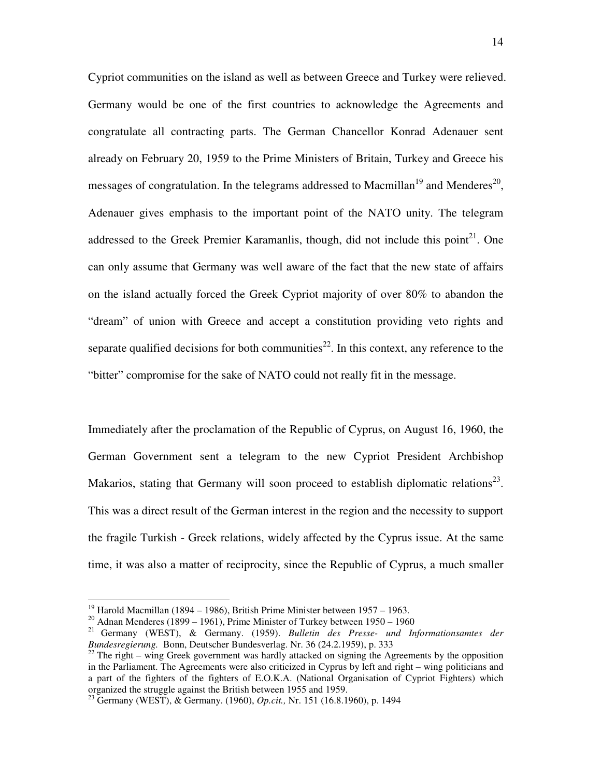Cypriot communities on the island as well as between Greece and Turkey were relieved. Germany would be one of the first countries to acknowledge the Agreements and congratulate all contracting parts. The German Chancellor Konrad Adenauer sent already on February 20, 1959 to the Prime Ministers of Britain, Turkey and Greece his messages of congratulation. In the telegrams addressed to Macmillan<sup>19</sup> and Menderes<sup>20</sup>, Adenauer gives emphasis to the important point of the NATO unity. The telegram addressed to the Greek Premier Karamanlis, though, did not include this point<sup>21</sup>. One can only assume that Germany was well aware of the fact that the new state of affairs on the island actually forced the Greek Cypriot majority of over 80% to abandon the "dream" of union with Greece and accept a constitution providing veto rights and separate qualified decisions for both communities<sup>22</sup>. In this context, any reference to the "bitter" compromise for the sake of NATO could not really fit in the message.

Immediately after the proclamation of the Republic of Cyprus, on August 16, 1960, the German Government sent a telegram to the new Cypriot President Archbishop Makarios, stating that Germany will soon proceed to establish diplomatic relations<sup>23</sup>. This was a direct result of the German interest in the region and the necessity to support the fragile Turkish - Greek relations, widely affected by the Cyprus issue. At the same time, it was also a matter of reciprocity, since the Republic of Cyprus, a much smaller

<sup>&</sup>lt;sup>19</sup> Harold Macmillan (1894 – 1986), British Prime Minister between 1957 – 1963.

<sup>&</sup>lt;sup>20</sup> Adnan Menderes (1899 – 1961), Prime Minister of Turkey between  $1950 - 1960$ 

<sup>21</sup> Germany (WEST), & Germany. (1959). *Bulletin des Presse- und Informationsamtes der Bundesregierung.* Bonn, Deutscher Bundesverlag. Nr. 36 (24.2.1959), p. 333

 $^{22}$  The right – wing Greek government was hardly attacked on signing the Agreements by the opposition in the Parliament. The Agreements were also criticized in Cyprus by left and right – wing politicians and a part of the fighters of the fighters of E.O.K.A. (National Organisation of Cypriot Fighters) which organized the struggle against the British between 1955 and 1959.

<sup>23</sup> Germany (WEST), & Germany. (1960), *Op.cit.,* Nr. 151 (16.8.1960), p. 1494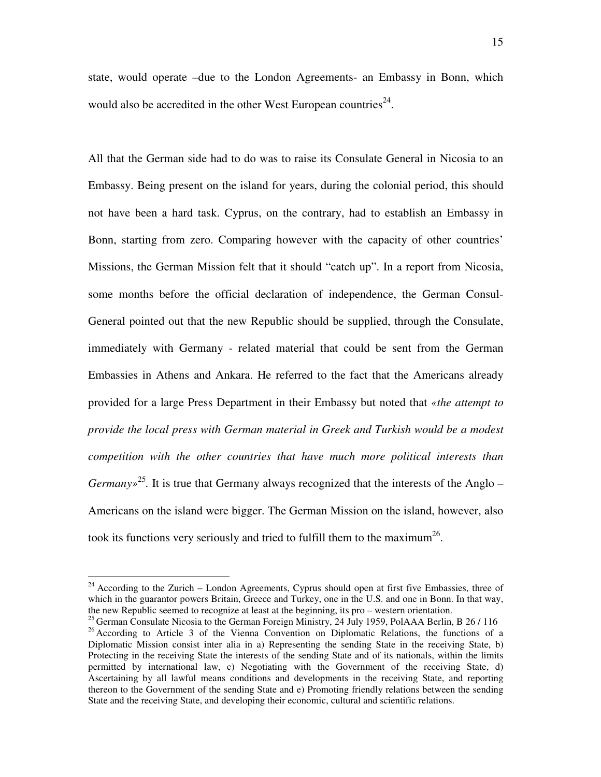state, would operate –due to the London Agreements- an Embassy in Bonn, which would also be accredited in the other West European countries<sup>24</sup>.

All that the German side had to do was to raise its Consulate General in Nicosia to an Embassy. Being present on the island for years, during the colonial period, this should not have been a hard task. Cyprus, on the contrary, had to establish an Embassy in Bonn, starting from zero. Comparing however with the capacity of other countries' Missions, the German Mission felt that it should "catch up". In a report from Nicosia, some months before the official declaration of independence, the German Consul-General pointed out that the new Republic should be supplied, through the Consulate, immediately with Germany - related material that could be sent from the German Embassies in Athens and Ankara. He referred to the fact that the Americans already provided for a large Press Department in their Embassy but noted that *«the attempt to provide the local press with German material in Greek and Turkish would be a modest competition with the other countries that have much more political interests than Germany*<sup>25</sup>. It is true that Germany always recognized that the interests of the Anglo – Americans on the island were bigger. The German Mission on the island, however, also took its functions very seriously and tried to fulfill them to the maximum<sup>26</sup>.

 $24$  According to the Zurich – London Agreements, Cyprus should open at first five Embassies, three of which in the guarantor powers Britain, Greece and Turkey, one in the U.S. and one in Bonn. In that way, the new Republic seemed to recognize at least at the beginning, its pro – western orientation.

<sup>&</sup>lt;sup>25</sup> German Consulate Nicosia to the German Foreign Ministry, 24 July 1959, PolAAA Berlin, B 26 / 116 <sup>26</sup> According to Article 3 of the Vienna Convention on Diplomatic Relations, the functions of a Diplomatic Mission consist inter alia in a) Representing the sending State in the receiving State, b) Protecting in the receiving State the interests of the sending State and of its nationals, within the limits permitted by international law, c) Negotiating with the Government of the receiving State, d) Ascertaining by all lawful means conditions and developments in the receiving State, and reporting thereon to the Government of the sending State and e) Promoting friendly relations between the sending State and the receiving State, and developing their economic, cultural and scientific relations.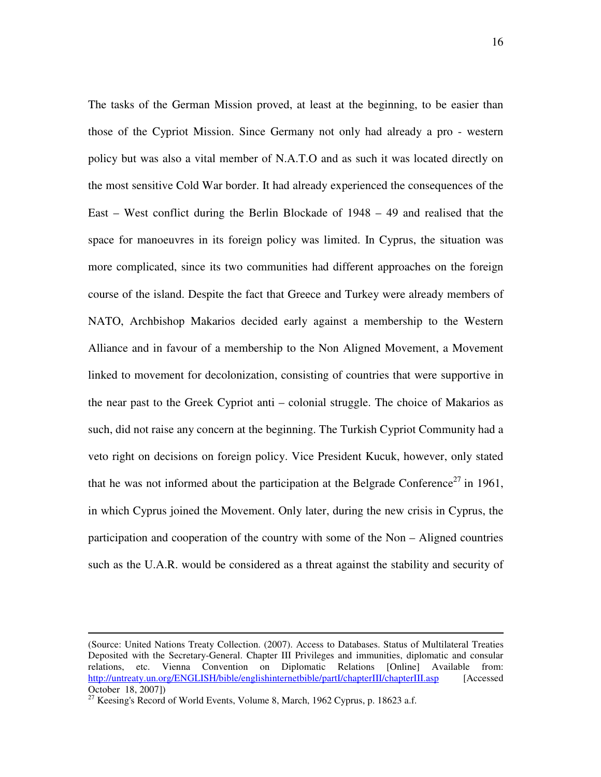The tasks of the German Mission proved, at least at the beginning, to be easier than those of the Cypriot Mission. Since Germany not only had already a pro - western policy but was also a vital member of N.A.T.O and as such it was located directly on the most sensitive Cold War border. It had already experienced the consequences of the East – West conflict during the Berlin Blockade of 1948 – 49 and realised that the space for manoeuvres in its foreign policy was limited. In Cyprus, the situation was more complicated, since its two communities had different approaches on the foreign course of the island. Despite the fact that Greece and Turkey were already members of NATO, Archbishop Makarios decided early against a membership to the Western Alliance and in favour of a membership to the Non Aligned Movement, a Movement linked to movement for decolonization, consisting of countries that were supportive in the near past to the Greek Cypriot anti – colonial struggle. The choice of Makarios as such, did not raise any concern at the beginning. The Turkish Cypriot Community had a veto right on decisions on foreign policy. Vice President Kucuk, however, only stated that he was not informed about the participation at the Belgrade Conference<sup>27</sup> in 1961, in which Cyprus joined the Movement. Only later, during the new crisis in Cyprus, the participation and cooperation of the country with some of the Non – Aligned countries such as the U.A.R. would be considered as a threat against the stability and security of

<sup>(</sup>Source: United Nations Treaty Collection. (2007). Access to Databases. Status of Multilateral Treaties Deposited with the Secretary-General. Chapter III Privileges and immunities, diplomatic and consular relations, etc. Vienna Convention on Diplomatic Relations [Online] Available from: http://untreaty.un.org/ENGLISH/bible/englishinternetbible/partI/chapterIII/chapterIII.asp [Accessed] October 18, 2007])

 $27$  Keesing's Record of World Events, Volume 8, March, 1962 Cyprus, p. 18623 a.f.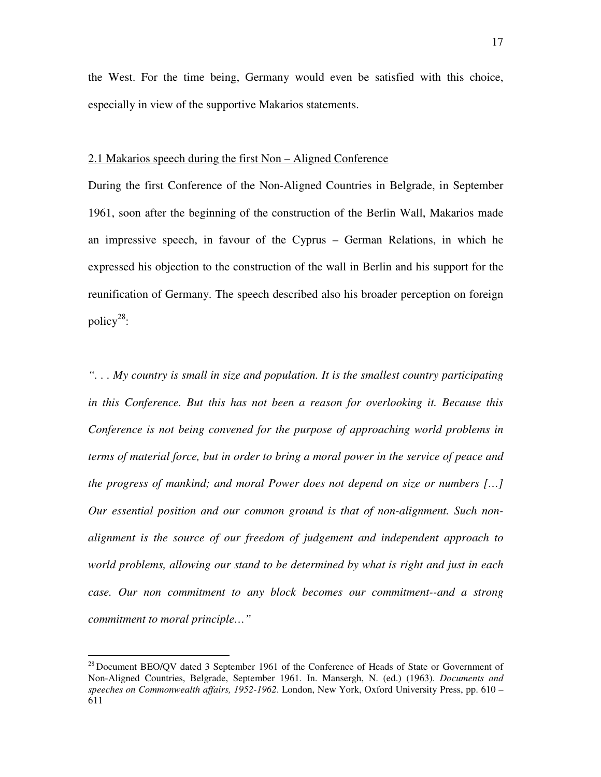the West. For the time being, Germany would even be satisfied with this choice, especially in view of the supportive Makarios statements.

#### 2.1 Makarios speech during the first Non – Aligned Conference

During the first Conference of the Non-Aligned Countries in Belgrade, in September 1961, soon after the beginning of the construction of the Berlin Wall, Makarios made an impressive speech, in favour of the Cyprus – German Relations, in which he expressed his objection to the construction of the wall in Berlin and his support for the reunification of Germany. The speech described also his broader perception on foreign policy<sup>28</sup>:

*". . . My country is small in size and population. It is the smallest country participating in this Conference. But this has not been a reason for overlooking it. Because this Conference is not being convened for the purpose of approaching world problems in terms of material force, but in order to bring a moral power in the service of peace and the progress of mankind; and moral Power does not depend on size or numbers […] Our essential position and our common ground is that of non-alignment. Such nonalignment is the source of our freedom of judgement and independent approach to world problems, allowing our stand to be determined by what is right and just in each case. Our non commitment to any block becomes our commitment--and a strong commitment to moral principle…"*

 $^{28}$  Document BEO/QV dated 3 September 1961 of the Conference of Heads of State or Government of Non-Aligned Countries, Belgrade, September 1961. In. Mansergh, N. (ed.) (1963). *Documents and speeches on Commonwealth affairs, 1952-1962*. London, New York, Oxford University Press, pp. 610 – 611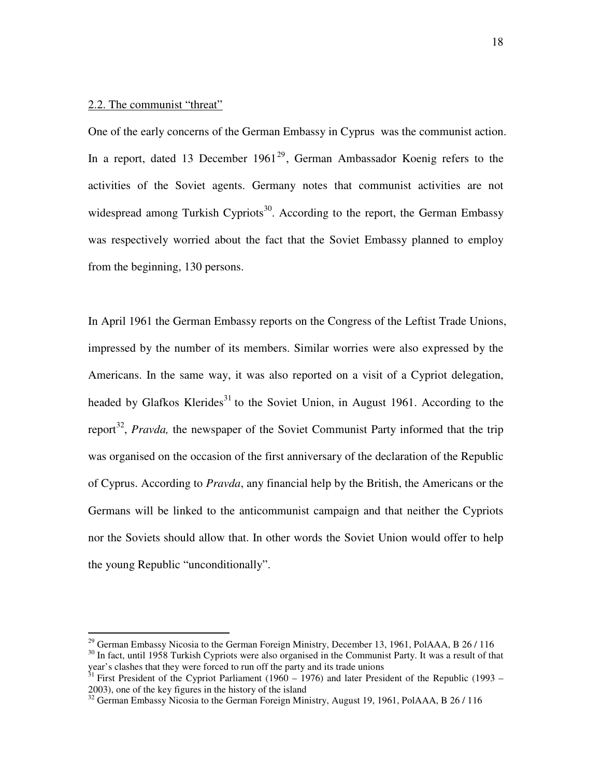## 2.2. The communist "threat"

One of the early concerns of the German Embassy in Cyprus was the communist action. In a report, dated 13 December  $1961^{29}$ , German Ambassador Koenig refers to the activities of the Soviet agents. Germany notes that communist activities are not widespread among Turkish Cypriots<sup>30</sup>. According to the report, the German Embassy was respectively worried about the fact that the Soviet Embassy planned to employ from the beginning, 130 persons.

In April 1961 the German Embassy reports on the Congress of the Leftist Trade Unions, impressed by the number of its members. Similar worries were also expressed by the Americans. In the same way, it was also reported on a visit of a Cypriot delegation, headed by Glafkos Klerides<sup>31</sup> to the Soviet Union, in August 1961. According to the report<sup>32</sup>, *Pravda*, the newspaper of the Soviet Communist Party informed that the trip was organised on the occasion of the first anniversary of the declaration of the Republic of Cyprus. According to *Pravda*, any financial help by the British, the Americans or the Germans will be linked to the anticommunist campaign and that neither the Cypriots nor the Soviets should allow that. In other words the Soviet Union would offer to help the young Republic "unconditionally".

 $29$  German Embassy Nicosia to the German Foreign Ministry, December 13, 1961, PolAAA, B 26 / 116 <sup>30</sup> In fact, until 1958 Turkish Cypriots were also organised in the Communist Party. It was a result of that

year's clashes that they were forced to run off the party and its trade unions

 $31$  First President of the Cypriot Parliament (1960 – 1976) and later President of the Republic (1993 – 2003), one of the key figures in the history of the island

 $32$  German Embassy Nicosia to the German Foreign Ministry, August 19, 1961, PolAAA, B 26 / 116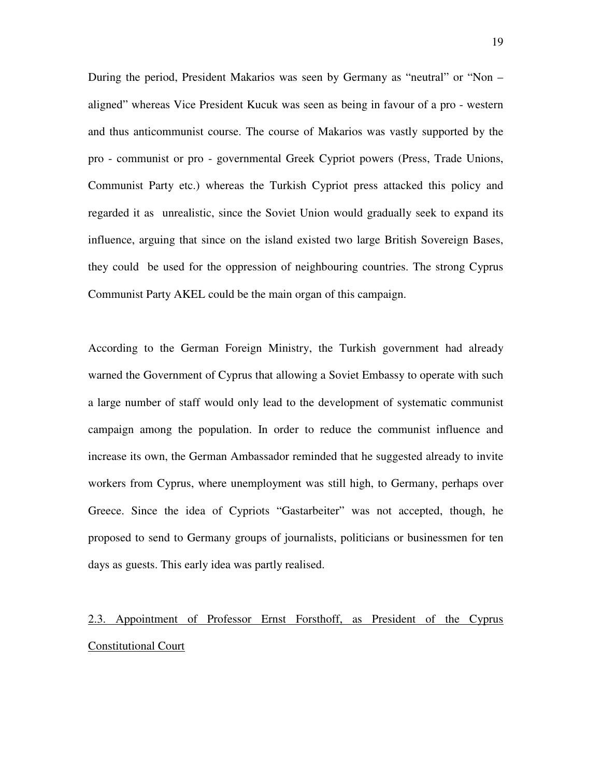During the period, President Makarios was seen by Germany as "neutral" or "Non – aligned" whereas Vice President Kucuk was seen as being in favour of a pro - western and thus anticommunist course. The course of Makarios was vastly supported by the pro - communist or pro - governmental Greek Cypriot powers (Press, Trade Unions, Communist Party etc.) whereas the Turkish Cypriot press attacked this policy and regarded it as unrealistic, since the Soviet Union would gradually seek to expand its influence, arguing that since on the island existed two large British Sovereign Bases, they could be used for the oppression of neighbouring countries. The strong Cyprus Communist Party AKEL could be the main organ of this campaign.

According to the German Foreign Ministry, the Turkish government had already warned the Government of Cyprus that allowing a Soviet Embassy to operate with such a large number of staff would only lead to the development of systematic communist campaign among the population. In order to reduce the communist influence and increase its own, the German Ambassador reminded that he suggested already to invite workers from Cyprus, where unemployment was still high, to Germany, perhaps over Greece. Since the idea of Cypriots "Gastarbeiter" was not accepted, though, he proposed to send to Germany groups of journalists, politicians or businessmen for ten days as guests. This early idea was partly realised.

# 2.3. Appointment of Professor Ernst Forsthoff, as President of the Cyprus Constitutional Court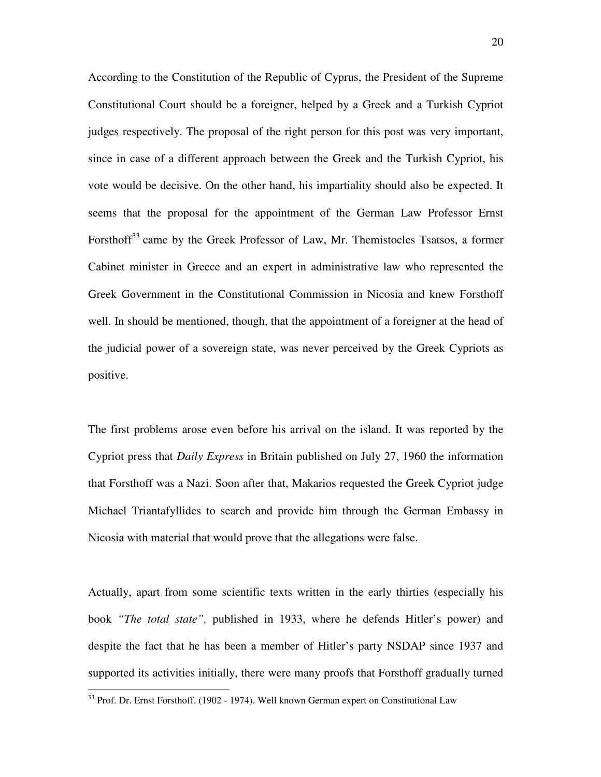According to the Constitution of the Republic of Cyprus, the President of the Supreme Constitutional Court should be a foreigner, helped by a Greek and a Turkish Cypriot judges respectively. The proposal of the right person for this post was very important, since in case of a different approach between the Greek and the Turkish Cypriot, his vote would be decisive. On the other hand, his impartiality should also be expected. It seems that the proposal for the appointment of the German Law Professor Ernst Forsthoff<sup>33</sup> came by the Greek Professor of Law, Mr. Themistocles Tsatsos, a former Cabinet minister in Greece and an expert in administrative law who represented the Greek Government in the Constitutional Commission in Nicosia and knew Forsthoff well. In should be mentioned, though, that the appointment of a foreigner at the head of the judicial power of a sovereign state, was never perceived by the Greek Cypriots as positive.

The first problems arose even before his arrival on the island. It was reported by the Cypriot press that *Daily Express* in Britain published on July 27, 1960 the information that Forsthoff was a Nazi. Soon after that, Makarios requested the Greek Cypriot judge Michael Triantafyllides to search and provide him through the German Embassy in Nicosia with material that would prove that the allegations were false.

Actually, apart from some scientific texts written in the early thirties (especially his book *"The total state",* published in 1933, where he defends Hitler's power) and despite the fact that he has been a member of Hitler's party NSDAP since 1937 and supported its activities initially, there were many proofs that Forsthoff gradually turned

<sup>&</sup>lt;sup>33</sup> Prof. Dr. Ernst Forsthoff. (1902 - 1974). Well known German expert on Constitutional Law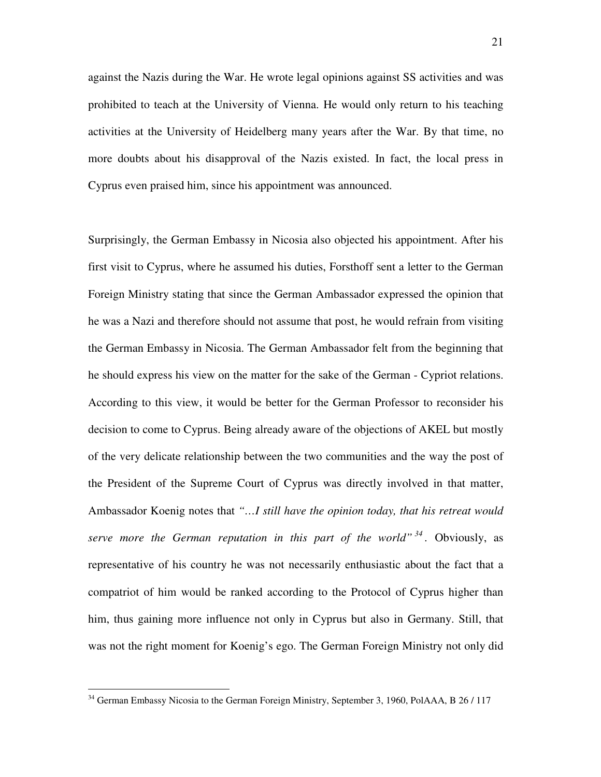against the Nazis during the War. He wrote legal opinions against SS activities and was prohibited to teach at the University of Vienna. He would only return to his teaching activities at the University of Heidelberg many years after the War. By that time, no more doubts about his disapproval of the Nazis existed. In fact, the local press in Cyprus even praised him, since his appointment was announced.

Surprisingly, the German Embassy in Nicosia also objected his appointment. After his first visit to Cyprus, where he assumed his duties, Forsthoff sent a letter to the German Foreign Ministry stating that since the German Ambassador expressed the opinion that he was a Nazi and therefore should not assume that post, he would refrain from visiting the German Embassy in Nicosia. The German Ambassador felt from the beginning that he should express his view on the matter for the sake of the German - Cypriot relations. According to this view, it would be better for the German Professor to reconsider his decision to come to Cyprus. Being already aware of the objections of AKEL but mostly of the very delicate relationship between the two communities and the way the post of the President of the Supreme Court of Cyprus was directly involved in that matter, Ambassador Koenig notes that *"…I still have the opinion today, that his retreat would serve more the German reputation in this part of the world" <sup>34</sup> .* Obviously, as representative of his country he was not necessarily enthusiastic about the fact that a compatriot of him would be ranked according to the Protocol of Cyprus higher than him, thus gaining more influence not only in Cyprus but also in Germany. Still, that was not the right moment for Koenig's ego. The German Foreign Ministry not only did

<sup>&</sup>lt;sup>34</sup> German Embassy Nicosia to the German Foreign Ministry, September 3, 1960, PolAAA, B 26 / 117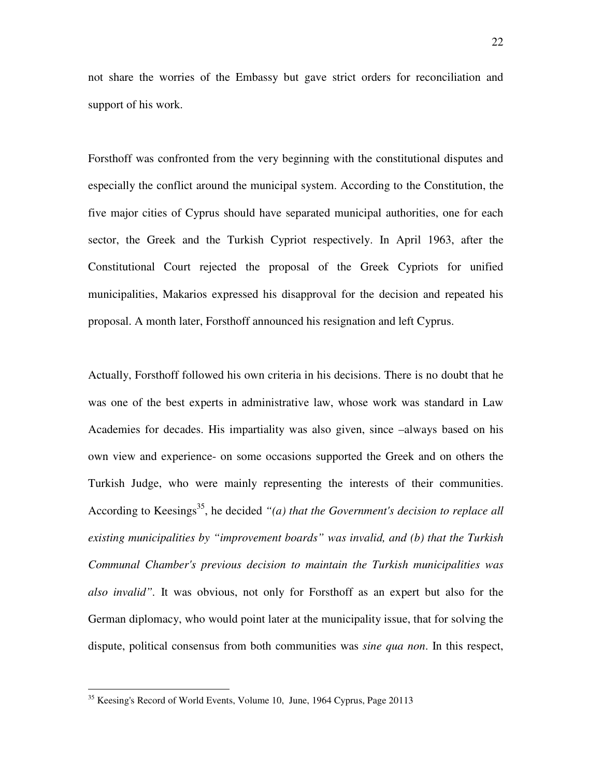not share the worries of the Embassy but gave strict orders for reconciliation and support of his work.

Forsthoff was confronted from the very beginning with the constitutional disputes and especially the conflict around the municipal system. According to the Constitution, the five major cities of Cyprus should have separated municipal authorities, one for each sector, the Greek and the Turkish Cypriot respectively. In April 1963, after the Constitutional Court rejected the proposal of the Greek Cypriots for unified municipalities, Makarios expressed his disapproval for the decision and repeated his proposal. A month later, Forsthoff announced his resignation and left Cyprus.

Actually, Forsthoff followed his own criteria in his decisions. There is no doubt that he was one of the best experts in administrative law, whose work was standard in Law Academies for decades. His impartiality was also given, since –always based on his own view and experience- on some occasions supported the Greek and on others the Turkish Judge, who were mainly representing the interests of their communities. According to Keesings<sup>35</sup>, he decided "(a) that the Government's decision to replace all *existing municipalities by "improvement boards" was invalid, and (b) that the Turkish Communal Chamber's previous decision to maintain the Turkish municipalities was also invalid".* It was obvious, not only for Forsthoff as an expert but also for the German diplomacy, who would point later at the municipality issue, that for solving the dispute, political consensus from both communities was *sine qua non*. In this respect,

<sup>&</sup>lt;sup>35</sup> Keesing's Record of World Events, Volume 10, June, 1964 Cyprus, Page 20113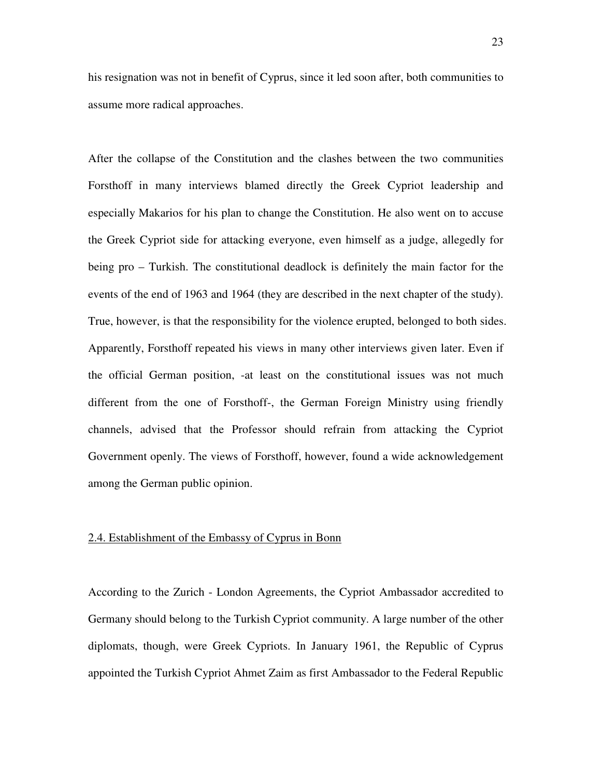his resignation was not in benefit of Cyprus, since it led soon after, both communities to assume more radical approaches.

After the collapse of the Constitution and the clashes between the two communities Forsthoff in many interviews blamed directly the Greek Cypriot leadership and especially Makarios for his plan to change the Constitution. He also went on to accuse the Greek Cypriot side for attacking everyone, even himself as a judge, allegedly for being pro – Turkish. The constitutional deadlock is definitely the main factor for the events of the end of 1963 and 1964 (they are described in the next chapter of the study). True, however, is that the responsibility for the violence erupted, belonged to both sides. Apparently, Forsthoff repeated his views in many other interviews given later. Even if the official German position, -at least on the constitutional issues was not much different from the one of Forsthoff-, the German Foreign Ministry using friendly channels, advised that the Professor should refrain from attacking the Cypriot Government openly. The views of Forsthoff, however, found a wide acknowledgement among the German public opinion.

### 2.4. Establishment of the Embassy of Cyprus in Bonn

According to the Zurich - London Agreements, the Cypriot Ambassador accredited to Germany should belong to the Turkish Cypriot community. A large number of the other diplomats, though, were Greek Cypriots. In January 1961, the Republic of Cyprus appointed the Turkish Cypriot Ahmet Zaim as first Ambassador to the Federal Republic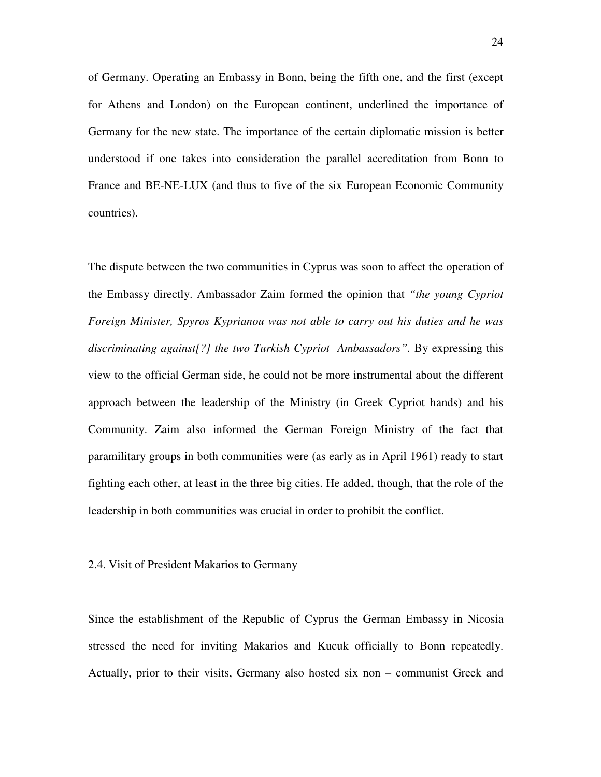of Germany. Operating an Embassy in Bonn, being the fifth one, and the first (except for Athens and London) on the European continent, underlined the importance of Germany for the new state. The importance of the certain diplomatic mission is better understood if one takes into consideration the parallel accreditation from Bonn to France and BE-NE-LUX (and thus to five of the six European Economic Community countries).

The dispute between the two communities in Cyprus was soon to affect the operation of the Embassy directly. Ambassador Zaim formed the opinion that *"the young Cypriot Foreign Minister, Spyros Kyprianou was not able to carry out his duties and he was*  discriminating against<sup>[?]</sup> the two Turkish Cypriot Ambassadors". By expressing this view to the official German side, he could not be more instrumental about the different approach between the leadership of the Ministry (in Greek Cypriot hands) and his Community. Zaim also informed the German Foreign Ministry of the fact that paramilitary groups in both communities were (as early as in April 1961) ready to start fighting each other, at least in the three big cities. He added, though, that the role of the leadership in both communities was crucial in order to prohibit the conflict.

#### 2.4. Visit of President Makarios to Germany

Since the establishment of the Republic of Cyprus the German Embassy in Nicosia stressed the need for inviting Makarios and Kucuk officially to Bonn repeatedly. Actually, prior to their visits, Germany also hosted six non – communist Greek and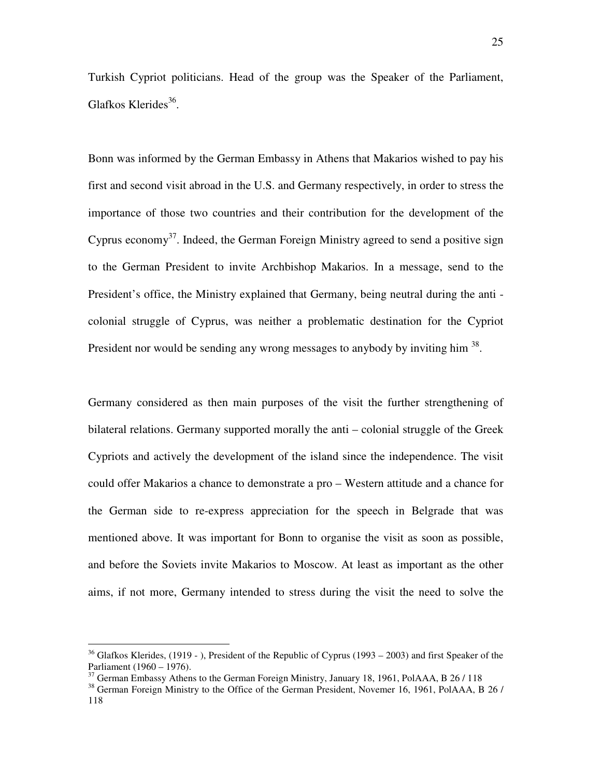Turkish Cypriot politicians. Head of the group was the Speaker of the Parliament, Glafkos Klerides<sup>36</sup>.

Bonn was informed by the German Embassy in Athens that Makarios wished to pay his first and second visit abroad in the U.S. and Germany respectively, in order to stress the importance of those two countries and their contribution for the development of the Cyprus economy<sup>37</sup>. Indeed, the German Foreign Ministry agreed to send a positive sign to the German President to invite Archbishop Makarios. In a message, send to the President's office, the Ministry explained that Germany, being neutral during the anti colonial struggle of Cyprus, was neither a problematic destination for the Cypriot President nor would be sending any wrong messages to anybody by inviting him  $38$ .

Germany considered as then main purposes of the visit the further strengthening of bilateral relations. Germany supported morally the anti – colonial struggle of the Greek Cypriots and actively the development of the island since the independence. The visit could offer Makarios a chance to demonstrate a pro – Western attitude and a chance for the German side to re-express appreciation for the speech in Belgrade that was mentioned above. It was important for Bonn to organise the visit as soon as possible, and before the Soviets invite Makarios to Moscow. At least as important as the other aims, if not more, Germany intended to stress during the visit the need to solve the

 $36$  Glafkos Klerides, (1919 - ), President of the Republic of Cyprus (1993 – 2003) and first Speaker of the Parliament (1960 – 1976).

<sup>&</sup>lt;sup>37</sup> German Embassy Athens to the German Foreign Ministry, January 18, 1961, PolAAA, B 26 / 118

<sup>&</sup>lt;sup>38</sup> German Foreign Ministry to the Office of the German President, Novemer 16, 1961, PolAAA, B 26 / 118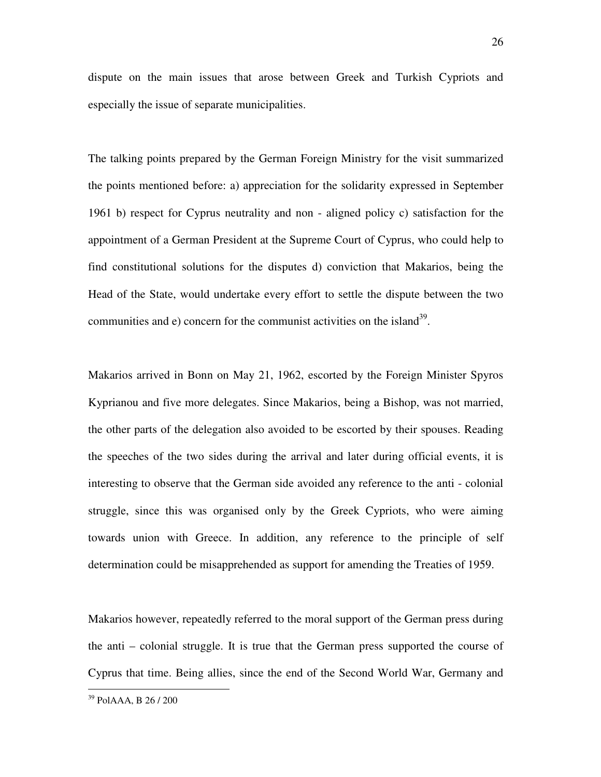dispute on the main issues that arose between Greek and Turkish Cypriots and especially the issue of separate municipalities.

The talking points prepared by the German Foreign Ministry for the visit summarized the points mentioned before: a) appreciation for the solidarity expressed in September 1961 b) respect for Cyprus neutrality and non - aligned policy c) satisfaction for the appointment of a German President at the Supreme Court of Cyprus, who could help to find constitutional solutions for the disputes d) conviction that Makarios, being the Head of the State, would undertake every effort to settle the dispute between the two communities and  $e$ ) concern for the communist activities on the island<sup>39</sup>.

Makarios arrived in Bonn on May 21, 1962, escorted by the Foreign Minister Spyros Kyprianou and five more delegates. Since Makarios, being a Bishop, was not married, the other parts of the delegation also avoided to be escorted by their spouses. Reading the speeches of the two sides during the arrival and later during official events, it is interesting to observe that the German side avoided any reference to the anti - colonial struggle, since this was organised only by the Greek Cypriots, who were aiming towards union with Greece. In addition, any reference to the principle of self determination could be misapprehended as support for amending the Treaties of 1959.

Makarios however, repeatedly referred to the moral support of the German press during the anti – colonial struggle. It is true that the German press supported the course of Cyprus that time. Being allies, since the end of the Second World War, Germany and

<sup>39</sup> PolAAA, B 26 / 200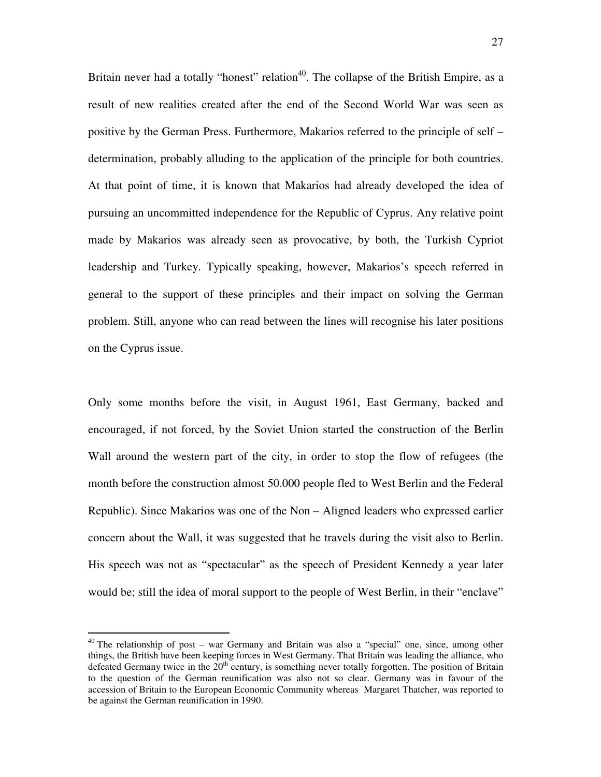Britain never had a totally "honest" relation<sup>40</sup>. The collapse of the British Empire, as a result of new realities created after the end of the Second World War was seen as positive by the German Press. Furthermore, Makarios referred to the principle of self – determination, probably alluding to the application of the principle for both countries. At that point of time, it is known that Makarios had already developed the idea of pursuing an uncommitted independence for the Republic of Cyprus. Any relative point made by Makarios was already seen as provocative, by both, the Turkish Cypriot leadership and Turkey. Typically speaking, however, Makarios's speech referred in general to the support of these principles and their impact on solving the German problem. Still, anyone who can read between the lines will recognise his later positions on the Cyprus issue.

Only some months before the visit, in August 1961, East Germany, backed and encouraged, if not forced, by the Soviet Union started the construction of the Berlin Wall around the western part of the city, in order to stop the flow of refugees (the month before the construction almost 50.000 people fled to West Berlin and the Federal Republic). Since Makarios was one of the Non – Aligned leaders who expressed earlier concern about the Wall, it was suggested that he travels during the visit also to Berlin. His speech was not as "spectacular" as the speech of President Kennedy a year later would be; still the idea of moral support to the people of West Berlin, in their "enclave"

<sup>&</sup>lt;sup>40</sup> The relationship of post – war Germany and Britain was also a "special" one, since, among other things, the British have been keeping forces in West Germany. That Britain was leading the alliance, who defeated Germany twice in the  $20<sup>th</sup>$  century, is something never totally forgotten. The position of Britain to the question of the German reunification was also not so clear. Germany was in favour of the accession of Britain to the European Economic Community whereas Margaret Thatcher, was reported to be against the German reunification in 1990.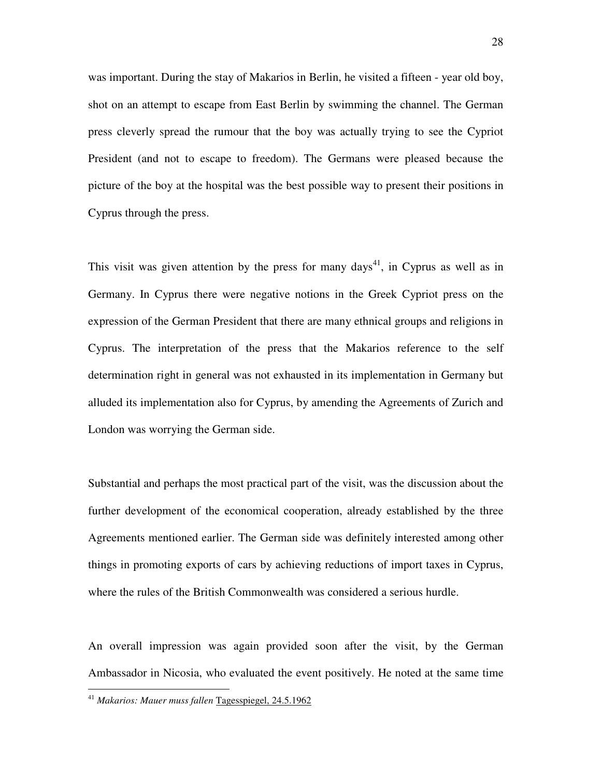was important. During the stay of Makarios in Berlin, he visited a fifteen - year old boy, shot on an attempt to escape from East Berlin by swimming the channel. The German press cleverly spread the rumour that the boy was actually trying to see the Cypriot President (and not to escape to freedom). The Germans were pleased because the picture of the boy at the hospital was the best possible way to present their positions in Cyprus through the press.

This visit was given attention by the press for many days<sup>41</sup>, in Cyprus as well as in Germany. In Cyprus there were negative notions in the Greek Cypriot press on the expression of the German President that there are many ethnical groups and religions in Cyprus. The interpretation of the press that the Makarios reference to the self determination right in general was not exhausted in its implementation in Germany but alluded its implementation also for Cyprus, by amending the Agreements of Zurich and London was worrying the German side.

Substantial and perhaps the most practical part of the visit, was the discussion about the further development of the economical cooperation, already established by the three Agreements mentioned earlier. The German side was definitely interested among other things in promoting exports of cars by achieving reductions of import taxes in Cyprus, where the rules of the British Commonwealth was considered a serious hurdle.

An overall impression was again provided soon after the visit, by the German Ambassador in Nicosia, who evaluated the event positively. He noted at the same time

<sup>41</sup> *Makarios: Mauer muss fallen* Tagesspiegel, 24.5.1962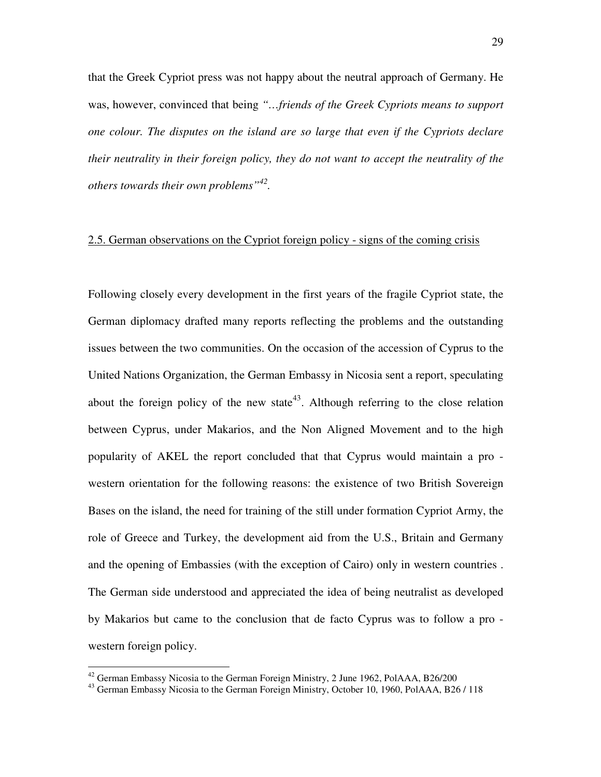that the Greek Cypriot press was not happy about the neutral approach of Germany. He was, however, convinced that being *"…friends of the Greek Cypriots means to support one colour. The disputes on the island are so large that even if the Cypriots declare their neutrality in their foreign policy, they do not want to accept the neutrality of the others towards their own problems"<sup>42</sup> .* 

# 2.5. German observations on the Cypriot foreign policy - signs of the coming crisis

Following closely every development in the first years of the fragile Cypriot state, the German diplomacy drafted many reports reflecting the problems and the outstanding issues between the two communities. On the occasion of the accession of Cyprus to the United Nations Organization, the German Embassy in Nicosia sent a report, speculating about the foreign policy of the new state<sup>43</sup>. Although referring to the close relation between Cyprus, under Makarios, and the Non Aligned Movement and to the high popularity of AKEL the report concluded that that Cyprus would maintain a pro western orientation for the following reasons: the existence of two British Sovereign Bases on the island, the need for training of the still under formation Cypriot Army, the role of Greece and Turkey, the development aid from the U.S., Britain and Germany and the opening of Embassies (with the exception of Cairo) only in western countries . The German side understood and appreciated the idea of being neutralist as developed by Makarios but came to the conclusion that de facto Cyprus was to follow a pro western foreign policy.

 $42$  German Embassy Nicosia to the German Foreign Ministry, 2 June 1962, PolAAA, B26/200

<sup>43</sup> German Embassy Nicosia to the German Foreign Ministry, October 10, 1960, PolAAA, B26 / 118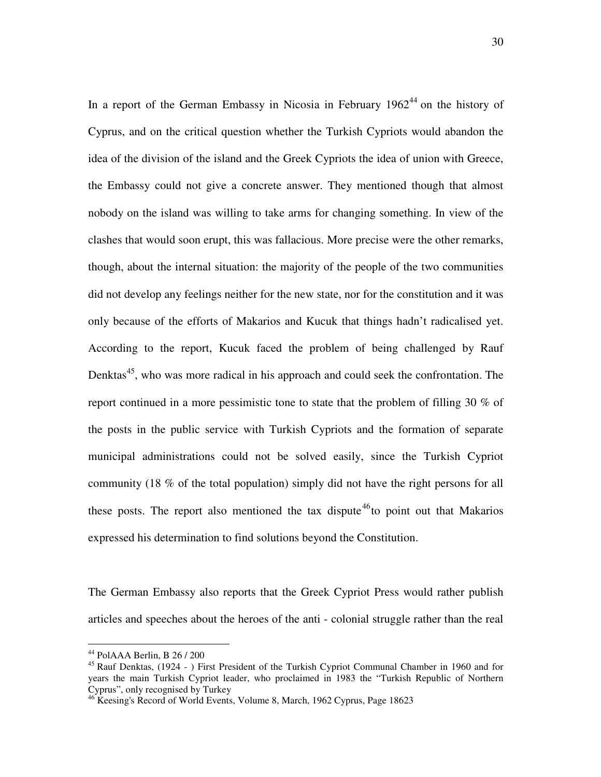In a report of the German Embassy in Nicosia in February  $1962^{44}$  on the history of Cyprus, and on the critical question whether the Turkish Cypriots would abandon the idea of the division of the island and the Greek Cypriots the idea of union with Greece, the Embassy could not give a concrete answer. They mentioned though that almost nobody on the island was willing to take arms for changing something. In view of the clashes that would soon erupt, this was fallacious. More precise were the other remarks, though, about the internal situation: the majority of the people of the two communities did not develop any feelings neither for the new state, nor for the constitution and it was only because of the efforts of Makarios and Kucuk that things hadn't radicalised yet. According to the report, Kucuk faced the problem of being challenged by Rauf Denktas<sup>45</sup>, who was more radical in his approach and could seek the confrontation. The report continued in a more pessimistic tone to state that the problem of filling 30 % of the posts in the public service with Turkish Cypriots and the formation of separate municipal administrations could not be solved easily, since the Turkish Cypriot community (18 % of the total population) simply did not have the right persons for all these posts. The report also mentioned the tax dispute<sup>46</sup>to point out that Makarios expressed his determination to find solutions beyond the Constitution.

The German Embassy also reports that the Greek Cypriot Press would rather publish articles and speeches about the heroes of the anti - colonial struggle rather than the real

<sup>44</sup> PolAAA Berlin, B 26 / 200

<sup>&</sup>lt;sup>45</sup> Rauf Denktas, (1924 - ) First President of the Turkish Cypriot Communal Chamber in 1960 and for years the main Turkish Cypriot leader, who proclaimed in 1983 the "Turkish Republic of Northern Cyprus", only recognised by Turkey

<sup>46</sup> Keesing's Record of World Events, Volume 8, March, 1962 Cyprus, Page 18623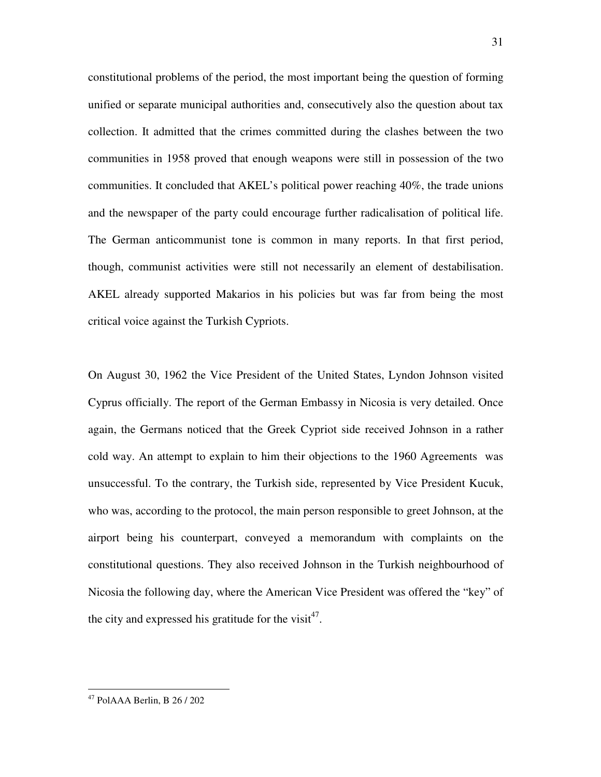constitutional problems of the period, the most important being the question of forming unified or separate municipal authorities and, consecutively also the question about tax collection. It admitted that the crimes committed during the clashes between the two communities in 1958 proved that enough weapons were still in possession of the two communities. It concluded that AKEL's political power reaching 40%, the trade unions and the newspaper of the party could encourage further radicalisation of political life. The German anticommunist tone is common in many reports. In that first period, though, communist activities were still not necessarily an element of destabilisation. AKEL already supported Makarios in his policies but was far from being the most critical voice against the Turkish Cypriots.

On August 30, 1962 the Vice President of the United States, Lyndon Johnson visited Cyprus officially. The report of the German Embassy in Nicosia is very detailed. Once again, the Germans noticed that the Greek Cypriot side received Johnson in a rather cold way. An attempt to explain to him their objections to the 1960 Agreements was unsuccessful. To the contrary, the Turkish side, represented by Vice President Kucuk, who was, according to the protocol, the main person responsible to greet Johnson, at the airport being his counterpart, conveyed a memorandum with complaints on the constitutional questions. They also received Johnson in the Turkish neighbourhood of Nicosia the following day, where the American Vice President was offered the "key" of the city and expressed his gratitude for the visit<sup>47</sup>.

<sup>31</sup>

<sup>47</sup> PolAAA Berlin, B 26 / 202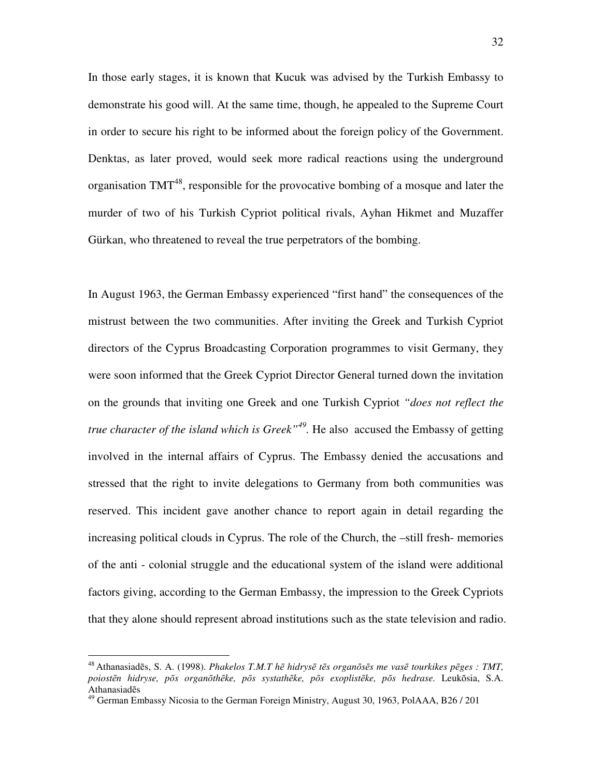In those early stages, it is known that Kucuk was advised by the Turkish Embassy to demonstrate his good will. At the same time, though, he appealed to the Supreme Court in order to secure his right to be informed about the foreign policy of the Government. Denktas, as later proved, would seek more radical reactions using the underground organisation  $TMT^{48}$ , responsible for the provocative bombing of a mosque and later the murder of two of his Turkish Cypriot political rivals, Ayhan Hikmet and Muzaffer Gürkan, who threatened to reveal the true perpetrators of the bombing.

In August 1963, the German Embassy experienced "first hand" the consequences of the mistrust between the two communities. After inviting the Greek and Turkish Cypriot directors of the Cyprus Broadcasting Corporation programmes to visit Germany, they were soon informed that the Greek Cypriot Director General turned down the invitation on the grounds that inviting one Greek and one Turkish Cypriot *"does not reflect the true character of the island which is Greek"<sup>49</sup> .* He also accused the Embassy of getting involved in the internal affairs of Cyprus. The Embassy denied the accusations and stressed that the right to invite delegations to Germany from both communities was reserved. This incident gave another chance to report again in detail regarding the increasing political clouds in Cyprus. The role of the Church, the –still fresh- memories of the anti - colonial struggle and the educational system of the island were additional factors giving, according to the German Embassy, the impression to the Greek Cypriots that they alone should represent abroad institutions such as the state television and radio.

<sup>48</sup>Athanasiadēs, S. A. (1998). *Phakelos T.M.T h*ē *hidrys*ē *t*ē*s organ*ō*s*ē*s me vas*ē *tourkikes p*ē*ges : TMT, poiost*ē*n hidryse, p*ō*s organ*ō*th*ē*ke, p*ō*s systath*ē*ke, p*ō*s exoplist*ē*ke, p*ō*s hedrase.* Leukōsia, S.A. Athanasiadēs

<sup>&</sup>lt;sup>49</sup> German Embassy Nicosia to the German Foreign Ministry, August 30, 1963, PolAAA, B26 / 201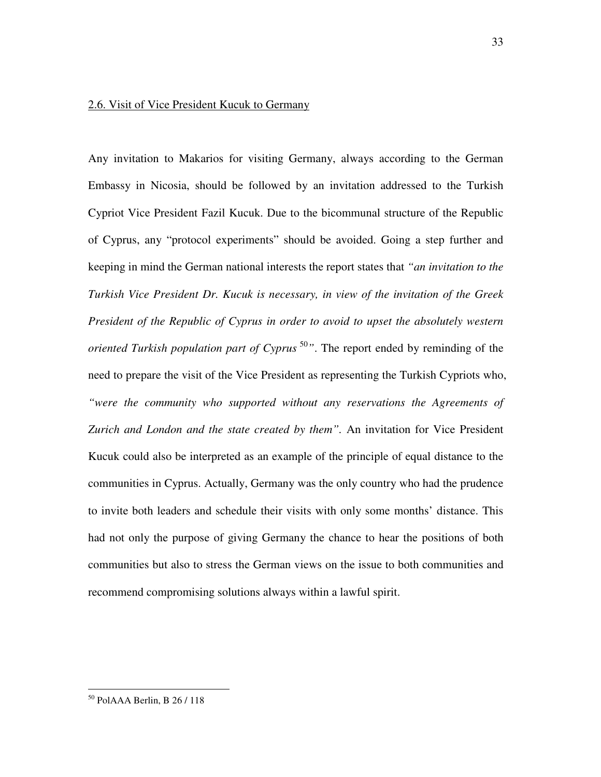#### 2.6. Visit of Vice President Kucuk to Germany

Any invitation to Makarios for visiting Germany, always according to the German Embassy in Nicosia, should be followed by an invitation addressed to the Turkish Cypriot Vice President Fazil Kucuk. Due to the bicommunal structure of the Republic of Cyprus, any "protocol experiments" should be avoided. Going a step further and keeping in mind the German national interests the report states that *"an invitation to the Turkish Vice President Dr. Kucuk is necessary, in view of the invitation of the Greek President of the Republic of Cyprus in order to avoid to upset the absolutely western oriented Turkish population part of Cyprus*<sup>50</sup>*"*. The report ended by reminding of the need to prepare the visit of the Vice President as representing the Turkish Cypriots who, *"were the community who supported without any reservations the Agreements of Zurich and London and the state created by them".* An invitation for Vice President Kucuk could also be interpreted as an example of the principle of equal distance to the communities in Cyprus. Actually, Germany was the only country who had the prudence to invite both leaders and schedule their visits with only some months' distance. This had not only the purpose of giving Germany the chance to hear the positions of both communities but also to stress the German views on the issue to both communities and recommend compromising solutions always within a lawful spirit.

<sup>50</sup> PolAAA Berlin, B 26 / 118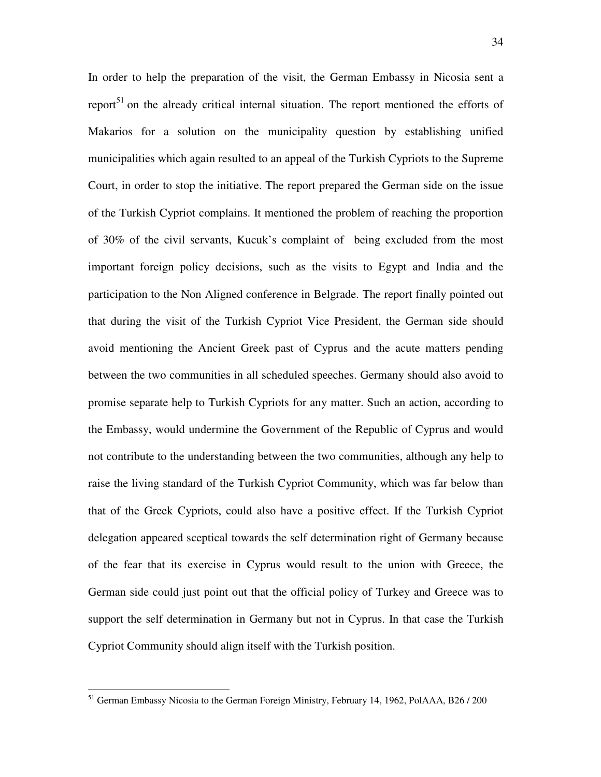In order to help the preparation of the visit, the German Embassy in Nicosia sent a report<sup>51</sup> on the already critical internal situation. The report mentioned the efforts of Makarios for a solution on the municipality question by establishing unified municipalities which again resulted to an appeal of the Turkish Cypriots to the Supreme Court, in order to stop the initiative. The report prepared the German side on the issue of the Turkish Cypriot complains. It mentioned the problem of reaching the proportion of 30% of the civil servants, Kucuk's complaint of being excluded from the most important foreign policy decisions, such as the visits to Egypt and India and the participation to the Non Aligned conference in Belgrade. The report finally pointed out that during the visit of the Turkish Cypriot Vice President, the German side should avoid mentioning the Ancient Greek past of Cyprus and the acute matters pending between the two communities in all scheduled speeches. Germany should also avoid to promise separate help to Turkish Cypriots for any matter. Such an action, according to the Embassy, would undermine the Government of the Republic of Cyprus and would not contribute to the understanding between the two communities, although any help to raise the living standard of the Turkish Cypriot Community, which was far below than that of the Greek Cypriots, could also have a positive effect. If the Turkish Cypriot delegation appeared sceptical towards the self determination right of Germany because of the fear that its exercise in Cyprus would result to the union with Greece, the German side could just point out that the official policy of Turkey and Greece was to support the self determination in Germany but not in Cyprus. In that case the Turkish Cypriot Community should align itself with the Turkish position.

<sup>&</sup>lt;sup>51</sup> German Embassy Nicosia to the German Foreign Ministry, February 14, 1962, PolAAA, B26 / 200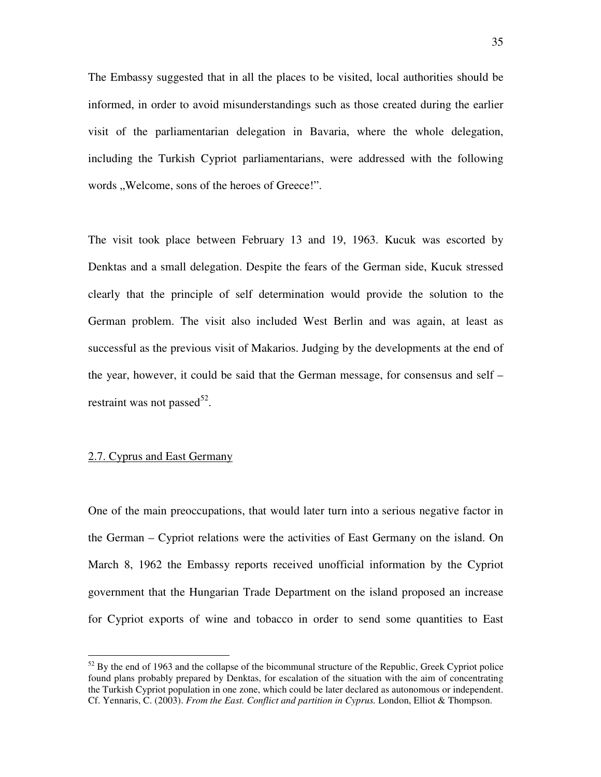The Embassy suggested that in all the places to be visited, local authorities should be informed, in order to avoid misunderstandings such as those created during the earlier visit of the parliamentarian delegation in Bavaria, where the whole delegation, including the Turkish Cypriot parliamentarians, were addressed with the following words "Welcome, sons of the heroes of Greece!".

The visit took place between February 13 and 19, 1963. Kucuk was escorted by Denktas and a small delegation. Despite the fears of the German side, Kucuk stressed clearly that the principle of self determination would provide the solution to the German problem. The visit also included West Berlin and was again, at least as successful as the previous visit of Makarios. Judging by the developments at the end of the year, however, it could be said that the German message, for consensus and self – restraint was not passed $^{52}$ .

#### 2.7. Cyprus and East Germany

 $\overline{a}$ 

One of the main preoccupations, that would later turn into a serious negative factor in the German – Cypriot relations were the activities of East Germany on the island. On March 8, 1962 the Embassy reports received unofficial information by the Cypriot government that the Hungarian Trade Department on the island proposed an increase for Cypriot exports of wine and tobacco in order to send some quantities to East

 $52$  By the end of 1963 and the collapse of the bicommunal structure of the Republic, Greek Cypriot police found plans probably prepared by Denktas, for escalation of the situation with the aim of concentrating the Turkish Cypriot population in one zone, which could be later declared as autonomous or independent. Cf. Yennaris, C. (2003). *From the East. Conflict and partition in Cyprus.* London, Elliot & Thompson.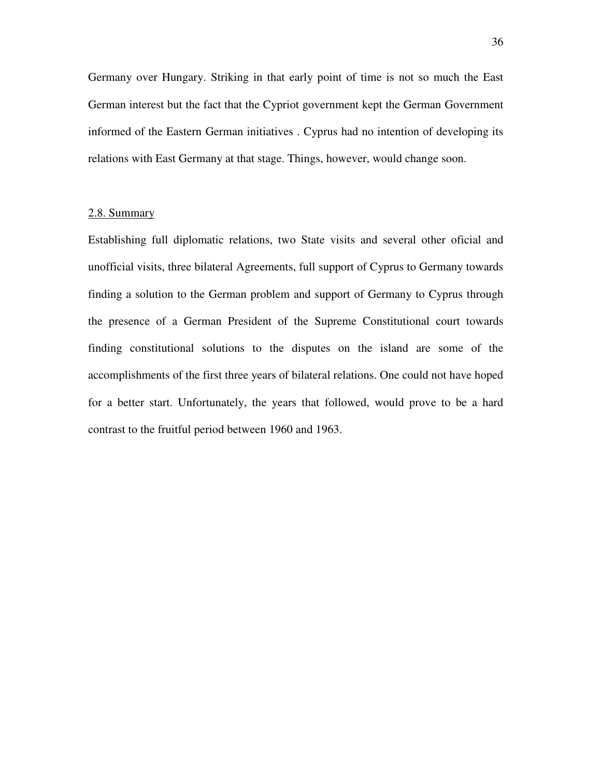Germany over Hungary. Striking in that early point of time is not so much the East German interest but the fact that the Cypriot government kept the German Government informed of the Eastern German initiatives . Cyprus had no intention of developing its relations with East Germany at that stage. Things, however, would change soon.

# 2.8. Summary

Establishing full diplomatic relations, two State visits and several other oficial and unofficial visits, three bilateral Agreements, full support of Cyprus to Germany towards finding a solution to the German problem and support of Germany to Cyprus through the presence of a German President of the Supreme Constitutional court towards finding constitutional solutions to the disputes on the island are some of the accomplishments of the first three years of bilateral relations. One could not have hoped for a better start. Unfortunately, the years that followed, would prove to be a hard contrast to the fruitful period between 1960 and 1963.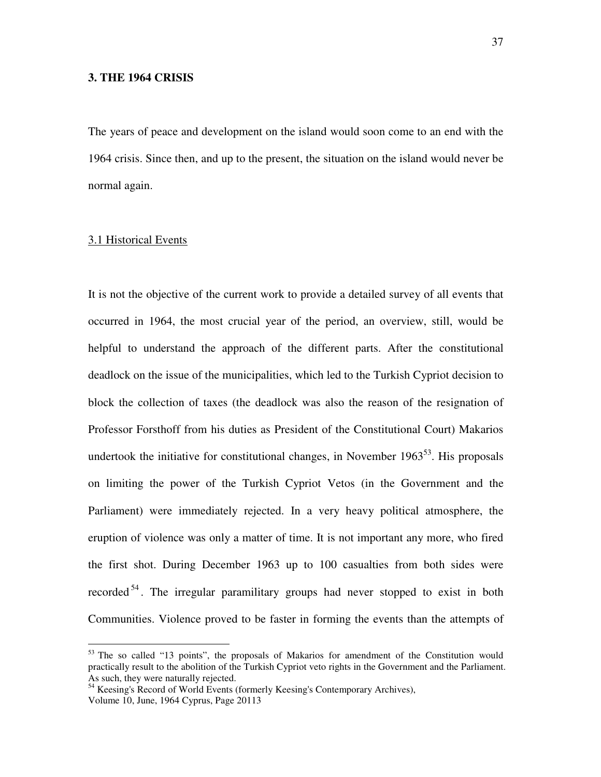## **3. THE 1964 CRISIS**

The years of peace and development on the island would soon come to an end with the 1964 crisis. Since then, and up to the present, the situation on the island would never be normal again.

## 3.1 Historical Events

 $\overline{a}$ 

It is not the objective of the current work to provide a detailed survey of all events that occurred in 1964, the most crucial year of the period, an overview, still, would be helpful to understand the approach of the different parts. After the constitutional deadlock on the issue of the municipalities, which led to the Turkish Cypriot decision to block the collection of taxes (the deadlock was also the reason of the resignation of Professor Forsthoff from his duties as President of the Constitutional Court) Makarios undertook the initiative for constitutional changes, in November  $1963^{53}$ . His proposals on limiting the power of the Turkish Cypriot Vetos (in the Government and the Parliament) were immediately rejected. In a very heavy political atmosphere, the eruption of violence was only a matter of time. It is not important any more, who fired the first shot. During December 1963 up to 100 casualties from both sides were recorded<sup>54</sup>. The irregular paramilitary groups had never stopped to exist in both Communities. Violence proved to be faster in forming the events than the attempts of

<sup>&</sup>lt;sup>53</sup> The so called "13 points", the proposals of Makarios for amendment of the Constitution would practically result to the abolition of the Turkish Cypriot veto rights in the Government and the Parliament. As such, they were naturally rejected.

<sup>&</sup>lt;sup>54</sup> Keesing's Record of World Events (formerly Keesing's Contemporary Archives), Volume 10, June, 1964 Cyprus, Page 20113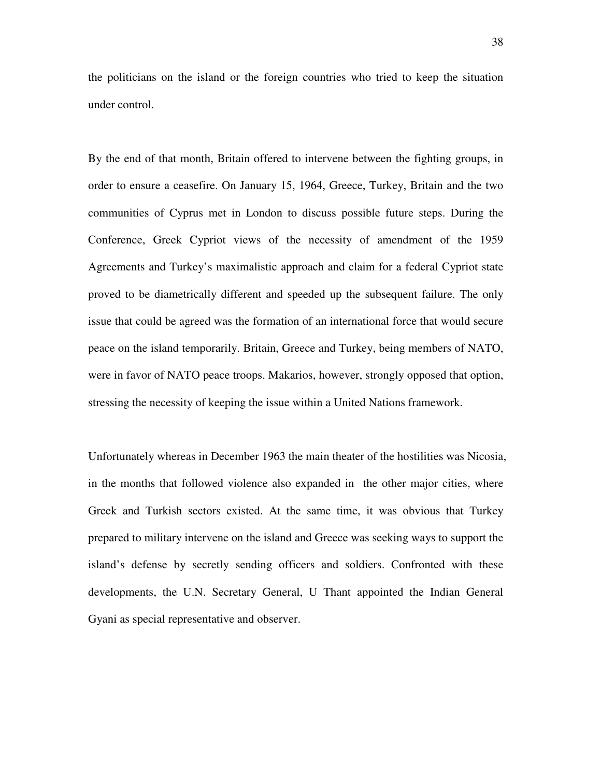the politicians on the island or the foreign countries who tried to keep the situation under control.

By the end of that month, Britain offered to intervene between the fighting groups, in order to ensure a ceasefire. On January 15, 1964, Greece, Turkey, Britain and the two communities of Cyprus met in London to discuss possible future steps. During the Conference, Greek Cypriot views of the necessity of amendment of the 1959 Agreements and Turkey's maximalistic approach and claim for a federal Cypriot state proved to be diametrically different and speeded up the subsequent failure. The only issue that could be agreed was the formation of an international force that would secure peace on the island temporarily. Britain, Greece and Turkey, being members of NATO, were in favor of NATO peace troops. Makarios, however, strongly opposed that option, stressing the necessity of keeping the issue within a United Nations framework.

Unfortunately whereas in December 1963 the main theater of the hostilities was Nicosia, in the months that followed violence also expanded in the other major cities, where Greek and Turkish sectors existed. At the same time, it was obvious that Turkey prepared to military intervene on the island and Greece was seeking ways to support the island's defense by secretly sending officers and soldiers. Confronted with these developments, the U.N. Secretary General, U Thant appointed the Indian General Gyani as special representative and observer.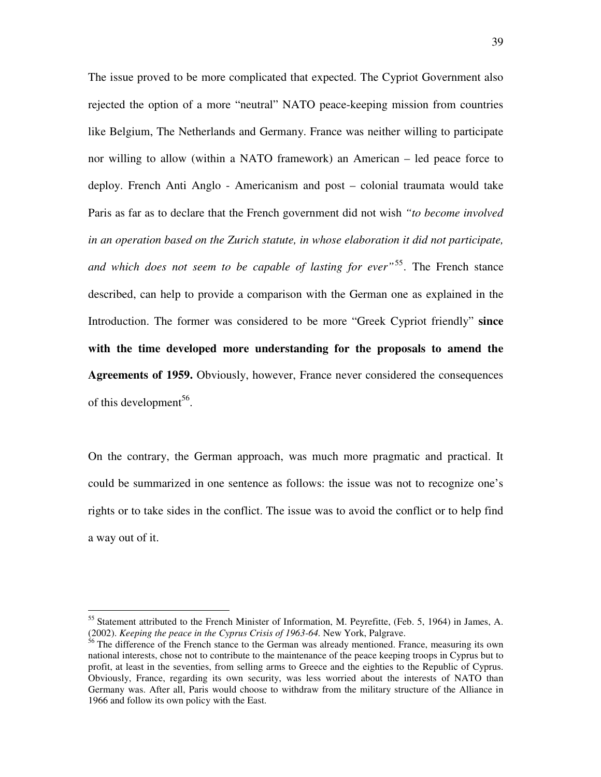The issue proved to be more complicated that expected. The Cypriot Government also rejected the option of a more "neutral" NATO peace-keeping mission from countries like Belgium, The Netherlands and Germany. France was neither willing to participate nor willing to allow (within a NATO framework) an American – led peace force to deploy. French Anti Anglo - Americanism and post – colonial traumata would take Paris as far as to declare that the French government did not wish *"to become involved in an operation based on the Zurich statute, in whose elaboration it did not participate, and which does not seem to be capable of lasting for ever"*<sup>55</sup> *.* The French stance described, can help to provide a comparison with the German one as explained in the Introduction. The former was considered to be more "Greek Cypriot friendly" **since with the time developed more understanding for the proposals to amend the Agreements of 1959.** Obviously, however, France never considered the consequences of this development<sup>56</sup>.

On the contrary, the German approach, was much more pragmatic and practical. It could be summarized in one sentence as follows: the issue was not to recognize one's rights or to take sides in the conflict. The issue was to avoid the conflict or to help find a way out of it.

<sup>55</sup> Statement attributed to the French Minister of Information, M. Peyrefitte, (Feb. 5, 1964) in James, A. (2002). *Keeping the peace in the Cyprus Crisis of 1963-64.* New York, Palgrave.

<sup>&</sup>lt;sup>56</sup> The difference of the French stance to the German was already mentioned. France, measuring its own national interests, chose not to contribute to the maintenance of the peace keeping troops in Cyprus but to profit, at least in the seventies, from selling arms to Greece and the eighties to the Republic of Cyprus. Obviously, France, regarding its own security, was less worried about the interests of NATO than Germany was. After all, Paris would choose to withdraw from the military structure of the Alliance in 1966 and follow its own policy with the East.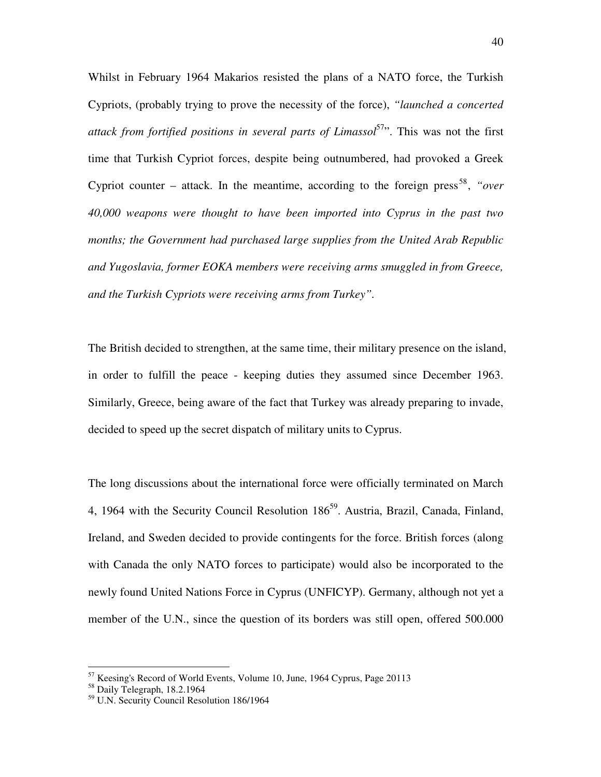Whilst in February 1964 Makarios resisted the plans of a NATO force, the Turkish Cypriots, (probably trying to prove the necessity of the force), *"launched a concerted attack from fortified positions in several parts of Limassol*<sup>57</sup>". This was not the first time that Turkish Cypriot forces, despite being outnumbered, had provoked a Greek Cypriot counter  $-$  attack. In the meantime, according to the foreign press<sup>58</sup>, "over *40,000 weapons were thought to have been imported into Cyprus in the past two months; the Government had purchased large supplies from the United Arab Republic and Yugoslavia, former EOKA members were receiving arms smuggled in from Greece, and the Turkish Cypriots were receiving arms from Turkey".*

The British decided to strengthen, at the same time, their military presence on the island, in order to fulfill the peace - keeping duties they assumed since December 1963. Similarly, Greece, being aware of the fact that Turkey was already preparing to invade, decided to speed up the secret dispatch of military units to Cyprus.

The long discussions about the international force were officially terminated on March 4, 1964 with the Security Council Resolution  $186^{59}$ . Austria, Brazil, Canada, Finland, Ireland, and Sweden decided to provide contingents for the force. British forces (along with Canada the only NATO forces to participate) would also be incorporated to the newly found United Nations Force in Cyprus (UNFICYP). Germany, although not yet a member of the U.N., since the question of its borders was still open, offered 500.000

 $57$  Keesing's Record of World Events, Volume 10, June, 1964 Cyprus, Page 20113

<sup>58</sup> Daily Telegraph, 18.2.1964

<sup>59</sup> U.N. Security Council Resolution 186/1964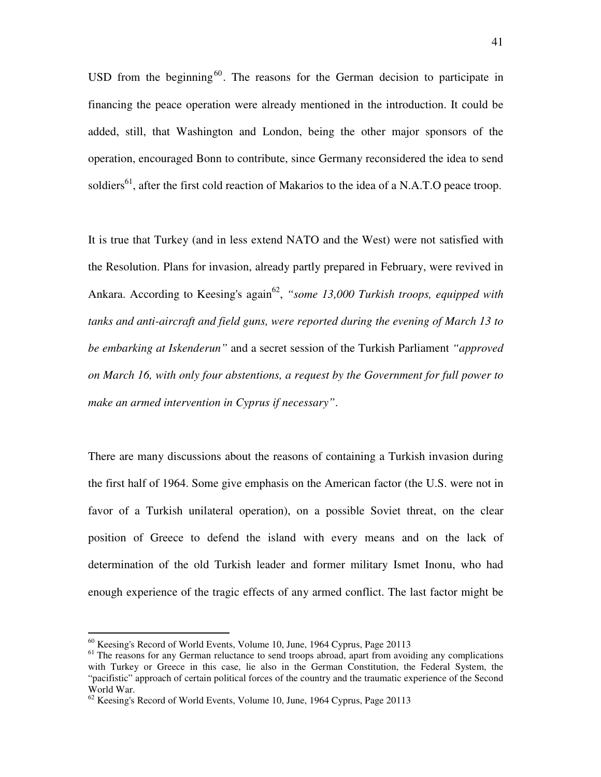USD from the beginning<sup>60</sup>. The reasons for the German decision to participate in financing the peace operation were already mentioned in the introduction. It could be added, still, that Washington and London, being the other major sponsors of the operation, encouraged Bonn to contribute, since Germany reconsidered the idea to send soldiers<sup>61</sup>, after the first cold reaction of Makarios to the idea of a N.A.T.O peace troop.

It is true that Turkey (and in less extend NATO and the West) were not satisfied with the Resolution. Plans for invasion, already partly prepared in February, were revived in Ankara. According to Keesing's again<sup>62</sup>, "some 13,000 Turkish troops, equipped with *tanks and anti-aircraft and field guns, were reported during the evening of March 13 to be embarking at Iskenderun"* and a secret session of the Turkish Parliament *"approved on March 16, with only four abstentions, a request by the Government for full power to make an armed intervention in Cyprus if necessary"*.

There are many discussions about the reasons of containing a Turkish invasion during the first half of 1964. Some give emphasis on the American factor (the U.S. were not in favor of a Turkish unilateral operation), on a possible Soviet threat, on the clear position of Greece to defend the island with every means and on the lack of determination of the old Turkish leader and former military Ismet Inonu, who had enough experience of the tragic effects of any armed conflict. The last factor might be

 $60$  Keesing's Record of World Events, Volume 10, June, 1964 Cyprus, Page 20113

<sup>&</sup>lt;sup>61</sup> The reasons for any German reluctance to send troops abroad, apart from avoiding any complications with Turkey or Greece in this case, lie also in the German Constitution, the Federal System, the "pacifistic" approach of certain political forces of the country and the traumatic experience of the Second World War.

 $62$  Keesing's Record of World Events, Volume 10, June, 1964 Cyprus, Page 20113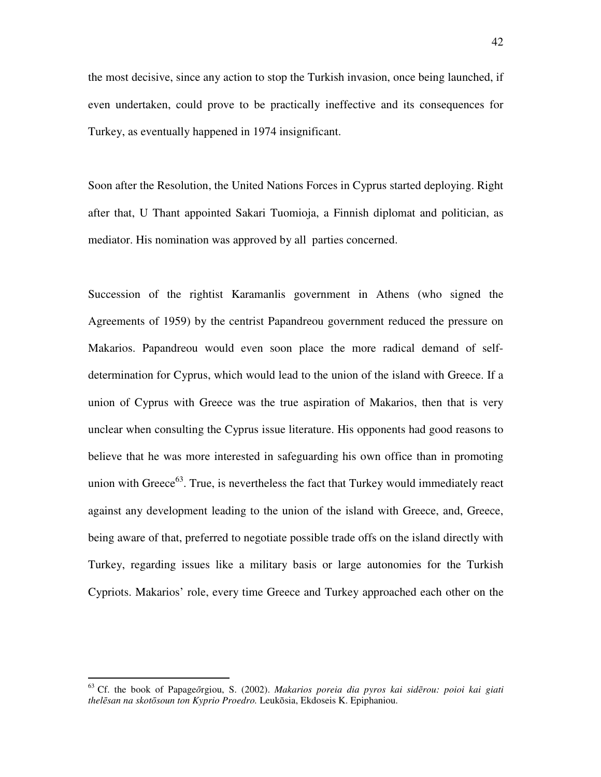the most decisive, since any action to stop the Turkish invasion, once being launched, if even undertaken, could prove to be practically ineffective and its consequences for Turkey, as eventually happened in 1974 insignificant.

Soon after the Resolution, the United Nations Forces in Cyprus started deploying. Right after that, U Thant appointed Sakari Tuomioja, a Finnish diplomat and politician, as mediator. His nomination was approved by all parties concerned.

Succession of the rightist Karamanlis government in Athens (who signed the Agreements of 1959) by the centrist Papandreou government reduced the pressure on Makarios. Papandreou would even soon place the more radical demand of selfdetermination for Cyprus, which would lead to the union of the island with Greece. If a union of Cyprus with Greece was the true aspiration of Makarios, then that is very unclear when consulting the Cyprus issue literature. His opponents had good reasons to believe that he was more interested in safeguarding his own office than in promoting union with Greece<sup>63</sup>. True, is nevertheless the fact that Turkey would immediately react against any development leading to the union of the island with Greece, and, Greece, being aware of that, preferred to negotiate possible trade offs on the island directly with Turkey, regarding issues like a military basis or large autonomies for the Turkish Cypriots. Makarios' role, every time Greece and Turkey approached each other on the

<sup>63</sup> Cf. the book of Papageōrgiou, S. (2002). *Makarios poreia dia pyros kai sid*ē*rou: poioi kai giati thel*ē*san na skot*ō*soun ton Kyprio Proedro.* Leukōsia, Ekdoseis K. Epiphaniou.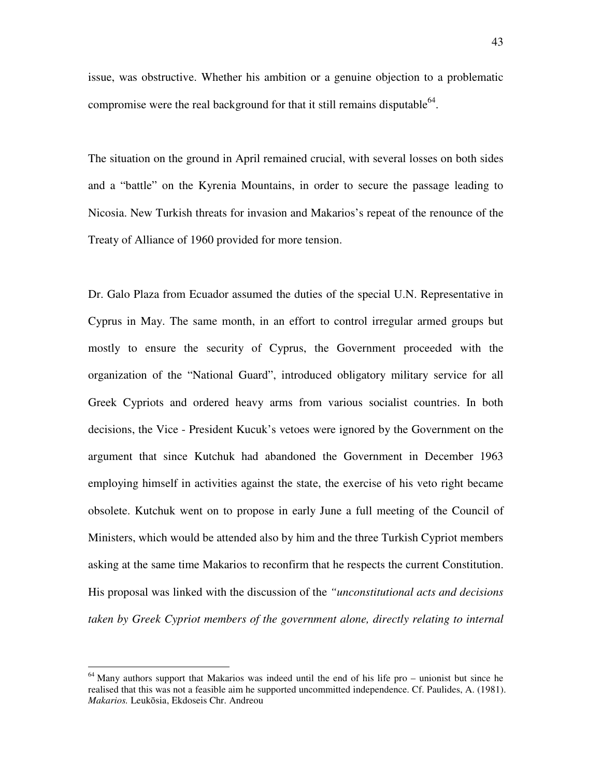issue, was obstructive. Whether his ambition or a genuine objection to a problematic compromise were the real background for that it still remains disputable  $64$ .

The situation on the ground in April remained crucial, with several losses on both sides and a "battle" on the Kyrenia Mountains, in order to secure the passage leading to Nicosia. New Turkish threats for invasion and Makarios's repeat of the renounce of the Treaty of Alliance of 1960 provided for more tension.

Dr. Galo Plaza from Ecuador assumed the duties of the special U.N. Representative in Cyprus in May. The same month, in an effort to control irregular armed groups but mostly to ensure the security of Cyprus, the Government proceeded with the organization of the "National Guard", introduced obligatory military service for all Greek Cypriots and ordered heavy arms from various socialist countries. In both decisions, the Vice - President Kucuk's vetoes were ignored by the Government on the argument that since Kutchuk had abandoned the Government in December 1963 employing himself in activities against the state, the exercise of his veto right became obsolete. Kutchuk went on to propose in early June a full meeting of the Council of Ministers, which would be attended also by him and the three Turkish Cypriot members asking at the same time Makarios to reconfirm that he respects the current Constitution. His proposal was linked with the discussion of the *"unconstitutional acts and decisions taken by Greek Cypriot members of the government alone, directly relating to internal* 

 $64$  Many authors support that Makarios was indeed until the end of his life pro – unionist but since he realised that this was not a feasible aim he supported uncommitted independence. Cf. Paulides, A. (1981). *Makarios.* Leukōsia, Ekdoseis Chr. Andreou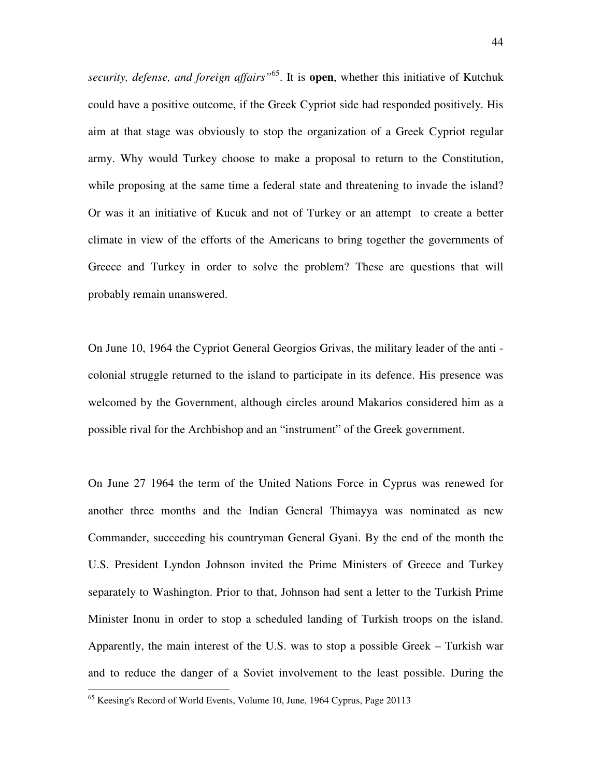*security, defense, and foreign affairs"*<sup>65</sup>. It is **open**, whether this initiative of Kutchuk could have a positive outcome, if the Greek Cypriot side had responded positively. His aim at that stage was obviously to stop the organization of a Greek Cypriot regular army. Why would Turkey choose to make a proposal to return to the Constitution, while proposing at the same time a federal state and threatening to invade the island? Or was it an initiative of Kucuk and not of Turkey or an attempt to create a better climate in view of the efforts of the Americans to bring together the governments of Greece and Turkey in order to solve the problem? These are questions that will probably remain unanswered.

On June 10, 1964 the Cypriot General Georgios Grivas, the military leader of the anti colonial struggle returned to the island to participate in its defence. His presence was welcomed by the Government, although circles around Makarios considered him as a possible rival for the Archbishop and an "instrument" of the Greek government.

On June 27 1964 the term of the United Nations Force in Cyprus was renewed for another three months and the Indian General Thimayya was nominated as new Commander, succeeding his countryman General Gyani. By the end of the month the U.S. President Lyndon Johnson invited the Prime Ministers of Greece and Turkey separately to Washington. Prior to that, Johnson had sent a letter to the Turkish Prime Minister Inonu in order to stop a scheduled landing of Turkish troops on the island. Apparently, the main interest of the U.S. was to stop a possible Greek – Turkish war and to reduce the danger of a Soviet involvement to the least possible. During the

<sup>&</sup>lt;sup>65</sup> Keesing's Record of World Events, Volume 10, June, 1964 Cyprus, Page 20113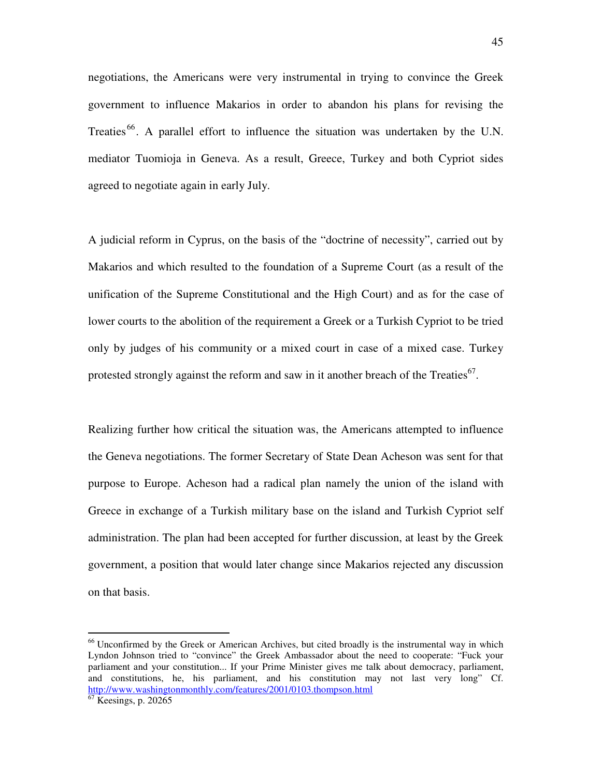negotiations, the Americans were very instrumental in trying to convince the Greek government to influence Makarios in order to abandon his plans for revising the Treaties  $66$ . A parallel effort to influence the situation was undertaken by the U.N. mediator Tuomioja in Geneva. As a result, Greece, Turkey and both Cypriot sides agreed to negotiate again in early July.

A judicial reform in Cyprus, on the basis of the "doctrine of necessity", carried out by Makarios and which resulted to the foundation of a Supreme Court (as a result of the unification of the Supreme Constitutional and the High Court) and as for the case of lower courts to the abolition of the requirement a Greek or a Turkish Cypriot to be tried only by judges of his community or a mixed court in case of a mixed case. Turkey protested strongly against the reform and saw in it another breach of the Treaties<sup>67</sup>.

Realizing further how critical the situation was, the Americans attempted to influence the Geneva negotiations. The former Secretary of State Dean Acheson was sent for that purpose to Europe. Acheson had a radical plan namely the union of the island with Greece in exchange of a Turkish military base on the island and Turkish Cypriot self administration. The plan had been accepted for further discussion, at least by the Greek government, a position that would later change since Makarios rejected any discussion on that basis.

<sup>&</sup>lt;sup>66</sup> Unconfirmed by the Greek or American Archives, but cited broadly is the instrumental way in which Lyndon Johnson tried to "convince" the Greek Ambassador about the need to cooperate: "Fuck your parliament and your constitution... If your Prime Minister gives me talk about democracy, parliament, and constitutions, he, his parliament, and his constitution may not last very long" Cf. http://www.washingtonmonthly.com/features/2001/0103.thompson.html

 $\overline{67}$  Keesings, p. 20265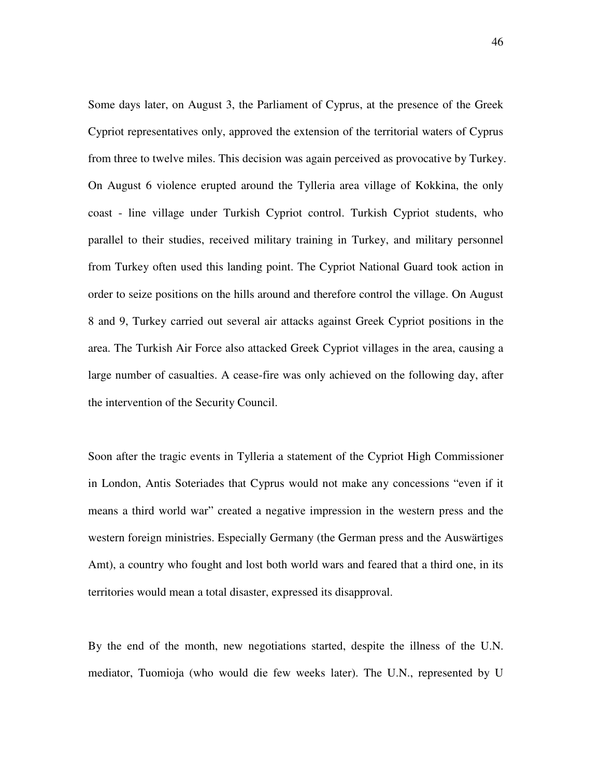Some days later, on August 3, the Parliament of Cyprus, at the presence of the Greek Cypriot representatives only, approved the extension of the territorial waters of Cyprus from three to twelve miles. This decision was again perceived as provocative by Turkey. On August 6 violence erupted around the Tylleria area village of Kokkina, the only coast - line village under Turkish Cypriot control. Turkish Cypriot students, who parallel to their studies, received military training in Turkey, and military personnel from Turkey often used this landing point. The Cypriot National Guard took action in order to seize positions on the hills around and therefore control the village. On August 8 and 9, Turkey carried out several air attacks against Greek Cypriot positions in the area. The Turkish Air Force also attacked Greek Cypriot villages in the area, causing a large number of casualties. A cease-fire was only achieved on the following day, after the intervention of the Security Council.

Soon after the tragic events in Tylleria a statement of the Cypriot High Commissioner in London, Antis Soteriades that Cyprus would not make any concessions "even if it means a third world war" created a negative impression in the western press and the western foreign ministries. Especially Germany (the German press and the Auswärtiges Amt), a country who fought and lost both world wars and feared that a third one, in its territories would mean a total disaster, expressed its disapproval.

By the end of the month, new negotiations started, despite the illness of the U.N. mediator, Tuomioja (who would die few weeks later). The U.N., represented by U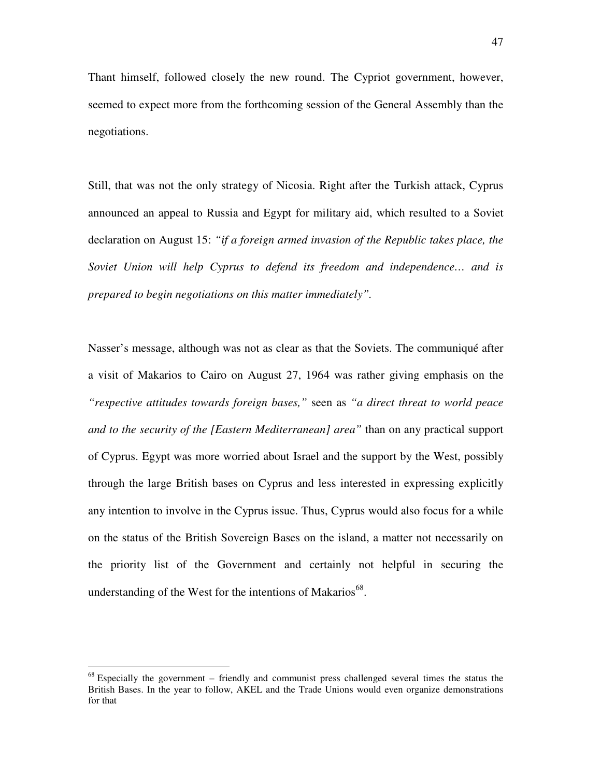Thant himself, followed closely the new round. The Cypriot government, however, seemed to expect more from the forthcoming session of the General Assembly than the negotiations.

Still, that was not the only strategy of Nicosia. Right after the Turkish attack, Cyprus announced an appeal to Russia and Egypt for military aid, which resulted to a Soviet declaration on August 15: *"if a foreign armed invasion of the Republic takes place, the Soviet Union will help Cyprus to defend its freedom and independence… and is prepared to begin negotiations on this matter immediately".*

Nasser's message, although was not as clear as that the Soviets. The communiqué after a visit of Makarios to Cairo on August 27, 1964 was rather giving emphasis on the *"respective attitudes towards foreign bases,"* seen as *"a direct threat to world peace and to the security of the [Eastern Mediterranean] area"* than on any practical support of Cyprus. Egypt was more worried about Israel and the support by the West, possibly through the large British bases on Cyprus and less interested in expressing explicitly any intention to involve in the Cyprus issue. Thus, Cyprus would also focus for a while on the status of the British Sovereign Bases on the island, a matter not necessarily on the priority list of the Government and certainly not helpful in securing the understanding of the West for the intentions of Makarios $^{68}$ .

 $68$  Especially the government – friendly and communist press challenged several times the status the British Bases. In the year to follow, AKEL and the Trade Unions would even organize demonstrations for that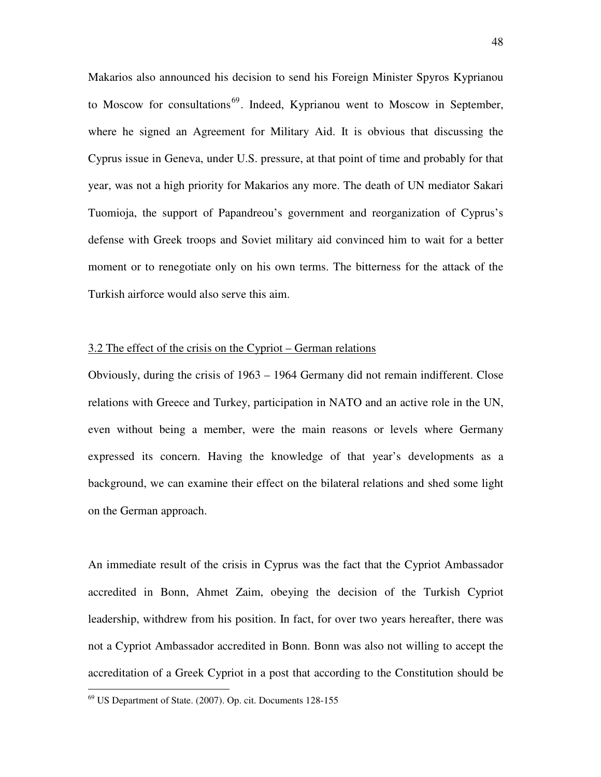Makarios also announced his decision to send his Foreign Minister Spyros Kyprianou to Moscow for consultations<sup>69</sup>. Indeed, Kyprianou went to Moscow in September, where he signed an Agreement for Military Aid. It is obvious that discussing the Cyprus issue in Geneva, under U.S. pressure, at that point of time and probably for that year, was not a high priority for Makarios any more. The death of UN mediator Sakari Tuomioja, the support of Papandreou's government and reorganization of Cyprus's defense with Greek troops and Soviet military aid convinced him to wait for a better moment or to renegotiate only on his own terms. The bitterness for the attack of the Turkish airforce would also serve this aim.

## 3.2 The effect of the crisis on the Cypriot – German relations

Obviously, during the crisis of 1963 – 1964 Germany did not remain indifferent. Close relations with Greece and Turkey, participation in NATO and an active role in the UN, even without being a member, were the main reasons or levels where Germany expressed its concern. Having the knowledge of that year's developments as a background, we can examine their effect on the bilateral relations and shed some light on the German approach.

An immediate result of the crisis in Cyprus was the fact that the Cypriot Ambassador accredited in Bonn, Ahmet Zaim, obeying the decision of the Turkish Cypriot leadership, withdrew from his position. In fact, for over two years hereafter, there was not a Cypriot Ambassador accredited in Bonn. Bonn was also not willing to accept the accreditation of a Greek Cypriot in a post that according to the Constitution should be

 $69$  US Department of State. (2007). Op. cit. Documents 128-155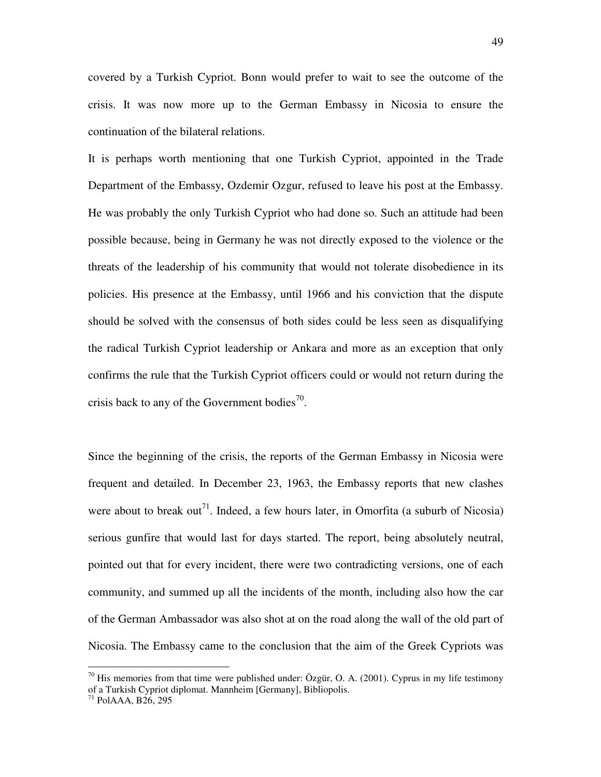covered by a Turkish Cypriot. Bonn would prefer to wait to see the outcome of the crisis. It was now more up to the German Embassy in Nicosia to ensure the continuation of the bilateral relations.

It is perhaps worth mentioning that one Turkish Cypriot, appointed in the Trade Department of the Embassy, Ozdemir Ozgur, refused to leave his post at the Embassy. He was probably the only Turkish Cypriot who had done so. Such an attitude had been possible because, being in Germany he was not directly exposed to the violence or the threats of the leadership of his community that would not tolerate disobedience in its policies. His presence at the Embassy, until 1966 and his conviction that the dispute should be solved with the consensus of both sides could be less seen as disqualifying the radical Turkish Cypriot leadership or Ankara and more as an exception that only confirms the rule that the Turkish Cypriot officers could or would not return during the crisis back to any of the Government bodies<sup>70</sup>.

Since the beginning of the crisis, the reports of the German Embassy in Nicosia were frequent and detailed. In December 23, 1963, the Embassy reports that new clashes were about to break out<sup>71</sup>. Indeed, a few hours later, in Omorfita (a suburb of Nicosia) serious gunfire that would last for days started. The report, being absolutely neutral, pointed out that for every incident, there were two contradicting versions, one of each community, and summed up all the incidents of the month, including also how the car of the German Ambassador was also shot at on the road along the wall of the old part of Nicosia. The Embassy came to the conclusion that the aim of the Greek Cypriots was

 $70$  His memories from that time were published under: Özgür, O. A. (2001). Cyprus in my life testimony of a Turkish Cypriot diplomat. Mannheim [Germany], Bibliopolis.

 $71$  PolAAA, B26, 295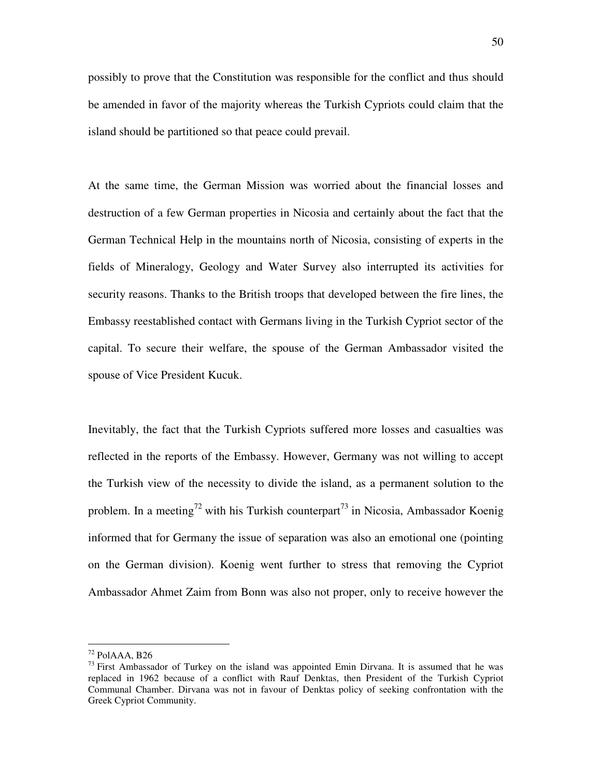possibly to prove that the Constitution was responsible for the conflict and thus should be amended in favor of the majority whereas the Turkish Cypriots could claim that the island should be partitioned so that peace could prevail.

At the same time, the German Mission was worried about the financial losses and destruction of a few German properties in Nicosia and certainly about the fact that the German Technical Help in the mountains north of Nicosia, consisting of experts in the fields of Mineralogy, Geology and Water Survey also interrupted its activities for security reasons. Thanks to the British troops that developed between the fire lines, the Embassy reestablished contact with Germans living in the Turkish Cypriot sector of the capital. To secure their welfare, the spouse of the German Ambassador visited the spouse of Vice President Kucuk.

Inevitably, the fact that the Turkish Cypriots suffered more losses and casualties was reflected in the reports of the Embassy. However, Germany was not willing to accept the Turkish view of the necessity to divide the island, as a permanent solution to the problem. In a meeting<sup>72</sup> with his Turkish counterpart<sup>73</sup> in Nicosia, Ambassador Koenig informed that for Germany the issue of separation was also an emotional one (pointing on the German division). Koenig went further to stress that removing the Cypriot Ambassador Ahmet Zaim from Bonn was also not proper, only to receive however the

 $72$  PolAAA, B26

 $^{73}$  First Ambassador of Turkey on the island was appointed Emin Dirvana. It is assumed that he was replaced in 1962 because of a conflict with Rauf Denktas, then President of the Turkish Cypriot Communal Chamber. Dirvana was not in favour of Denktas policy of seeking confrontation with the Greek Cypriot Community.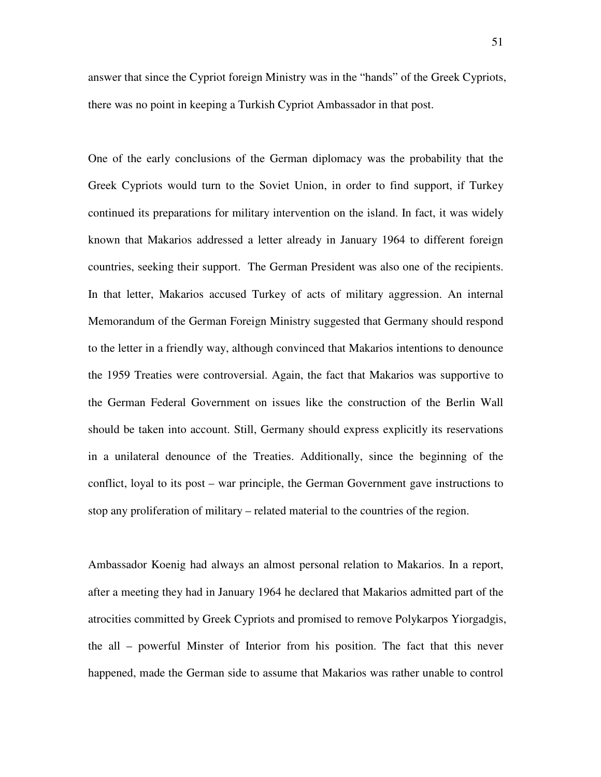answer that since the Cypriot foreign Ministry was in the "hands" of the Greek Cypriots, there was no point in keeping a Turkish Cypriot Ambassador in that post.

One of the early conclusions of the German diplomacy was the probability that the Greek Cypriots would turn to the Soviet Union, in order to find support, if Turkey continued its preparations for military intervention on the island. In fact, it was widely known that Makarios addressed a letter already in January 1964 to different foreign countries, seeking their support. The German President was also one of the recipients. In that letter, Makarios accused Turkey of acts of military aggression. An internal Memorandum of the German Foreign Ministry suggested that Germany should respond to the letter in a friendly way, although convinced that Makarios intentions to denounce the 1959 Treaties were controversial. Again, the fact that Makarios was supportive to the German Federal Government on issues like the construction of the Berlin Wall should be taken into account. Still, Germany should express explicitly its reservations in a unilateral denounce of the Treaties. Additionally, since the beginning of the conflict, loyal to its post – war principle, the German Government gave instructions to stop any proliferation of military – related material to the countries of the region.

Ambassador Koenig had always an almost personal relation to Makarios. In a report, after a meeting they had in January 1964 he declared that Makarios admitted part of the atrocities committed by Greek Cypriots and promised to remove Polykarpos Yiorgadgis, the all – powerful Minster of Interior from his position. The fact that this never happened, made the German side to assume that Makarios was rather unable to control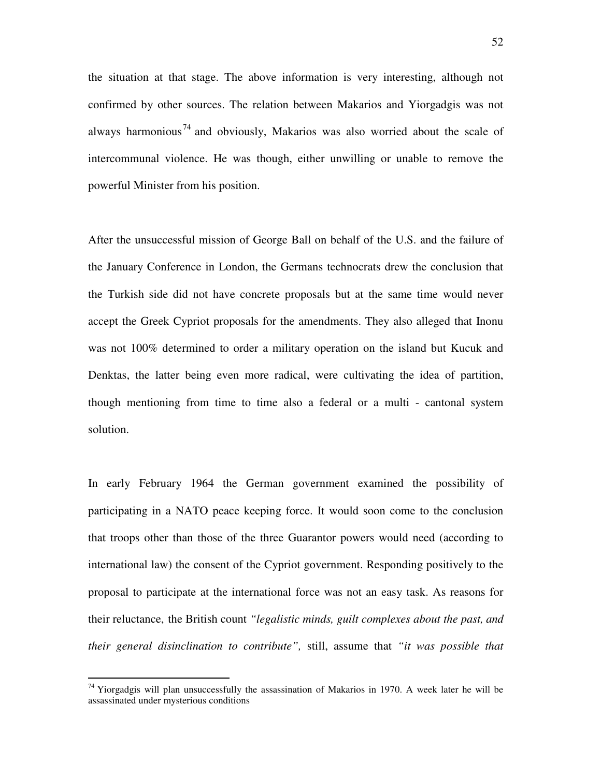the situation at that stage. The above information is very interesting, although not confirmed by other sources. The relation between Makarios and Yiorgadgis was not always harmonious<sup>74</sup> and obviously, Makarios was also worried about the scale of intercommunal violence. He was though, either unwilling or unable to remove the powerful Minister from his position.

After the unsuccessful mission of George Ball on behalf of the U.S. and the failure of the January Conference in London, the Germans technocrats drew the conclusion that the Turkish side did not have concrete proposals but at the same time would never accept the Greek Cypriot proposals for the amendments. They also alleged that Inonu was not 100% determined to order a military operation on the island but Kucuk and Denktas, the latter being even more radical, were cultivating the idea of partition, though mentioning from time to time also a federal or a multi - cantonal system solution.

In early February 1964 the German government examined the possibility of participating in a NATO peace keeping force. It would soon come to the conclusion that troops other than those of the three Guarantor powers would need (according to international law) the consent of the Cypriot government. Responding positively to the proposal to participate at the international force was not an easy task. As reasons for their reluctance, the British count *"legalistic minds, guilt complexes about the past, and their general disinclination to contribute",* still, assume that *"it was possible that* 

 $74$  Yiorgadgis will plan unsuccessfully the assassination of Makarios in 1970. A week later he will be assassinated under mysterious conditions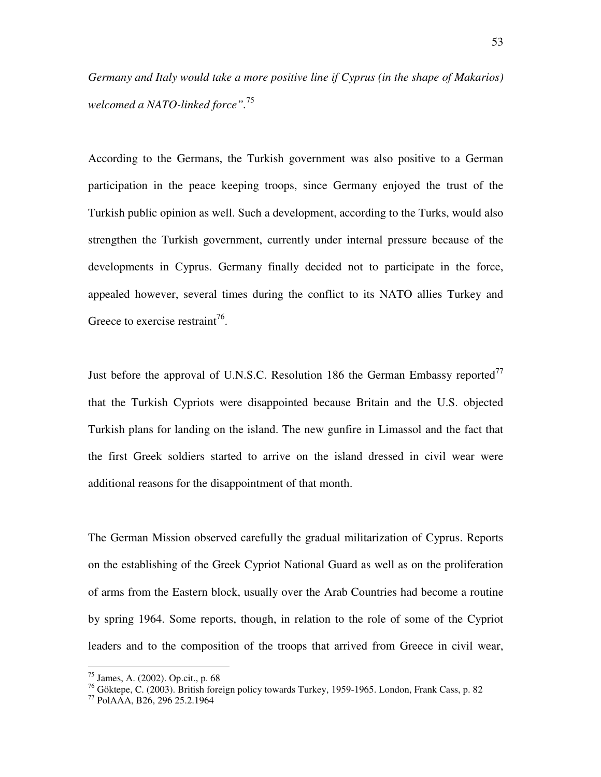*Germany and Italy would take a more positive line if Cyprus (in the shape of Makarios) welcomed a NATO-linked force".*<sup>75</sup>

According to the Germans, the Turkish government was also positive to a German participation in the peace keeping troops, since Germany enjoyed the trust of the Turkish public opinion as well. Such a development, according to the Turks, would also strengthen the Turkish government, currently under internal pressure because of the developments in Cyprus. Germany finally decided not to participate in the force, appealed however, several times during the conflict to its NATO allies Turkey and Greece to exercise restraint<sup>76</sup>.

Just before the approval of U.N.S.C. Resolution 186 the German Embassy reported<sup>77</sup> that the Turkish Cypriots were disappointed because Britain and the U.S. objected Turkish plans for landing on the island. The new gunfire in Limassol and the fact that the first Greek soldiers started to arrive on the island dressed in civil wear were additional reasons for the disappointment of that month.

The German Mission observed carefully the gradual militarization of Cyprus. Reports on the establishing of the Greek Cypriot National Guard as well as on the proliferation of arms from the Eastern block, usually over the Arab Countries had become a routine by spring 1964. Some reports, though, in relation to the role of some of the Cypriot leaders and to the composition of the troops that arrived from Greece in civil wear,

<sup>75</sup> James, A. (2002). Op.cit., p. 68

 $^{76}$  Göktepe, C. (2003). British foreign policy towards Turkey, 1959-1965. London, Frank Cass, p. 82

<sup>77</sup> PolAAA, B26, 296 25.2.1964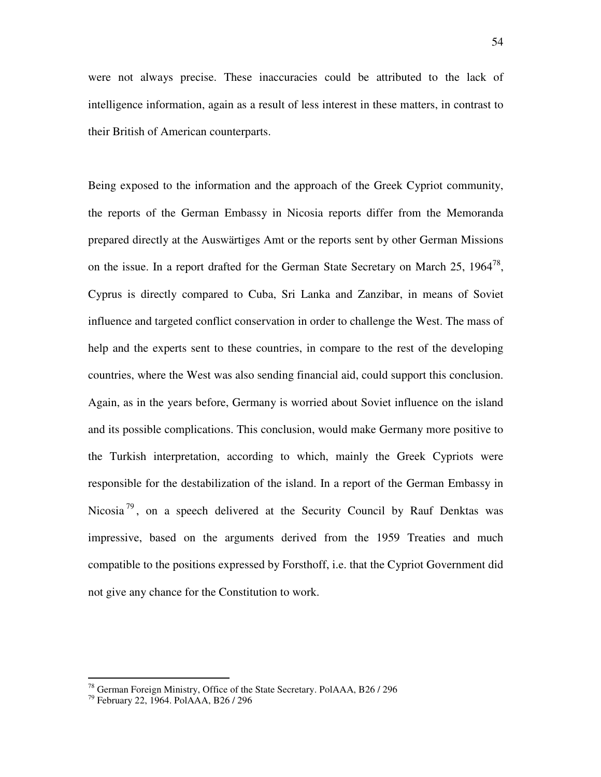were not always precise. These inaccuracies could be attributed to the lack of intelligence information, again as a result of less interest in these matters, in contrast to their British of American counterparts.

Being exposed to the information and the approach of the Greek Cypriot community, the reports of the German Embassy in Nicosia reports differ from the Memoranda prepared directly at the Auswärtiges Amt or the reports sent by other German Missions on the issue. In a report drafted for the German State Secretary on March 25,  $1964^{78}$ , Cyprus is directly compared to Cuba, Sri Lanka and Zanzibar, in means of Soviet influence and targeted conflict conservation in order to challenge the West. The mass of help and the experts sent to these countries, in compare to the rest of the developing countries, where the West was also sending financial aid, could support this conclusion. Again, as in the years before, Germany is worried about Soviet influence on the island and its possible complications. This conclusion, would make Germany more positive to the Turkish interpretation, according to which, mainly the Greek Cypriots were responsible for the destabilization of the island. In a report of the German Embassy in Nicosia<sup>79</sup>, on a speech delivered at the Security Council by Rauf Denktas was impressive, based on the arguments derived from the 1959 Treaties and much compatible to the positions expressed by Forsthoff, i.e. that the Cypriot Government did not give any chance for the Constitution to work.

 $^{78}$  German Foreign Ministry, Office of the State Secretary. PolAAA, B26/296

<sup>79</sup> February 22, 1964. PolAAA, B26 / 296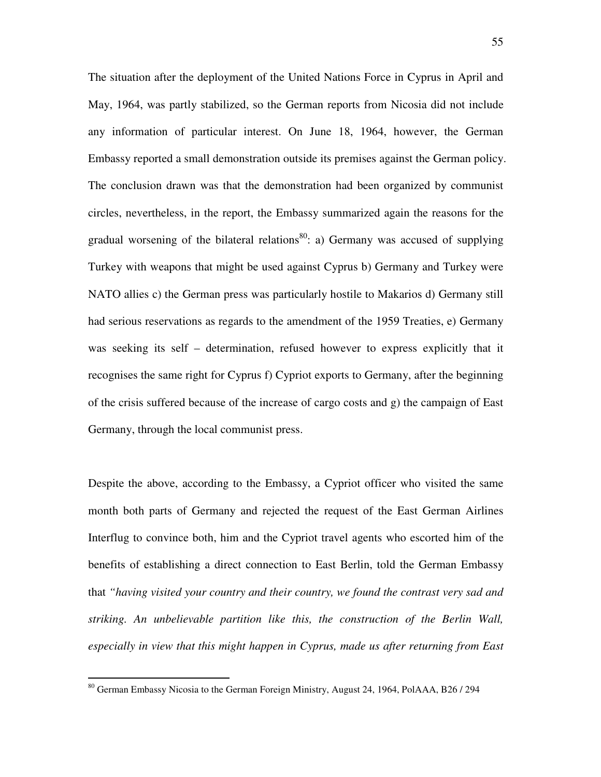The situation after the deployment of the United Nations Force in Cyprus in April and May, 1964, was partly stabilized, so the German reports from Nicosia did not include any information of particular interest. On June 18, 1964, however, the German Embassy reported a small demonstration outside its premises against the German policy. The conclusion drawn was that the demonstration had been organized by communist circles, nevertheless, in the report, the Embassy summarized again the reasons for the gradual worsening of the bilateral relations<sup>80</sup>: a) Germany was accused of supplying Turkey with weapons that might be used against Cyprus b) Germany and Turkey were NATO allies c) the German press was particularly hostile to Makarios d) Germany still had serious reservations as regards to the amendment of the 1959 Treaties, e) Germany was seeking its self – determination, refused however to express explicitly that it recognises the same right for Cyprus f) Cypriot exports to Germany, after the beginning of the crisis suffered because of the increase of cargo costs and g) the campaign of East Germany, through the local communist press.

Despite the above, according to the Embassy, a Cypriot officer who visited the same month both parts of Germany and rejected the request of the East German Airlines Interflug to convince both, him and the Cypriot travel agents who escorted him of the benefits of establishing a direct connection to East Berlin, told the German Embassy that *"having visited your country and their country, we found the contrast very sad and striking. An unbelievable partition like this, the construction of the Berlin Wall, especially in view that this might happen in Cyprus, made us after returning from East* 

<sup>&</sup>lt;sup>80</sup> German Embassy Nicosia to the German Foreign Ministry, August 24, 1964, PolAAA, B26 / 294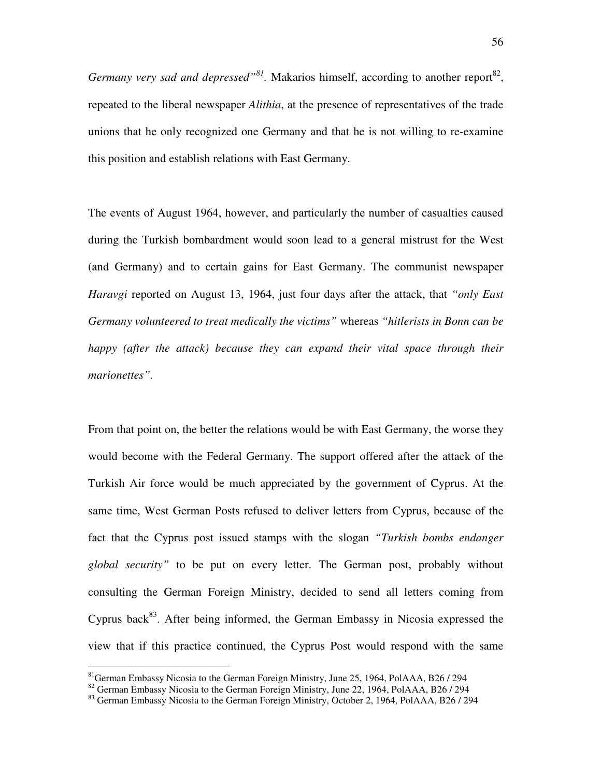*Germany very sad and depressed*<sup>38</sup>. Makarios himself, according to another report<sup>82</sup>, repeated to the liberal newspaper *Alithia*, at the presence of representatives of the trade unions that he only recognized one Germany and that he is not willing to re-examine this position and establish relations with East Germany.

The events of August 1964, however, and particularly the number of casualties caused during the Turkish bombardment would soon lead to a general mistrust for the West (and Germany) and to certain gains for East Germany. The communist newspaper *Haravgi* reported on August 13, 1964, just four days after the attack, that *"only East Germany volunteered to treat medically the victims"* whereas *"hitlerists in Bonn can be happy (after the attack) because they can expand their vital space through their marionettes".*

From that point on, the better the relations would be with East Germany, the worse they would become with the Federal Germany. The support offered after the attack of the Turkish Air force would be much appreciated by the government of Cyprus. At the same time, West German Posts refused to deliver letters from Cyprus, because of the fact that the Cyprus post issued stamps with the slogan *"Turkish bombs endanger global security"* to be put on every letter. The German post, probably without consulting the German Foreign Ministry, decided to send all letters coming from Cyprus back<sup>83</sup>. After being informed, the German Embassy in Nicosia expressed the view that if this practice continued, the Cyprus Post would respond with the same

<sup>&</sup>lt;sup>81</sup>German Embassy Nicosia to the German Foreign Ministry, June 25, 1964, PolAAA, B26 / 294

<sup>&</sup>lt;sup>82</sup> German Embassy Nicosia to the German Foreign Ministry, June 22, 1964, PolAAA, B26 / 294

 $83$  German Embassy Nicosia to the German Foreign Ministry, October 2, 1964, PolAAA, B26 / 294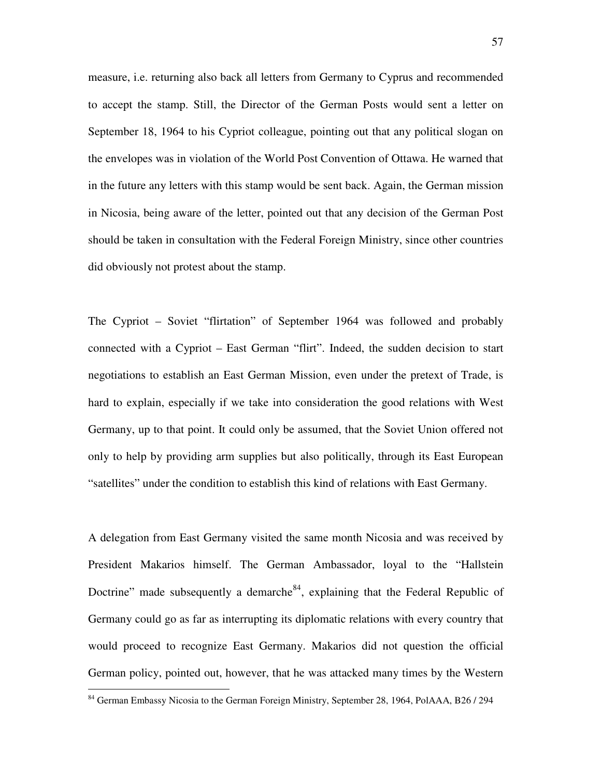measure, i.e. returning also back all letters from Germany to Cyprus and recommended to accept the stamp. Still, the Director of the German Posts would sent a letter on September 18, 1964 to his Cypriot colleague, pointing out that any political slogan on the envelopes was in violation of the World Post Convention of Ottawa. He warned that in the future any letters with this stamp would be sent back. Again, the German mission in Nicosia, being aware of the letter, pointed out that any decision of the German Post should be taken in consultation with the Federal Foreign Ministry, since other countries did obviously not protest about the stamp.

The Cypriot – Soviet "flirtation" of September 1964 was followed and probably connected with a Cypriot – East German "flirt". Indeed, the sudden decision to start negotiations to establish an East German Mission, even under the pretext of Trade, is hard to explain, especially if we take into consideration the good relations with West Germany, up to that point. It could only be assumed, that the Soviet Union offered not only to help by providing arm supplies but also politically, through its East European "satellites" under the condition to establish this kind of relations with East Germany.

A delegation from East Germany visited the same month Nicosia and was received by President Makarios himself. The German Ambassador, loyal to the "Hallstein Doctrine" made subsequently a demarche<sup>84</sup>, explaining that the Federal Republic of Germany could go as far as interrupting its diplomatic relations with every country that would proceed to recognize East Germany. Makarios did not question the official German policy, pointed out, however, that he was attacked many times by the Western

<sup>&</sup>lt;sup>84</sup> German Embassy Nicosia to the German Foreign Ministry, September 28, 1964, PolAAA, B26 / 294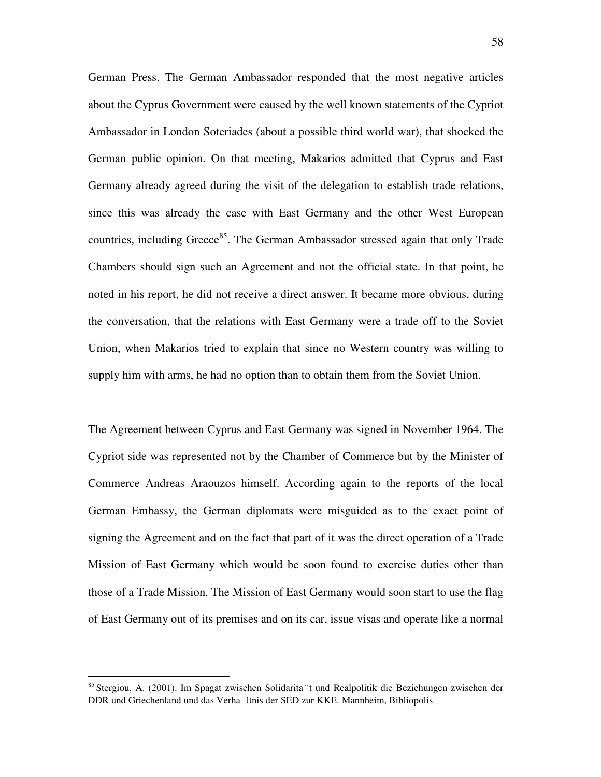German Press. The German Ambassador responded that the most negative articles about the Cyprus Government were caused by the well known statements of the Cypriot Ambassador in London Soteriades (about a possible third world war), that shocked the German public opinion. On that meeting, Makarios admitted that Cyprus and East Germany already agreed during the visit of the delegation to establish trade relations, since this was already the case with East Germany and the other West European countries, including Greece<sup>85</sup>. The German Ambassador stressed again that only Trade Chambers should sign such an Agreement and not the official state. In that point, he noted in his report, he did not receive a direct answer. It became more obvious, during the conversation, that the relations with East Germany were a trade off to the Soviet Union, when Makarios tried to explain that since no Western country was willing to supply him with arms, he had no option than to obtain them from the Soviet Union.

The Agreement between Cyprus and East Germany was signed in November 1964. The Cypriot side was represented not by the Chamber of Commerce but by the Minister of Commerce Andreas Araouzos himself. According again to the reports of the local German Embassy, the German diplomats were misguided as to the exact point of signing the Agreement and on the fact that part of it was the direct operation of a Trade Mission of East Germany which would be soon found to exercise duties other than those of a Trade Mission. The Mission of East Germany would soon start to use the flag of East Germany out of its premises and on its car, issue visas and operate like a normal

<sup>85</sup> Stergiou, A. (2001). Im Spagat zwischen Solidarita t und Realpolitik die Beziehungen zwischen der DDR und Griechenland und das Verha "Itnis der SED zur KKE. Mannheim, Bibliopolis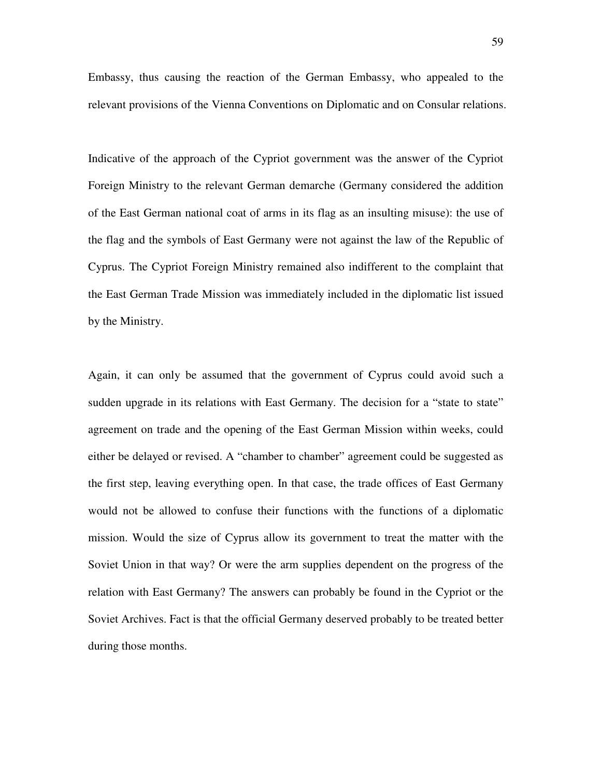Embassy, thus causing the reaction of the German Embassy, who appealed to the relevant provisions of the Vienna Conventions on Diplomatic and on Consular relations.

Indicative of the approach of the Cypriot government was the answer of the Cypriot Foreign Ministry to the relevant German demarche (Germany considered the addition of the East German national coat of arms in its flag as an insulting misuse): the use of the flag and the symbols of East Germany were not against the law of the Republic of Cyprus. The Cypriot Foreign Ministry remained also indifferent to the complaint that the East German Trade Mission was immediately included in the diplomatic list issued by the Ministry.

Again, it can only be assumed that the government of Cyprus could avoid such a sudden upgrade in its relations with East Germany. The decision for a "state to state" agreement on trade and the opening of the East German Mission within weeks, could either be delayed or revised. A "chamber to chamber" agreement could be suggested as the first step, leaving everything open. In that case, the trade offices of East Germany would not be allowed to confuse their functions with the functions of a diplomatic mission. Would the size of Cyprus allow its government to treat the matter with the Soviet Union in that way? Or were the arm supplies dependent on the progress of the relation with East Germany? The answers can probably be found in the Cypriot or the Soviet Archives. Fact is that the official Germany deserved probably to be treated better during those months.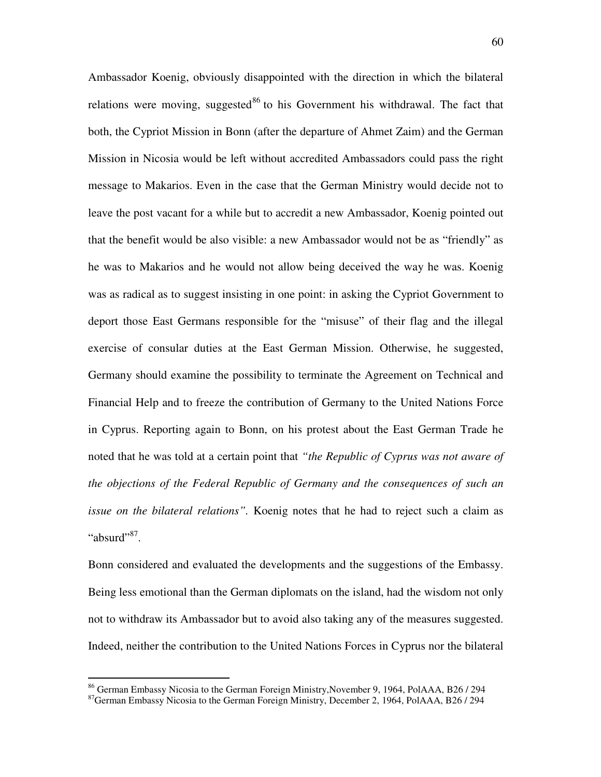Ambassador Koenig, obviously disappointed with the direction in which the bilateral relations were moving, suggested<sup>86</sup> to his Government his withdrawal. The fact that both, the Cypriot Mission in Bonn (after the departure of Ahmet Zaim) and the German Mission in Nicosia would be left without accredited Ambassadors could pass the right message to Makarios. Even in the case that the German Ministry would decide not to leave the post vacant for a while but to accredit a new Ambassador, Koenig pointed out that the benefit would be also visible: a new Ambassador would not be as "friendly" as he was to Makarios and he would not allow being deceived the way he was. Koenig was as radical as to suggest insisting in one point: in asking the Cypriot Government to deport those East Germans responsible for the "misuse" of their flag and the illegal exercise of consular duties at the East German Mission. Otherwise, he suggested, Germany should examine the possibility to terminate the Agreement on Technical and Financial Help and to freeze the contribution of Germany to the United Nations Force in Cyprus. Reporting again to Bonn, on his protest about the East German Trade he noted that he was told at a certain point that *"the Republic of Cyprus was not aware of the objections of the Federal Republic of Germany and the consequences of such an issue on the bilateral relations".* Koenig notes that he had to reject such a claim as "absurd"<sup>87</sup>.

Bonn considered and evaluated the developments and the suggestions of the Embassy. Being less emotional than the German diplomats on the island, had the wisdom not only not to withdraw its Ambassador but to avoid also taking any of the measures suggested. Indeed, neither the contribution to the United Nations Forces in Cyprus nor the bilateral

<sup>86</sup> German Embassy Nicosia to the German Foreign Ministry,November 9, 1964, PolAAA, B26 / 294

<sup>&</sup>lt;sup>87</sup>German Embassy Nicosia to the German Foreign Ministry, December 2, 1964, PolAAA, B26 / 294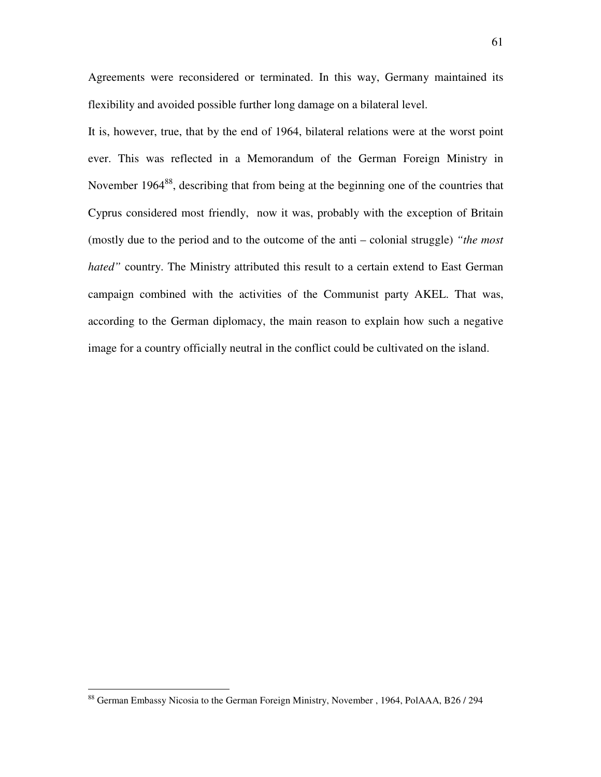Agreements were reconsidered or terminated. In this way, Germany maintained its flexibility and avoided possible further long damage on a bilateral level.

It is, however, true, that by the end of 1964, bilateral relations were at the worst point ever. This was reflected in a Memorandum of the German Foreign Ministry in November 1964<sup>88</sup>, describing that from being at the beginning one of the countries that Cyprus considered most friendly, now it was, probably with the exception of Britain (mostly due to the period and to the outcome of the anti – colonial struggle) *"the most hated"* country. The Ministry attributed this result to a certain extend to East German campaign combined with the activities of the Communist party AKEL. That was, according to the German diplomacy, the main reason to explain how such a negative image for a country officially neutral in the conflict could be cultivated on the island.

<sup>88</sup> German Embassy Nicosia to the German Foreign Ministry, November , 1964, PolAAA, B26 / 294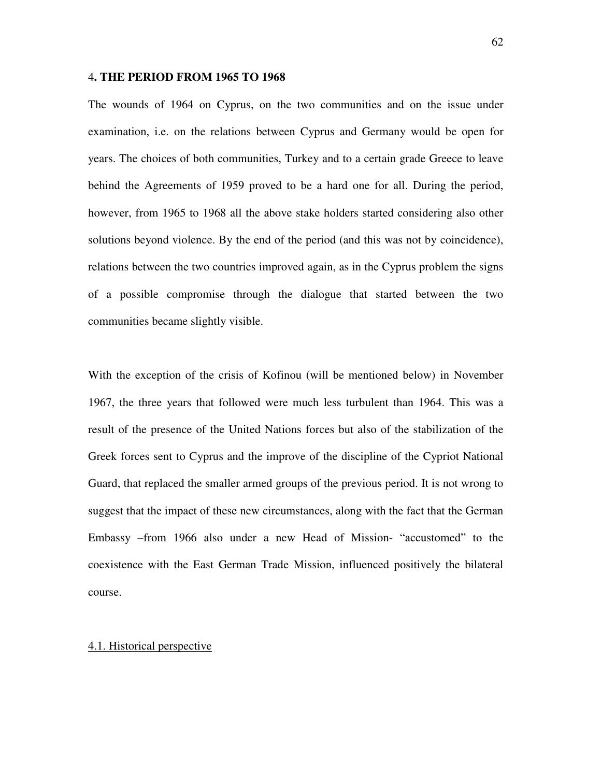#### 4**. THE PERIOD FROM 1965 TO 1968**

The wounds of 1964 on Cyprus, on the two communities and on the issue under examination, i.e. on the relations between Cyprus and Germany would be open for years. The choices of both communities, Turkey and to a certain grade Greece to leave behind the Agreements of 1959 proved to be a hard one for all. During the period, however, from 1965 to 1968 all the above stake holders started considering also other solutions beyond violence. By the end of the period (and this was not by coincidence), relations between the two countries improved again, as in the Cyprus problem the signs of a possible compromise through the dialogue that started between the two communities became slightly visible.

With the exception of the crisis of Kofinou (will be mentioned below) in November 1967, the three years that followed were much less turbulent than 1964. This was a result of the presence of the United Nations forces but also of the stabilization of the Greek forces sent to Cyprus and the improve of the discipline of the Cypriot National Guard, that replaced the smaller armed groups of the previous period. It is not wrong to suggest that the impact of these new circumstances, along with the fact that the German Embassy –from 1966 also under a new Head of Mission- "accustomed" to the coexistence with the East German Trade Mission, influenced positively the bilateral course.

#### 4.1. Historical perspective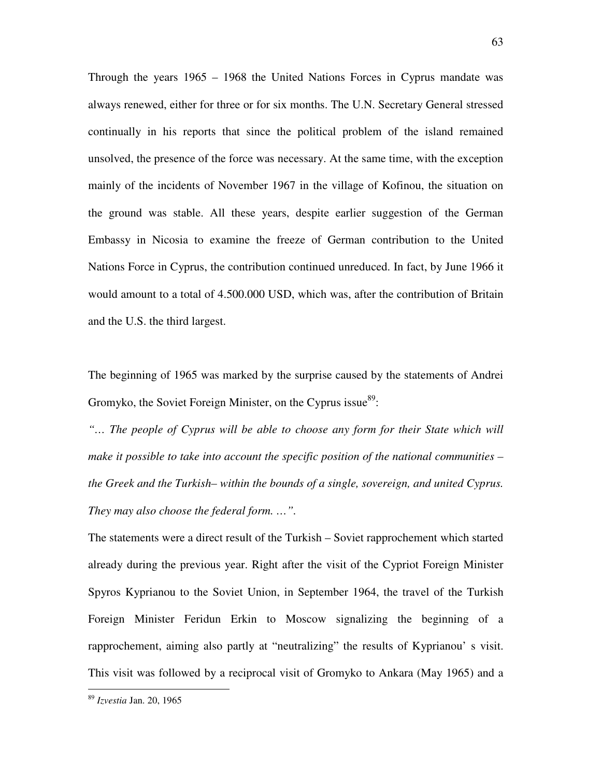Through the years 1965 – 1968 the United Nations Forces in Cyprus mandate was always renewed, either for three or for six months. The U.N. Secretary General stressed continually in his reports that since the political problem of the island remained unsolved, the presence of the force was necessary. At the same time, with the exception mainly of the incidents of November 1967 in the village of Kofinou, the situation on the ground was stable. All these years, despite earlier suggestion of the German Embassy in Nicosia to examine the freeze of German contribution to the United Nations Force in Cyprus, the contribution continued unreduced. In fact, by June 1966 it would amount to a total of 4.500.000 USD, which was, after the contribution of Britain and the U.S. the third largest.

The beginning of 1965 was marked by the surprise caused by the statements of Andrei Gromyko, the Soviet Foreign Minister, on the Cyprus issue $^{89}$ :

*"… The people of Cyprus will be able to choose any form for their State which will make it possible to take into account the specific position of the national communities – the Greek and the Turkish– within the bounds of a single, sovereign, and united Cyprus. They may also choose the federal form. …".* 

The statements were a direct result of the Turkish – Soviet rapprochement which started already during the previous year. Right after the visit of the Cypriot Foreign Minister Spyros Kyprianou to the Soviet Union, in September 1964, the travel of the Turkish Foreign Minister Feridun Erkin to Moscow signalizing the beginning of a rapprochement, aiming also partly at "neutralizing" the results of Kyprianou' s visit. This visit was followed by a reciprocal visit of Gromyko to Ankara (May 1965) and a

<sup>89</sup> *Izvestia* Jan. 20, 1965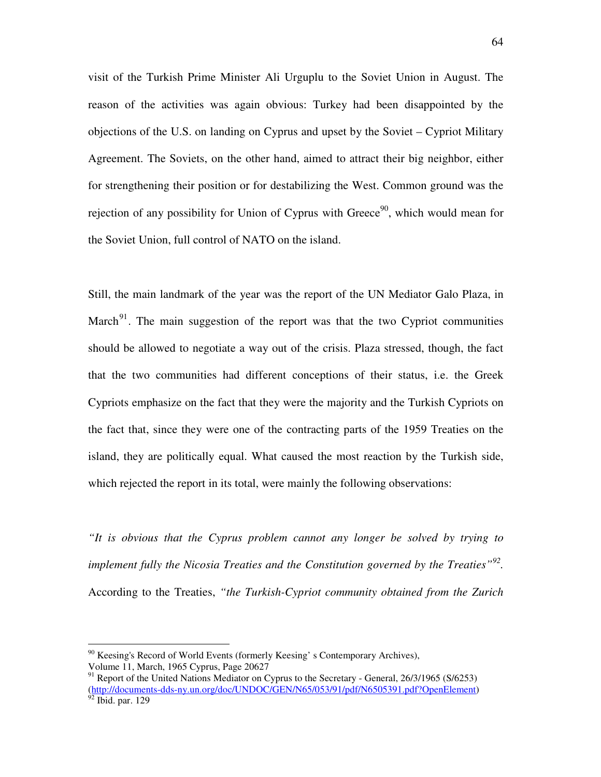visit of the Turkish Prime Minister Ali Urguplu to the Soviet Union in August. The reason of the activities was again obvious: Turkey had been disappointed by the objections of the U.S. on landing on Cyprus and upset by the Soviet – Cypriot Military Agreement. The Soviets, on the other hand, aimed to attract their big neighbor, either for strengthening their position or for destabilizing the West. Common ground was the rejection of any possibility for Union of Cyprus with Greece<sup>90</sup>, which would mean for the Soviet Union, full control of NATO on the island.

Still, the main landmark of the year was the report of the UN Mediator Galo Plaza, in March<sup>91</sup>. The main suggestion of the report was that the two Cypriot communities should be allowed to negotiate a way out of the crisis. Plaza stressed, though, the fact that the two communities had different conceptions of their status, i.e. the Greek Cypriots emphasize on the fact that they were the majority and the Turkish Cypriots on the fact that, since they were one of the contracting parts of the 1959 Treaties on the island, they are politically equal. What caused the most reaction by the Turkish side, which rejected the report in its total, were mainly the following observations:

*"It is obvious that the Cyprus problem cannot any longer be solved by trying to*  implement fully the Nicosia Treaties and the Constitution governed by the Treaties<sup>"92</sup>. According to the Treaties, *"the Turkish-Cypriot community obtained from the Zurich* 

 $90$  Keesing's Record of World Events (formerly Keesing' s Contemporary Archives), Volume 11, March, 1965 Cyprus, Page 20627

<sup>&</sup>lt;sup>91</sup> Report of the United Nations Mediator on Cyprus to the Secretary - General, 26/3/1965 (S/6253) (http://documents-dds-ny.un.org/doc/UNDOC/GEN/N65/053/91/pdf/N6505391.pdf?OpenElement)  $92$  Ibid. par. 129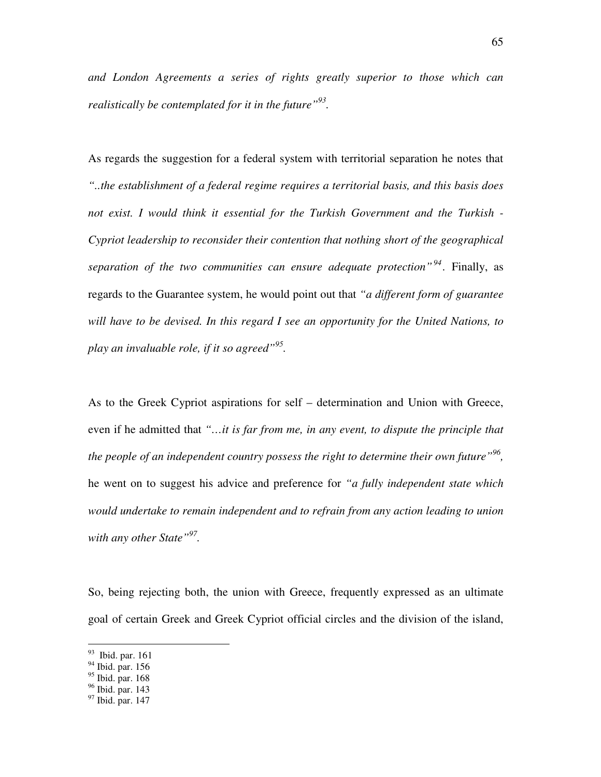*and London Agreements a series of rights greatly superior to those which can realistically be contemplated for it in the future"<sup>93</sup> .* 

As regards the suggestion for a federal system with territorial separation he notes that *"..the establishment of a federal regime requires a territorial basis, and this basis does not exist. I would think it essential for the Turkish Government and the Turkish - Cypriot leadership to reconsider their contention that nothing short of the geographical separation of the two communities can ensure adequate protection"<sup>94</sup> .* Finally, as regards to the Guarantee system, he would point out that *"a different form of guarantee will have to be devised. In this regard I see an opportunity for the United Nations, to play an invaluable role, if it so agreed"<sup>95</sup> .*

As to the Greek Cypriot aspirations for self – determination and Union with Greece, even if he admitted that *"…it is far from me, in any event, to dispute the principle that the people of an independent country possess the right to determine their own future"<sup>96</sup> ,*  he went on to suggest his advice and preference for *"a fully independent state which would undertake to remain independent and to refrain from any action leading to union with any other State"<sup>97</sup> .* 

So, being rejecting both, the union with Greece, frequently expressed as an ultimate goal of certain Greek and Greek Cypriot official circles and the division of the island,

<sup>&</sup>lt;sup>93</sup> Ibid. par. 161

<sup>94</sup> Ibid. par. 156

 $95$  Ibid. par. 168

<sup>96</sup> Ibid. par. 143

 $97$  Ibid. par. 147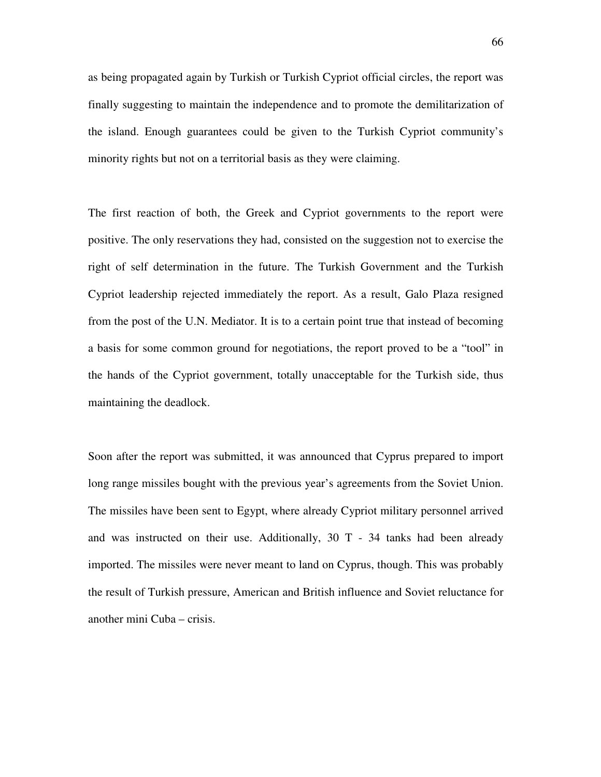as being propagated again by Turkish or Turkish Cypriot official circles, the report was finally suggesting to maintain the independence and to promote the demilitarization of the island. Enough guarantees could be given to the Turkish Cypriot community's minority rights but not on a territorial basis as they were claiming.

The first reaction of both, the Greek and Cypriot governments to the report were positive. The only reservations they had, consisted on the suggestion not to exercise the right of self determination in the future. The Turkish Government and the Turkish Cypriot leadership rejected immediately the report. As a result, Galo Plaza resigned from the post of the U.N. Mediator. It is to a certain point true that instead of becoming a basis for some common ground for negotiations, the report proved to be a "tool" in the hands of the Cypriot government, totally unacceptable for the Turkish side, thus maintaining the deadlock.

Soon after the report was submitted, it was announced that Cyprus prepared to import long range missiles bought with the previous year's agreements from the Soviet Union. The missiles have been sent to Egypt, where already Cypriot military personnel arrived and was instructed on their use. Additionally, 30 T - 34 tanks had been already imported. The missiles were never meant to land on Cyprus, though. This was probably the result of Turkish pressure, American and British influence and Soviet reluctance for another mini Cuba – crisis.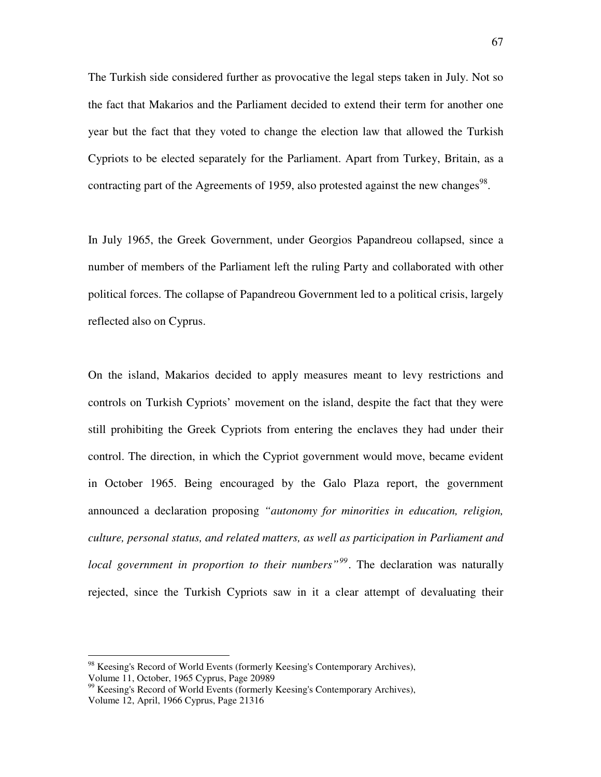The Turkish side considered further as provocative the legal steps taken in July. Not so the fact that Makarios and the Parliament decided to extend their term for another one year but the fact that they voted to change the election law that allowed the Turkish Cypriots to be elected separately for the Parliament. Apart from Turkey, Britain, as a contracting part of the Agreements of 1959, also protested against the new changes<sup>98</sup>.

In July 1965, the Greek Government, under Georgios Papandreou collapsed, since a number of members of the Parliament left the ruling Party and collaborated with other political forces. The collapse of Papandreou Government led to a political crisis, largely reflected also on Cyprus.

On the island, Makarios decided to apply measures meant to levy restrictions and controls on Turkish Cypriots' movement on the island, despite the fact that they were still prohibiting the Greek Cypriots from entering the enclaves they had under their control. The direction, in which the Cypriot government would move, became evident in October 1965. Being encouraged by the Galo Plaza report, the government announced a declaration proposing *"autonomy for minorities in education, religion, culture, personal status, and related matters, as well as participation in Parliament and local government in proportion to their numbers"<sup>99</sup>*. The declaration was naturally rejected, since the Turkish Cypriots saw in it a clear attempt of devaluating their

<sup>&</sup>lt;sup>98</sup> Keesing's Record of World Events (formerly Keesing's Contemporary Archives), Volume 11, October, 1965 Cyprus, Page 20989

<sup>&</sup>lt;sup>99</sup> Keesing's Record of World Events (formerly Keesing's Contemporary Archives), Volume 12, April, 1966 Cyprus, Page 21316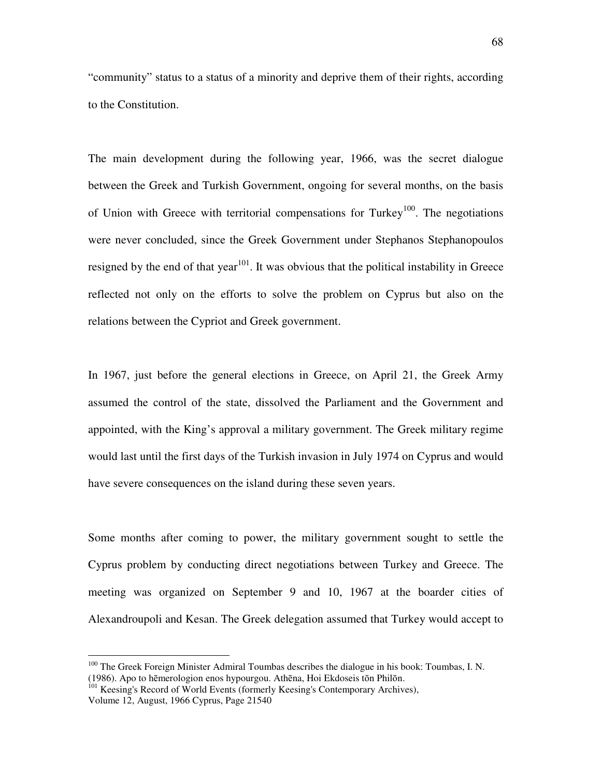"community" status to a status of a minority and deprive them of their rights, according to the Constitution.

The main development during the following year, 1966, was the secret dialogue between the Greek and Turkish Government, ongoing for several months, on the basis of Union with Greece with territorial compensations for Turkey<sup>100</sup>. The negotiations were never concluded, since the Greek Government under Stephanos Stephanopoulos resigned by the end of that year<sup>101</sup>. It was obvious that the political instability in Greece reflected not only on the efforts to solve the problem on Cyprus but also on the relations between the Cypriot and Greek government.

In 1967, just before the general elections in Greece, on April 21, the Greek Army assumed the control of the state, dissolved the Parliament and the Government and appointed, with the King's approval a military government. The Greek military regime would last until the first days of the Turkish invasion in July 1974 on Cyprus and would have severe consequences on the island during these seven years.

Some months after coming to power, the military government sought to settle the Cyprus problem by conducting direct negotiations between Turkey and Greece. The meeting was organized on September 9 and 10, 1967 at the boarder cities of Alexandroupoli and Kesan. The Greek delegation assumed that Turkey would accept to

<sup>&</sup>lt;sup>100</sup> The Greek Foreign Minister Admiral Toumbas describes the dialogue in his book: Toumbas, I. N. (1986). Apo to hēmerologion enos hypourgou. Athēna, Hoi Ekdoseis tōn Philōn.

<sup>&</sup>lt;sup>101</sup> Keesing's Record of World Events (formerly Keesing's Contemporary Archives), Volume 12, August, 1966 Cyprus, Page 21540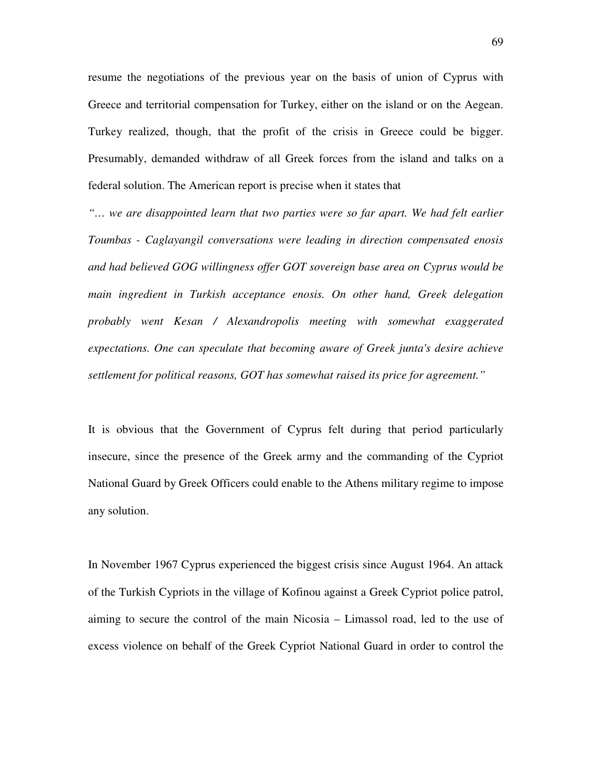resume the negotiations of the previous year on the basis of union of Cyprus with Greece and territorial compensation for Turkey, either on the island or on the Aegean. Turkey realized, though, that the profit of the crisis in Greece could be bigger. Presumably, demanded withdraw of all Greek forces from the island and talks on a federal solution. The American report is precise when it states that

*"… we are disappointed learn that two parties were so far apart. We had felt earlier Toumbas - Caglayangil conversations were leading in direction compensated enosis and had believed GOG willingness offer GOT sovereign base area on Cyprus would be main ingredient in Turkish acceptance enosis. On other hand, Greek delegation probably went Kesan / Alexandropolis meeting with somewhat exaggerated expectations. One can speculate that becoming aware of Greek junta's desire achieve settlement for political reasons, GOT has somewhat raised its price for agreement."* 

It is obvious that the Government of Cyprus felt during that period particularly insecure, since the presence of the Greek army and the commanding of the Cypriot National Guard by Greek Officers could enable to the Athens military regime to impose any solution.

In November 1967 Cyprus experienced the biggest crisis since August 1964. An attack of the Turkish Cypriots in the village of Kofinou against a Greek Cypriot police patrol, aiming to secure the control of the main Nicosia – Limassol road, led to the use of excess violence on behalf of the Greek Cypriot National Guard in order to control the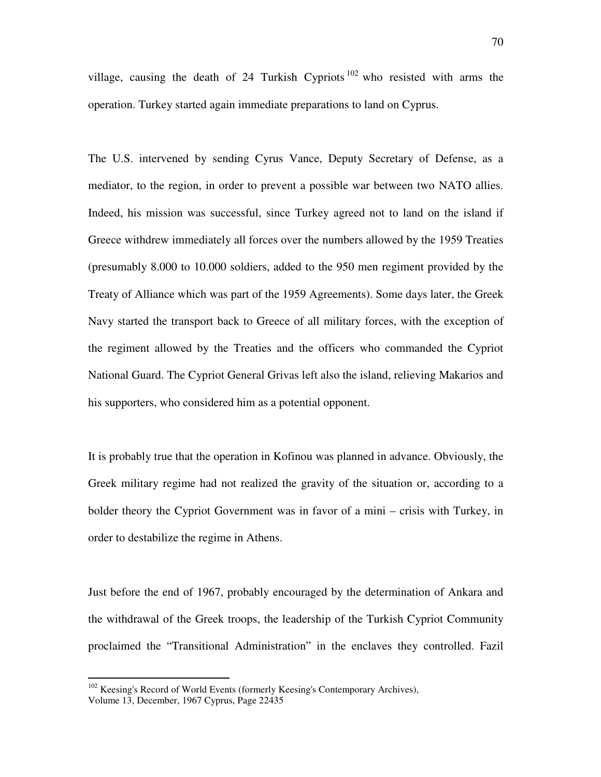village, causing the death of 24 Turkish Cypriots  $102$  who resisted with arms the operation. Turkey started again immediate preparations to land on Cyprus.

The U.S. intervened by sending Cyrus Vance, Deputy Secretary of Defense, as a mediator, to the region, in order to prevent a possible war between two NATO allies. Indeed, his mission was successful, since Turkey agreed not to land on the island if Greece withdrew immediately all forces over the numbers allowed by the 1959 Treaties (presumably 8.000 to 10.000 soldiers, added to the 950 men regiment provided by the Treaty of Alliance which was part of the 1959 Agreements). Some days later, the Greek Navy started the transport back to Greece of all military forces, with the exception of the regiment allowed by the Treaties and the officers who commanded the Cypriot National Guard. The Cypriot General Grivas left also the island, relieving Makarios and his supporters, who considered him as a potential opponent.

It is probably true that the operation in Kofinou was planned in advance. Obviously, the Greek military regime had not realized the gravity of the situation or, according to a bolder theory the Cypriot Government was in favor of a mini – crisis with Turkey, in order to destabilize the regime in Athens.

Just before the end of 1967, probably encouraged by the determination of Ankara and the withdrawal of the Greek troops, the leadership of the Turkish Cypriot Community proclaimed the "Transitional Administration" in the enclaves they controlled. Fazil

<sup>&</sup>lt;sup>102</sup> Keesing's Record of World Events (formerly Keesing's Contemporary Archives), Volume 13, December, 1967 Cyprus, Page 22435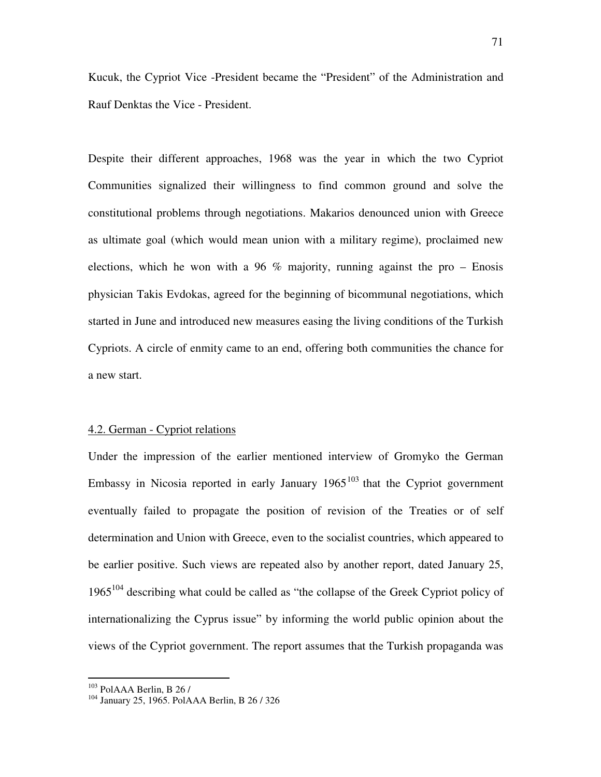Kucuk, the Cypriot Vice -President became the "President" of the Administration and Rauf Denktas the Vice - President.

Despite their different approaches, 1968 was the year in which the two Cypriot Communities signalized their willingness to find common ground and solve the constitutional problems through negotiations. Makarios denounced union with Greece as ultimate goal (which would mean union with a military regime), proclaimed new elections, which he won with a 96  $\%$  majority, running against the pro – Enosis physician Takis Evdokas, agreed for the beginning of bicommunal negotiations, which started in June and introduced new measures easing the living conditions of the Turkish Cypriots. A circle of enmity came to an end, offering both communities the chance for a new start.

#### 4.2. German - Cypriot relations

Under the impression of the earlier mentioned interview of Gromyko the German Embassy in Nicosia reported in early January  $1965^{103}$  that the Cypriot government eventually failed to propagate the position of revision of the Treaties or of self determination and Union with Greece, even to the socialist countries, which appeared to be earlier positive. Such views are repeated also by another report, dated January 25,  $1965^{104}$  describing what could be called as "the collapse of the Greek Cypriot policy of internationalizing the Cyprus issue" by informing the world public opinion about the views of the Cypriot government. The report assumes that the Turkish propaganda was

 $103$  PolAAA Berlin, B 26 /

<sup>104</sup> January 25, 1965. PolAAA Berlin, B 26 / 326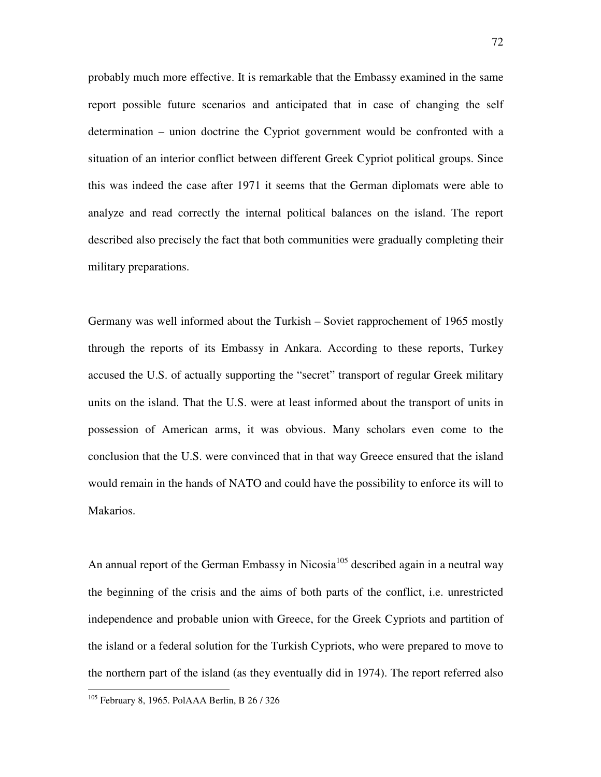probably much more effective. It is remarkable that the Embassy examined in the same report possible future scenarios and anticipated that in case of changing the self determination – union doctrine the Cypriot government would be confronted with a situation of an interior conflict between different Greek Cypriot political groups. Since this was indeed the case after 1971 it seems that the German diplomats were able to analyze and read correctly the internal political balances on the island. The report described also precisely the fact that both communities were gradually completing their military preparations.

Germany was well informed about the Turkish – Soviet rapprochement of 1965 mostly through the reports of its Embassy in Ankara. According to these reports, Turkey accused the U.S. of actually supporting the "secret" transport of regular Greek military units on the island. That the U.S. were at least informed about the transport of units in possession of American arms, it was obvious. Many scholars even come to the conclusion that the U.S. were convinced that in that way Greece ensured that the island would remain in the hands of NATO and could have the possibility to enforce its will to Makarios.

An annual report of the German Embassy in Nicosia<sup>105</sup> described again in a neutral way the beginning of the crisis and the aims of both parts of the conflict, i.e. unrestricted independence and probable union with Greece, for the Greek Cypriots and partition of the island or a federal solution for the Turkish Cypriots, who were prepared to move to the northern part of the island (as they eventually did in 1974). The report referred also

<sup>105</sup> February 8, 1965. PolAAA Berlin, B 26 / 326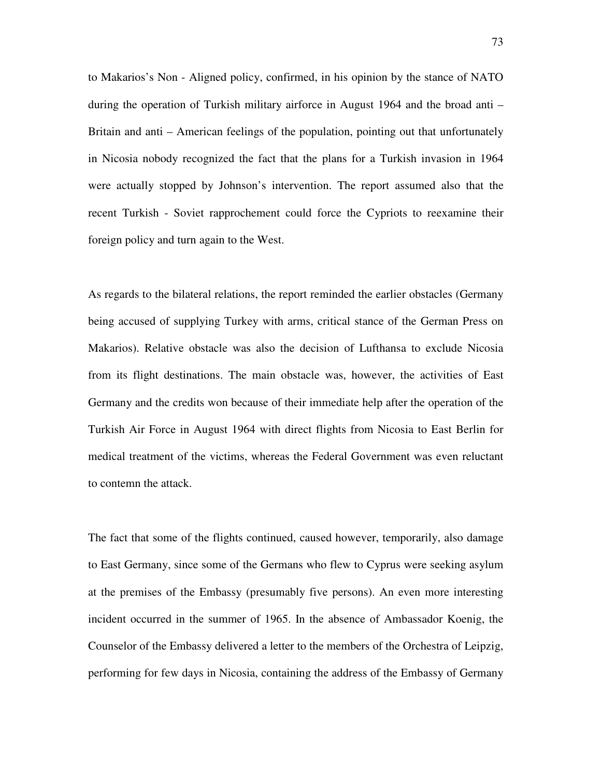to Makarios's Non - Aligned policy, confirmed, in his opinion by the stance of NATO during the operation of Turkish military airforce in August 1964 and the broad anti – Britain and anti – American feelings of the population, pointing out that unfortunately in Nicosia nobody recognized the fact that the plans for a Turkish invasion in 1964 were actually stopped by Johnson's intervention. The report assumed also that the recent Turkish - Soviet rapprochement could force the Cypriots to reexamine their foreign policy and turn again to the West.

As regards to the bilateral relations, the report reminded the earlier obstacles (Germany being accused of supplying Turkey with arms, critical stance of the German Press on Makarios). Relative obstacle was also the decision of Lufthansa to exclude Nicosia from its flight destinations. The main obstacle was, however, the activities of East Germany and the credits won because of their immediate help after the operation of the Turkish Air Force in August 1964 with direct flights from Nicosia to East Berlin for medical treatment of the victims, whereas the Federal Government was even reluctant to contemn the attack.

The fact that some of the flights continued, caused however, temporarily, also damage to East Germany, since some of the Germans who flew to Cyprus were seeking asylum at the premises of the Embassy (presumably five persons). An even more interesting incident occurred in the summer of 1965. In the absence of Ambassador Koenig, the Counselor of the Embassy delivered a letter to the members of the Orchestra of Leipzig, performing for few days in Nicosia, containing the address of the Embassy of Germany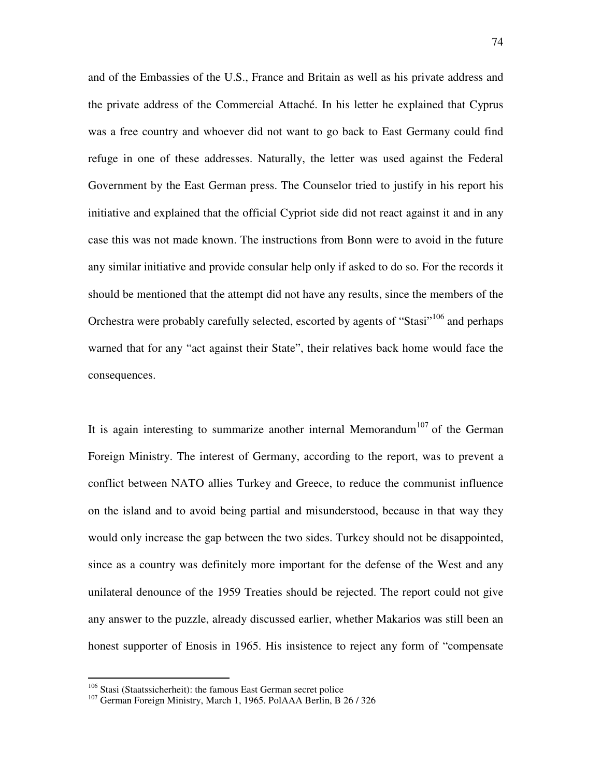and of the Embassies of the U.S., France and Britain as well as his private address and the private address of the Commercial Attaché. In his letter he explained that Cyprus was a free country and whoever did not want to go back to East Germany could find refuge in one of these addresses. Naturally, the letter was used against the Federal Government by the East German press. The Counselor tried to justify in his report his initiative and explained that the official Cypriot side did not react against it and in any case this was not made known. The instructions from Bonn were to avoid in the future any similar initiative and provide consular help only if asked to do so. For the records it should be mentioned that the attempt did not have any results, since the members of the Orchestra were probably carefully selected, escorted by agents of "Stasi"<sup>106</sup> and perhaps warned that for any "act against their State", their relatives back home would face the consequences.

It is again interesting to summarize another internal Memorandum<sup>107</sup> of the German Foreign Ministry. The interest of Germany, according to the report, was to prevent a conflict between NATO allies Turkey and Greece, to reduce the communist influence on the island and to avoid being partial and misunderstood, because in that way they would only increase the gap between the two sides. Turkey should not be disappointed, since as a country was definitely more important for the defense of the West and any unilateral denounce of the 1959 Treaties should be rejected. The report could not give any answer to the puzzle, already discussed earlier, whether Makarios was still been an honest supporter of Enosis in 1965. His insistence to reject any form of "compensate

<sup>&</sup>lt;sup>106</sup> Stasi (Staatssicherheit): the famous East German secret police

<sup>&</sup>lt;sup>107</sup> German Foreign Ministry, March 1, 1965. PolAAA Berlin, B 26 / 326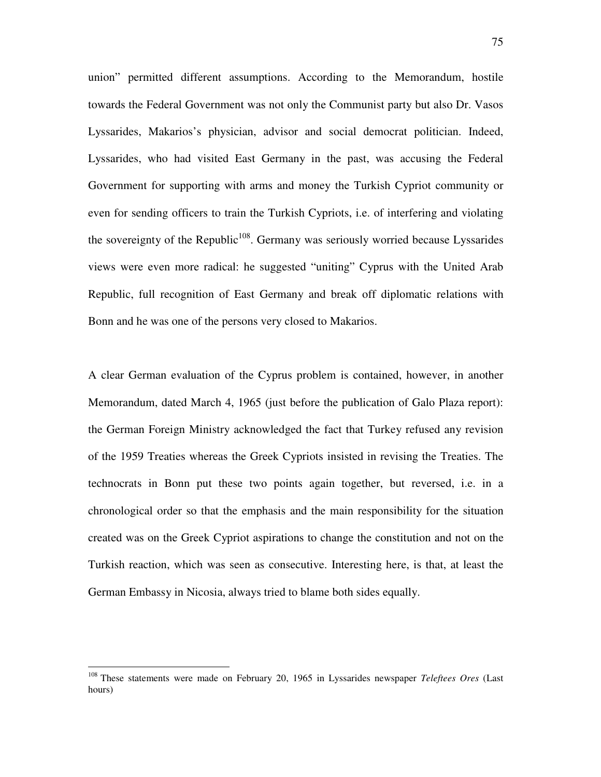union" permitted different assumptions. According to the Memorandum, hostile towards the Federal Government was not only the Communist party but also Dr. Vasos Lyssarides, Makarios's physician, advisor and social democrat politician. Indeed, Lyssarides, who had visited East Germany in the past, was accusing the Federal Government for supporting with arms and money the Turkish Cypriot community or even for sending officers to train the Turkish Cypriots, i.e. of interfering and violating the sovereignty of the Republic<sup>108</sup>. Germany was seriously worried because Lyssarides views were even more radical: he suggested "uniting" Cyprus with the United Arab Republic, full recognition of East Germany and break off diplomatic relations with Bonn and he was one of the persons very closed to Makarios.

A clear German evaluation of the Cyprus problem is contained, however, in another Memorandum, dated March 4, 1965 (just before the publication of Galo Plaza report): the German Foreign Ministry acknowledged the fact that Turkey refused any revision of the 1959 Treaties whereas the Greek Cypriots insisted in revising the Treaties. The technocrats in Bonn put these two points again together, but reversed, i.e. in a chronological order so that the emphasis and the main responsibility for the situation created was on the Greek Cypriot aspirations to change the constitution and not on the Turkish reaction, which was seen as consecutive. Interesting here, is that, at least the German Embassy in Nicosia, always tried to blame both sides equally.

<sup>108</sup> These statements were made on February 20, 1965 in Lyssarides newspaper *Teleftees Ores* (Last hours)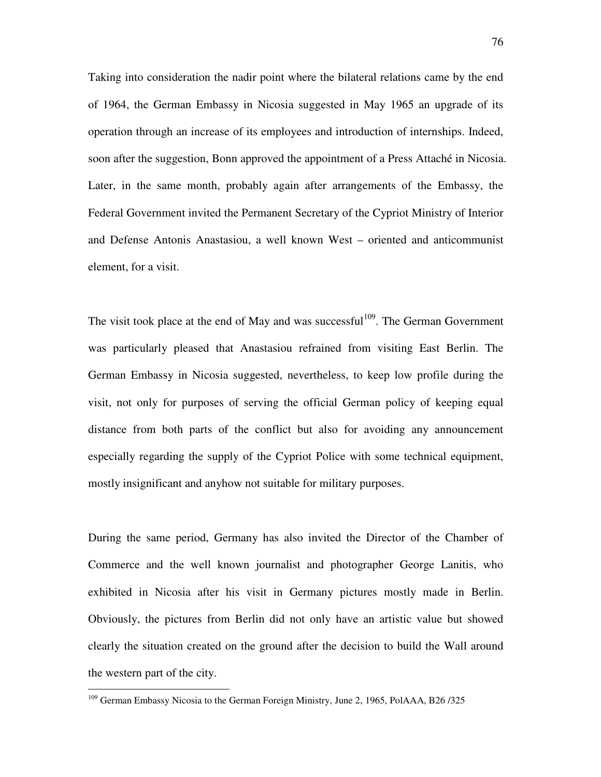Taking into consideration the nadir point where the bilateral relations came by the end of 1964, the German Embassy in Nicosia suggested in May 1965 an upgrade of its operation through an increase of its employees and introduction of internships. Indeed, soon after the suggestion, Bonn approved the appointment of a Press Attaché in Nicosia. Later, in the same month, probably again after arrangements of the Embassy, the Federal Government invited the Permanent Secretary of the Cypriot Ministry of Interior and Defense Antonis Anastasiou, a well known West – oriented and anticommunist element, for a visit.

The visit took place at the end of May and was successful<sup>109</sup>. The German Government was particularly pleased that Anastasiou refrained from visiting East Berlin. The German Embassy in Nicosia suggested, nevertheless, to keep low profile during the visit, not only for purposes of serving the official German policy of keeping equal distance from both parts of the conflict but also for avoiding any announcement especially regarding the supply of the Cypriot Police with some technical equipment, mostly insignificant and anyhow not suitable for military purposes.

During the same period, Germany has also invited the Director of the Chamber of Commerce and the well known journalist and photographer George Lanitis, who exhibited in Nicosia after his visit in Germany pictures mostly made in Berlin. Obviously, the pictures from Berlin did not only have an artistic value but showed clearly the situation created on the ground after the decision to build the Wall around the western part of the city.

<sup>&</sup>lt;sup>109</sup> German Embassy Nicosia to the German Foreign Ministry, June 2, 1965, PolAAA, B26/325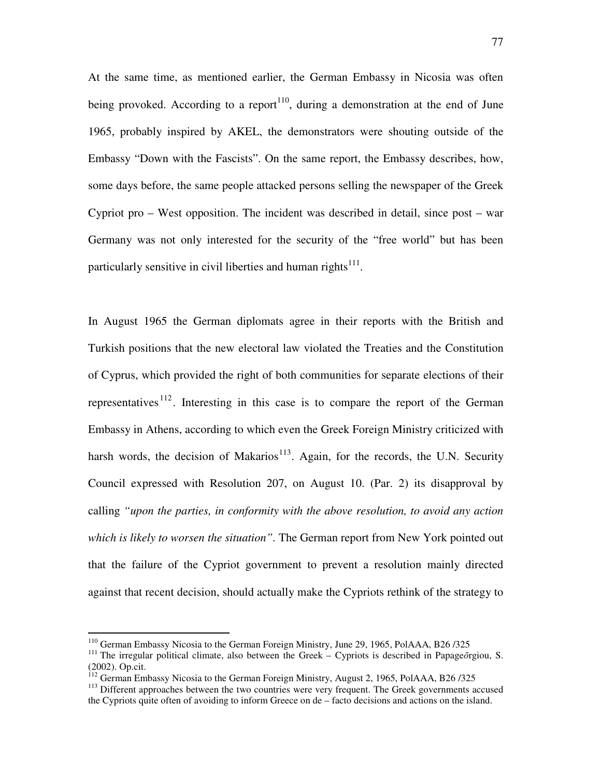At the same time, as mentioned earlier, the German Embassy in Nicosia was often being provoked. According to a report<sup>110</sup>, during a demonstration at the end of June 1965, probably inspired by AKEL, the demonstrators were shouting outside of the Embassy "Down with the Fascists". On the same report, the Embassy describes, how, some days before, the same people attacked persons selling the newspaper of the Greek Cypriot pro – West opposition. The incident was described in detail, since post – war Germany was not only interested for the security of the "free world" but has been particularly sensitive in civil liberties and human rights $111$ .

In August 1965 the German diplomats agree in their reports with the British and Turkish positions that the new electoral law violated the Treaties and the Constitution of Cyprus, which provided the right of both communities for separate elections of their representatives  $112$ . Interesting in this case is to compare the report of the German Embassy in Athens, according to which even the Greek Foreign Ministry criticized with harsh words, the decision of Makarios<sup>113</sup>. Again, for the records, the U.N. Security Council expressed with Resolution 207, on August 10. (Par. 2) its disapproval by calling *"upon the parties, in conformity with the above resolution, to avoid any action which is likely to worsen the situation".* The German report from New York pointed out that the failure of the Cypriot government to prevent a resolution mainly directed against that recent decision, should actually make the Cypriots rethink of the strategy to

<sup>&</sup>lt;sup>110</sup> German Embassy Nicosia to the German Foreign Ministry, June 29, 1965, PolAAA, B26 /325

<sup>&</sup>lt;sup>111</sup> The irregular political climate, also between the Greek – Cypriots is described in Papage $\bar{o}$ rgiou, S. (2002). Op.cit.

<sup>&</sup>lt;sup>112</sup> German Embassy Nicosia to the German Foreign Ministry, August 2, 1965, PolAAA, B26/325

<sup>&</sup>lt;sup>113</sup> Different approaches between the two countries were very frequent. The Greek governments accused the Cypriots quite often of avoiding to inform Greece on de – facto decisions and actions on the island.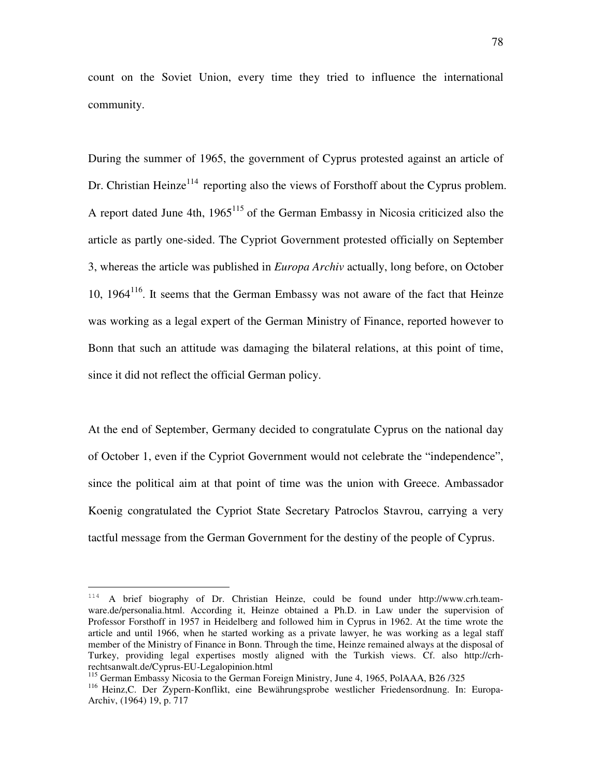count on the Soviet Union, every time they tried to influence the international community.

During the summer of 1965, the government of Cyprus protested against an article of Dr. Christian Heinze<sup>114</sup> reporting also the views of Forsthoff about the Cyprus problem. A report dated June 4th,  $1965^{115}$  of the German Embassy in Nicosia criticized also the article as partly one-sided. The Cypriot Government protested officially on September 3, whereas the article was published in *Europa Archiv* actually, long before, on October 10,  $1964<sup>116</sup>$ . It seems that the German Embassy was not aware of the fact that Heinze was working as a legal expert of the German Ministry of Finance, reported however to Bonn that such an attitude was damaging the bilateral relations, at this point of time, since it did not reflect the official German policy.

At the end of September, Germany decided to congratulate Cyprus on the national day of October 1, even if the Cypriot Government would not celebrate the "independence", since the political aim at that point of time was the union with Greece. Ambassador Koenig congratulated the Cypriot State Secretary Patroclos Stavrou, carrying a very tactful message from the German Government for the destiny of the people of Cyprus.

<sup>114</sup> A brief biography of Dr. Christian Heinze, could be found under http://www.crh.teamware.de/personalia.html. According it, Heinze obtained a Ph.D. in Law under the supervision of Professor Forsthoff in 1957 in Heidelberg and followed him in Cyprus in 1962. At the time wrote the article and until 1966, when he started working as a private lawyer, he was working as a legal staff member of the Ministry of Finance in Bonn. Through the time, Heinze remained always at the disposal of Turkey, providing legal expertises mostly aligned with the Turkish views. Cf. also http://crhrechtsanwalt.de/Cyprus-EU-Legalopinion.html

<sup>115</sup> German Embassy Nicosia to the German Foreign Ministry, June 4, 1965, PolAAA, B26 /325

<sup>116</sup> Heinz,C. Der Zypern-Konflikt, eine Bewährungsprobe westlicher Friedensordnung. In: Europa-Archiv, (1964) 19, p. 717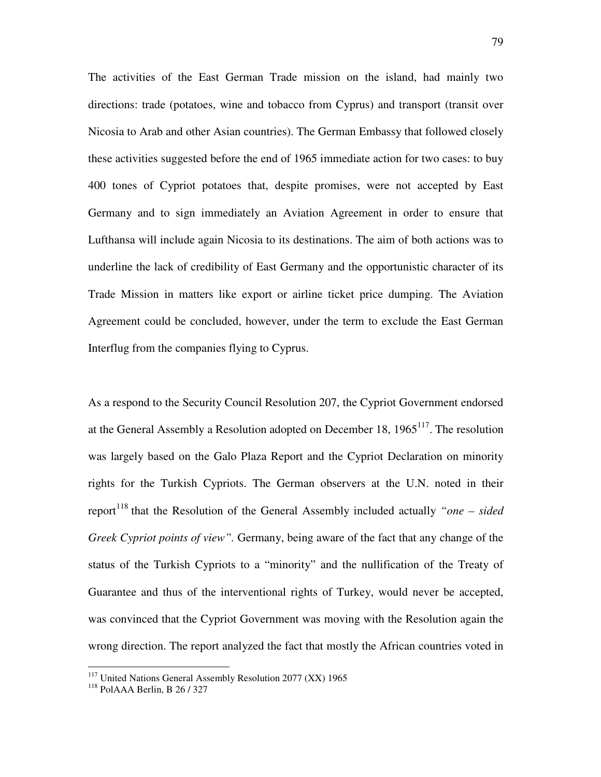The activities of the East German Trade mission on the island, had mainly two directions: trade (potatoes, wine and tobacco from Cyprus) and transport (transit over Nicosia to Arab and other Asian countries). The German Embassy that followed closely these activities suggested before the end of 1965 immediate action for two cases: to buy 400 tones of Cypriot potatoes that, despite promises, were not accepted by East Germany and to sign immediately an Aviation Agreement in order to ensure that Lufthansa will include again Nicosia to its destinations. The aim of both actions was to underline the lack of credibility of East Germany and the opportunistic character of its Trade Mission in matters like export or airline ticket price dumping. The Aviation Agreement could be concluded, however, under the term to exclude the East German Interflug from the companies flying to Cyprus.

As a respond to the Security Council Resolution 207, the Cypriot Government endorsed at the General Assembly a Resolution adopted on December 18,  $1965<sup>117</sup>$ . The resolution was largely based on the Galo Plaza Report and the Cypriot Declaration on minority rights for the Turkish Cypriots. The German observers at the U.N. noted in their report<sup>118</sup> that the Resolution of the General Assembly included actually *"one – sided*" *Greek Cypriot points of view".* Germany, being aware of the fact that any change of the status of the Turkish Cypriots to a "minority" and the nullification of the Treaty of Guarantee and thus of the interventional rights of Turkey, would never be accepted, was convinced that the Cypriot Government was moving with the Resolution again the wrong direction. The report analyzed the fact that mostly the African countries voted in

<sup>&</sup>lt;sup>117</sup> United Nations General Assembly Resolution 2077 (XX) 1965

 $118$  PolAAA Berlin, B 26 / 327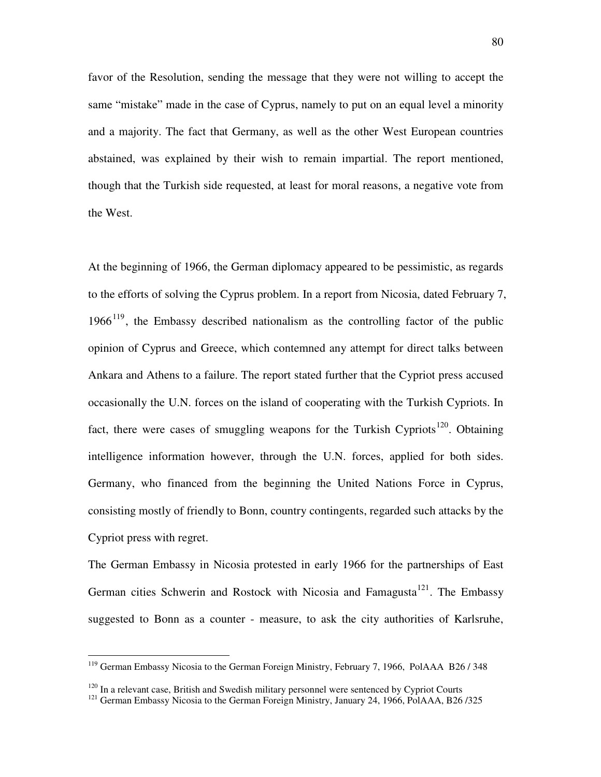favor of the Resolution, sending the message that they were not willing to accept the same "mistake" made in the case of Cyprus, namely to put on an equal level a minority and a majority. The fact that Germany, as well as the other West European countries abstained, was explained by their wish to remain impartial. The report mentioned, though that the Turkish side requested, at least for moral reasons, a negative vote from the West.

At the beginning of 1966, the German diplomacy appeared to be pessimistic, as regards to the efforts of solving the Cyprus problem. In a report from Nicosia, dated February 7,  $1966<sup>119</sup>$ , the Embassy described nationalism as the controlling factor of the public opinion of Cyprus and Greece, which contemned any attempt for direct talks between Ankara and Athens to a failure. The report stated further that the Cypriot press accused occasionally the U.N. forces on the island of cooperating with the Turkish Cypriots. In fact, there were cases of smuggling weapons for the Turkish Cypriots<sup>120</sup>. Obtaining intelligence information however, through the U.N. forces, applied for both sides. Germany, who financed from the beginning the United Nations Force in Cyprus, consisting mostly of friendly to Bonn, country contingents, regarded such attacks by the Cypriot press with regret.

The German Embassy in Nicosia protested in early 1966 for the partnerships of East German cities Schwerin and Rostock with Nicosia and Famagusta<sup>121</sup>. The Embassy suggested to Bonn as a counter - measure, to ask the city authorities of Karlsruhe,

 $119$  German Embassy Nicosia to the German Foreign Ministry, February 7, 1966, PolAAA B26/348

 $120$  In a relevant case, British and Swedish military personnel were sentenced by Cypriot Courts

<sup>&</sup>lt;sup>121</sup> German Embassy Nicosia to the German Foreign Ministry, January 24, 1966, PolAAA, B26 /325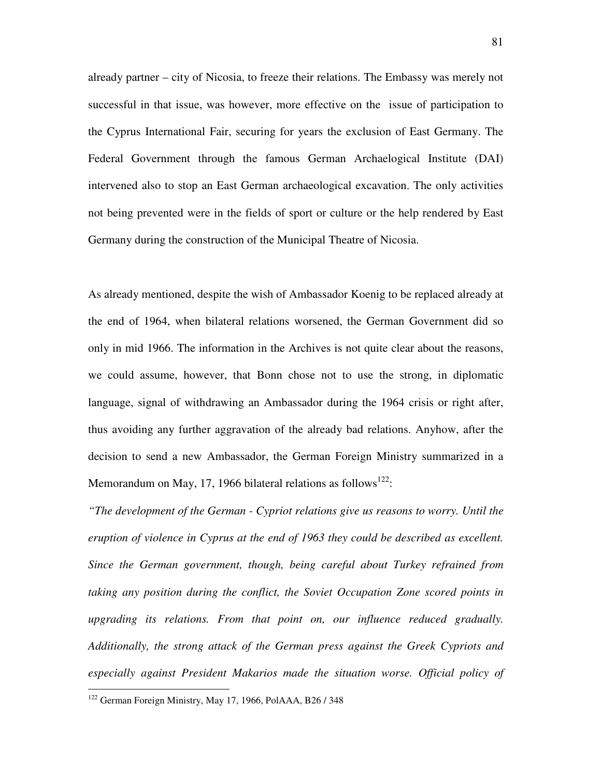already partner – city of Nicosia, to freeze their relations. The Embassy was merely not successful in that issue, was however, more effective on the issue of participation to the Cyprus International Fair, securing for years the exclusion of East Germany. The Federal Government through the famous German Archaelogical Institute (DAI) intervened also to stop an East German archaeological excavation. The only activities not being prevented were in the fields of sport or culture or the help rendered by East Germany during the construction of the Municipal Theatre of Nicosia.

As already mentioned, despite the wish of Ambassador Koenig to be replaced already at the end of 1964, when bilateral relations worsened, the German Government did so only in mid 1966. The information in the Archives is not quite clear about the reasons, we could assume, however, that Bonn chose not to use the strong, in diplomatic language, signal of withdrawing an Ambassador during the 1964 crisis or right after, thus avoiding any further aggravation of the already bad relations. Anyhow, after the decision to send a new Ambassador, the German Foreign Ministry summarized in a Memorandum on May, 17, 1966 bilateral relations as follows $^{122}$ :

*"The development of the German - Cypriot relations give us reasons to worry. Until the eruption of violence in Cyprus at the end of 1963 they could be described as excellent. Since the German government, though, being careful about Turkey refrained from taking any position during the conflict, the Soviet Occupation Zone scored points in upgrading its relations. From that point on, our influence reduced gradually. Additionally, the strong attack of the German press against the Greek Cypriots and*  especially against President Makarios made the situation worse. Official policy of

<sup>&</sup>lt;sup>122</sup> German Foreign Ministry, May 17, 1966, PolAAA, B26 / 348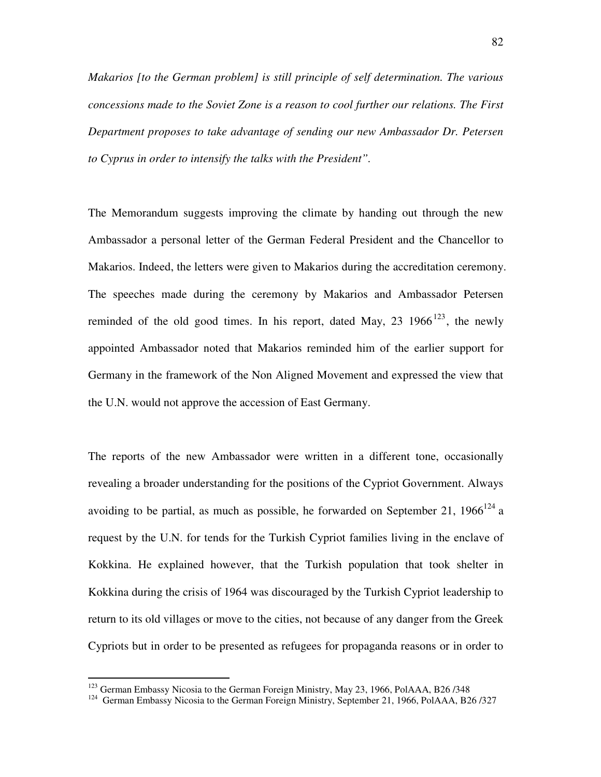*Makarios [to the German problem] is still principle of self determination. The various concessions made to the Soviet Zone is a reason to cool further our relations. The First Department proposes to take advantage of sending our new Ambassador Dr. Petersen to Cyprus in order to intensify the talks with the President".* 

The Memorandum suggests improving the climate by handing out through the new Ambassador a personal letter of the German Federal President and the Chancellor to Makarios. Indeed, the letters were given to Makarios during the accreditation ceremony. The speeches made during the ceremony by Makarios and Ambassador Petersen reminded of the old good times. In his report, dated May, 23  $1966^{123}$ , the newly appointed Ambassador noted that Makarios reminded him of the earlier support for Germany in the framework of the Non Aligned Movement and expressed the view that the U.N. would not approve the accession of East Germany.

The reports of the new Ambassador were written in a different tone, occasionally revealing a broader understanding for the positions of the Cypriot Government. Always avoiding to be partial, as much as possible, he forwarded on September 21,  $1966^{124}$  a request by the U.N. for tends for the Turkish Cypriot families living in the enclave of Kokkina. He explained however, that the Turkish population that took shelter in Kokkina during the crisis of 1964 was discouraged by the Turkish Cypriot leadership to return to its old villages or move to the cities, not because of any danger from the Greek Cypriots but in order to be presented as refugees for propaganda reasons or in order to

<sup>&</sup>lt;sup>123</sup> German Embassy Nicosia to the German Foreign Ministry, May 23, 1966, PolAAA, B26/348

<sup>&</sup>lt;sup>124</sup> German Embassy Nicosia to the German Foreign Ministry, September 21, 1966, PolAAA, B26 /327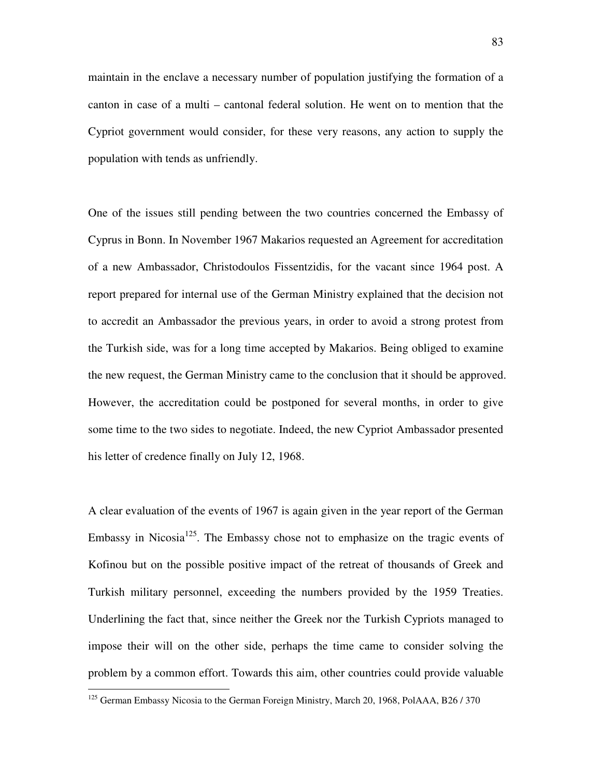maintain in the enclave a necessary number of population justifying the formation of a canton in case of a multi – cantonal federal solution. He went on to mention that the Cypriot government would consider, for these very reasons, any action to supply the population with tends as unfriendly.

One of the issues still pending between the two countries concerned the Embassy of Cyprus in Bonn. In November 1967 Makarios requested an Agreement for accreditation of a new Ambassador, Christodoulos Fissentzidis, for the vacant since 1964 post. A report prepared for internal use of the German Ministry explained that the decision not to accredit an Ambassador the previous years, in order to avoid a strong protest from the Turkish side, was for a long time accepted by Makarios. Being obliged to examine the new request, the German Ministry came to the conclusion that it should be approved. However, the accreditation could be postponed for several months, in order to give some time to the two sides to negotiate. Indeed, the new Cypriot Ambassador presented his letter of credence finally on July 12, 1968.

A clear evaluation of the events of 1967 is again given in the year report of the German Embassy in Nicosia<sup>125</sup>. The Embassy chose not to emphasize on the tragic events of Kofinou but on the possible positive impact of the retreat of thousands of Greek and Turkish military personnel, exceeding the numbers provided by the 1959 Treaties. Underlining the fact that, since neither the Greek nor the Turkish Cypriots managed to impose their will on the other side, perhaps the time came to consider solving the problem by a common effort. Towards this aim, other countries could provide valuable

<sup>&</sup>lt;sup>125</sup> German Embassy Nicosia to the German Foreign Ministry, March 20, 1968, PolAAA, B26 / 370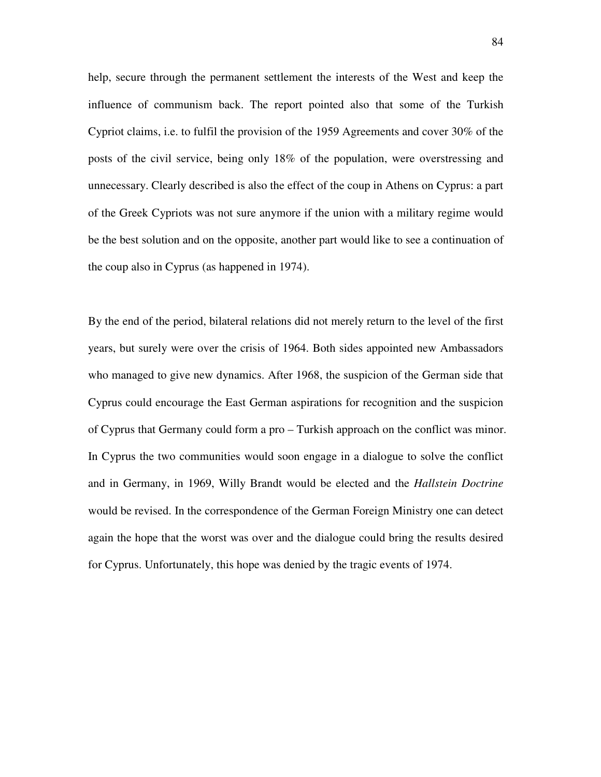help, secure through the permanent settlement the interests of the West and keep the influence of communism back. The report pointed also that some of the Turkish Cypriot claims, i.e. to fulfil the provision of the 1959 Agreements and cover 30% of the posts of the civil service, being only 18% of the population, were overstressing and unnecessary. Clearly described is also the effect of the coup in Athens on Cyprus: a part of the Greek Cypriots was not sure anymore if the union with a military regime would be the best solution and on the opposite, another part would like to see a continuation of the coup also in Cyprus (as happened in 1974).

By the end of the period, bilateral relations did not merely return to the level of the first years, but surely were over the crisis of 1964. Both sides appointed new Ambassadors who managed to give new dynamics. After 1968, the suspicion of the German side that Cyprus could encourage the East German aspirations for recognition and the suspicion of Cyprus that Germany could form a pro – Turkish approach on the conflict was minor. In Cyprus the two communities would soon engage in a dialogue to solve the conflict and in Germany, in 1969, Willy Brandt would be elected and the *Hallstein Doctrine*  would be revised. In the correspondence of the German Foreign Ministry one can detect again the hope that the worst was over and the dialogue could bring the results desired for Cyprus. Unfortunately, this hope was denied by the tragic events of 1974.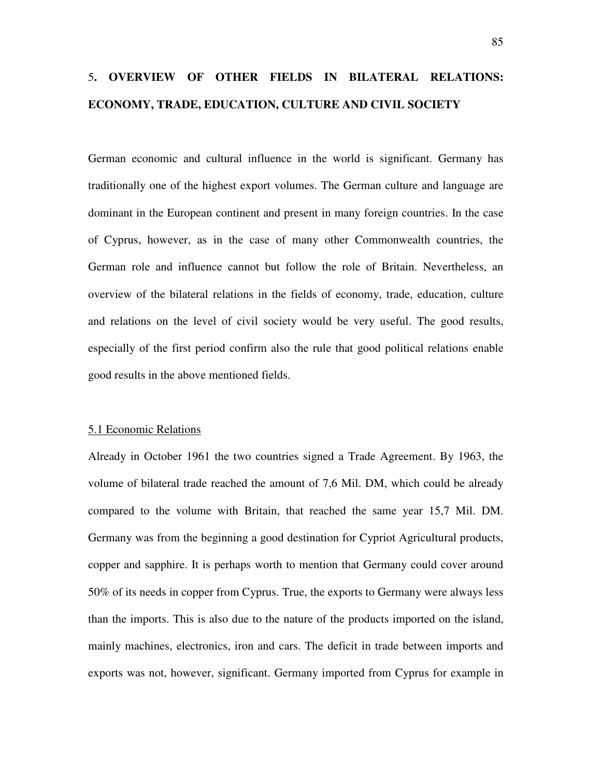# 5**. OVERVIEW OF OTHER FIELDS IN BILATERAL RELATIONS: ECONOMY, TRADE, EDUCATION, CULTURE AND CIVIL SOCIETY**

German economic and cultural influence in the world is significant. Germany has traditionally one of the highest export volumes. The German culture and language are dominant in the European continent and present in many foreign countries. In the case of Cyprus, however, as in the case of many other Commonwealth countries, the German role and influence cannot but follow the role of Britain. Nevertheless, an overview of the bilateral relations in the fields of economy, trade, education, culture and relations on the level of civil society would be very useful. The good results, especially of the first period confirm also the rule that good political relations enable good results in the above mentioned fields.

#### 5.1 Economic Relations

Already in October 1961 the two countries signed a Trade Agreement. By 1963, the volume of bilateral trade reached the amount of 7,6 Mil. DM, which could be already compared to the volume with Britain, that reached the same year 15,7 Mil. DM. Germany was from the beginning a good destination for Cypriot Agricultural products, copper and sapphire. It is perhaps worth to mention that Germany could cover around 50% of its needs in copper from Cyprus. True, the exports to Germany were always less than the imports. This is also due to the nature of the products imported on the island, mainly machines, electronics, iron and cars. The deficit in trade between imports and exports was not, however, significant. Germany imported from Cyprus for example in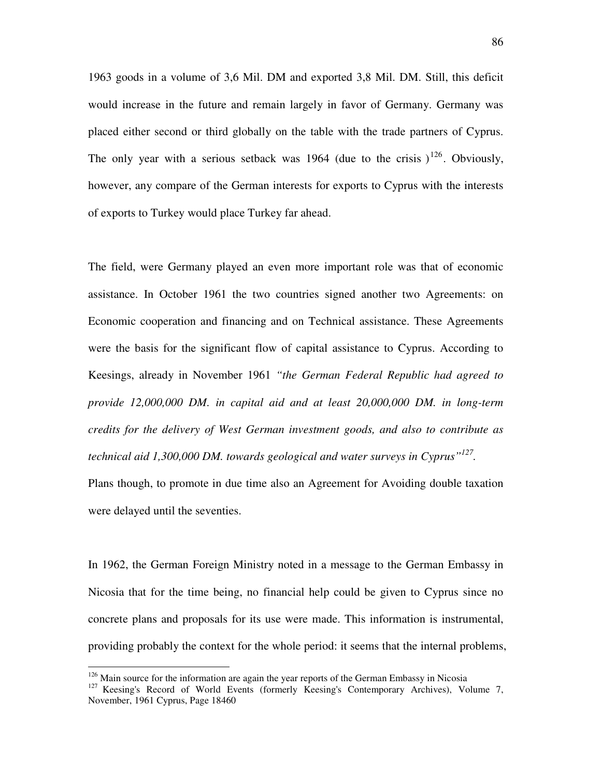1963 goods in a volume of 3,6 Mil. DM and exported 3,8 Mil. DM. Still, this deficit would increase in the future and remain largely in favor of Germany. Germany was placed either second or third globally on the table with the trade partners of Cyprus. The only year with a serious setback was 1964 (due to the crisis  $1^{126}$ . Obviously, however, any compare of the German interests for exports to Cyprus with the interests of exports to Turkey would place Turkey far ahead.

The field, were Germany played an even more important role was that of economic assistance. In October 1961 the two countries signed another two Agreements: on Economic cooperation and financing and on Technical assistance. These Agreements were the basis for the significant flow of capital assistance to Cyprus. According to Keesings, already in November 1961 *"the German Federal Republic had agreed to provide 12,000,000 DM. in capital aid and at least 20,000,000 DM. in long-term credits for the delivery of West German investment goods, and also to contribute as technical aid 1,300,000 DM. towards geological and water surveys in Cyprus"<sup>127</sup> .* 

Plans though, to promote in due time also an Agreement for Avoiding double taxation were delayed until the seventies.

In 1962, the German Foreign Ministry noted in a message to the German Embassy in Nicosia that for the time being, no financial help could be given to Cyprus since no concrete plans and proposals for its use were made. This information is instrumental, providing probably the context for the whole period: it seems that the internal problems,

 $126$  Main source for the information are again the year reports of the German Embassy in Nicosia

<sup>&</sup>lt;sup>127</sup> Keesing's Record of World Events (formerly Keesing's Contemporary Archives), Volume 7, November, 1961 Cyprus, Page 18460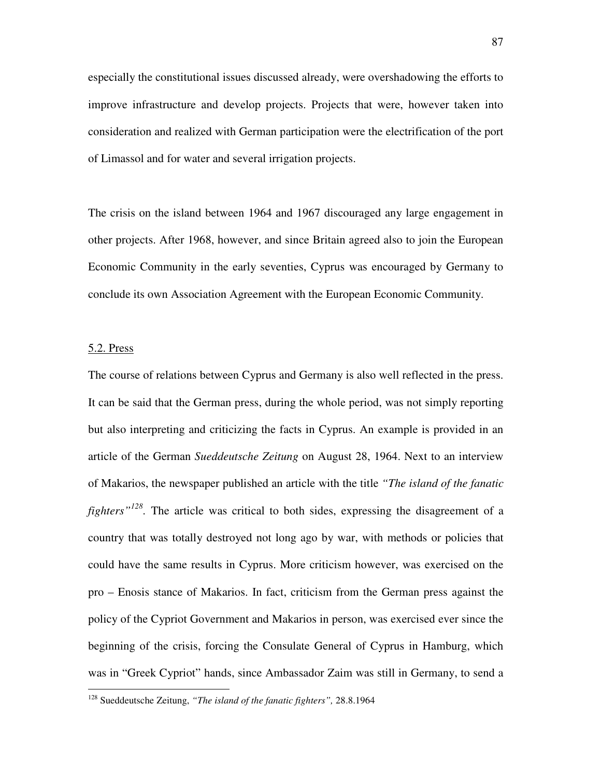especially the constitutional issues discussed already, were overshadowing the efforts to improve infrastructure and develop projects. Projects that were, however taken into consideration and realized with German participation were the electrification of the port of Limassol and for water and several irrigation projects.

The crisis on the island between 1964 and 1967 discouraged any large engagement in other projects. After 1968, however, and since Britain agreed also to join the European Economic Community in the early seventies, Cyprus was encouraged by Germany to conclude its own Association Agreement with the European Economic Community.

#### 5.2. Press

 $\overline{a}$ 

The course of relations between Cyprus and Germany is also well reflected in the press. It can be said that the German press, during the whole period, was not simply reporting but also interpreting and criticizing the facts in Cyprus. An example is provided in an article of the German *Sueddeutsche Zeitung* on August 28, 1964. Next to an interview of Makarios, the newspaper published an article with the title *"The island of the fanatic fighters"<sup>128</sup> .* The article was critical to both sides, expressing the disagreement of a country that was totally destroyed not long ago by war, with methods or policies that could have the same results in Cyprus. More criticism however, was exercised on the pro – Enosis stance of Makarios. In fact, criticism from the German press against the policy of the Cypriot Government and Makarios in person, was exercised ever since the beginning of the crisis, forcing the Consulate General of Cyprus in Hamburg, which was in "Greek Cypriot" hands, since Ambassador Zaim was still in Germany, to send a

<sup>128</sup> Sueddeutsche Zeitung, *"The island of the fanatic fighters",* 28.8.1964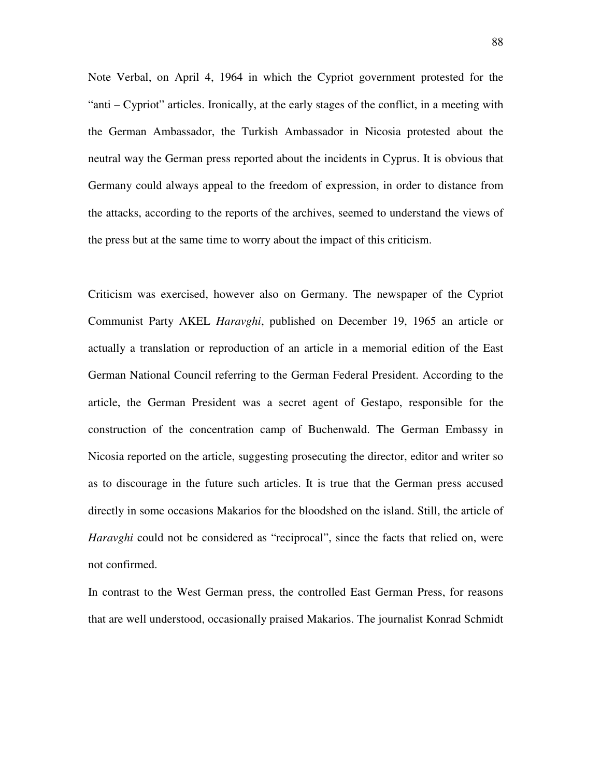Note Verbal, on April 4, 1964 in which the Cypriot government protested for the "anti – Cypriot" articles. Ironically, at the early stages of the conflict, in a meeting with the German Ambassador, the Turkish Ambassador in Nicosia protested about the neutral way the German press reported about the incidents in Cyprus. It is obvious that Germany could always appeal to the freedom of expression, in order to distance from the attacks, according to the reports of the archives, seemed to understand the views of the press but at the same time to worry about the impact of this criticism.

Criticism was exercised, however also on Germany. The newspaper of the Cypriot Communist Party AKEL *Haravghi*, published on December 19, 1965 an article or actually a translation or reproduction of an article in a memorial edition of the East German National Council referring to the German Federal President. According to the article, the German President was a secret agent of Gestapo, responsible for the construction of the concentration camp of Buchenwald. The German Embassy in Nicosia reported on the article, suggesting prosecuting the director, editor and writer so as to discourage in the future such articles. It is true that the German press accused directly in some occasions Makarios for the bloodshed on the island. Still, the article of *Haravghi* could not be considered as "reciprocal", since the facts that relied on, were not confirmed.

In contrast to the West German press, the controlled East German Press, for reasons that are well understood, occasionally praised Makarios. The journalist Konrad Schmidt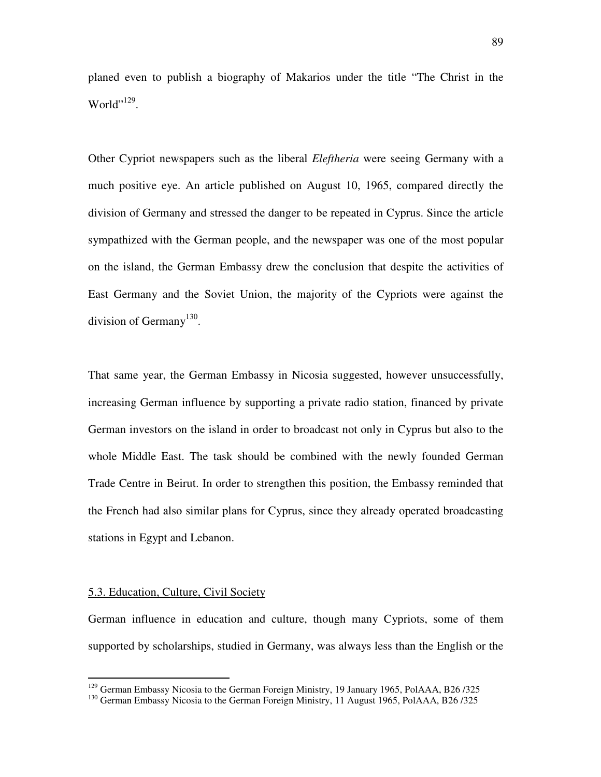planed even to publish a biography of Makarios under the title "The Christ in the World"<sup>129</sup>.

Other Cypriot newspapers such as the liberal *Eleftheria* were seeing Germany with a much positive eye. An article published on August 10, 1965, compared directly the division of Germany and stressed the danger to be repeated in Cyprus. Since the article sympathized with the German people, and the newspaper was one of the most popular on the island, the German Embassy drew the conclusion that despite the activities of East Germany and the Soviet Union, the majority of the Cypriots were against the division of Germany<sup>130</sup>.

That same year, the German Embassy in Nicosia suggested, however unsuccessfully, increasing German influence by supporting a private radio station, financed by private German investors on the island in order to broadcast not only in Cyprus but also to the whole Middle East. The task should be combined with the newly founded German Trade Centre in Beirut. In order to strengthen this position, the Embassy reminded that the French had also similar plans for Cyprus, since they already operated broadcasting stations in Egypt and Lebanon.

#### 5.3. Education, Culture, Civil Society

 $\overline{a}$ 

German influence in education and culture, though many Cypriots, some of them supported by scholarships, studied in Germany, was always less than the English or the

 $129$  German Embassy Nicosia to the German Foreign Ministry, 19 January 1965, PolAAA, B26/325

<sup>&</sup>lt;sup>130</sup> German Embassy Nicosia to the German Foreign Ministry, 11 August 1965, PolAAA, B26/325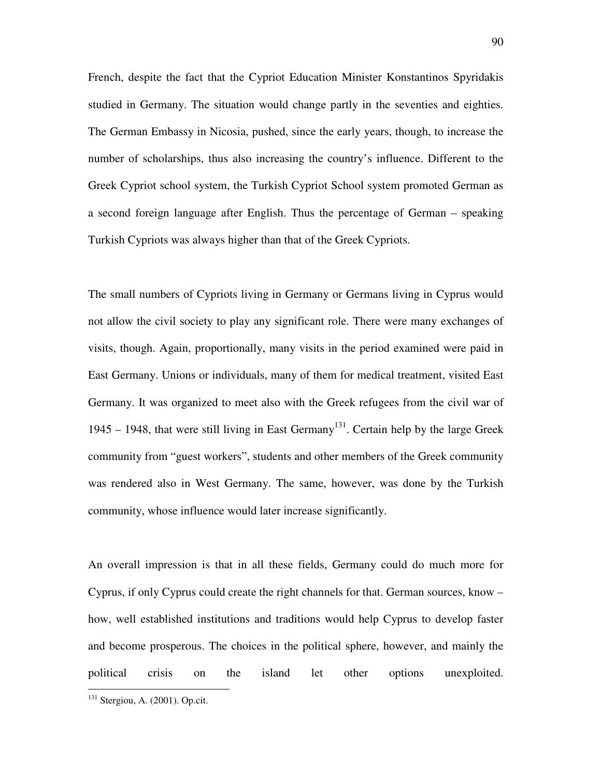French, despite the fact that the Cypriot Education Minister Konstantinos Spyridakis studied in Germany. The situation would change partly in the seventies and eighties. The German Embassy in Nicosia, pushed, since the early years, though, to increase the number of scholarships, thus also increasing the country's influence. Different to the Greek Cypriot school system, the Turkish Cypriot School system promoted German as a second foreign language after English. Thus the percentage of German – speaking Turkish Cypriots was always higher than that of the Greek Cypriots.

The small numbers of Cypriots living in Germany or Germans living in Cyprus would not allow the civil society to play any significant role. There were many exchanges of visits, though. Again, proportionally, many visits in the period examined were paid in East Germany. Unions or individuals, many of them for medical treatment, visited East Germany. It was organized to meet also with the Greek refugees from the civil war of 1945 – 1948, that were still living in East Germany<sup>131</sup>. Certain help by the large Greek community from "guest workers", students and other members of the Greek community was rendered also in West Germany. The same, however, was done by the Turkish community, whose influence would later increase significantly.

An overall impression is that in all these fields, Germany could do much more for Cyprus, if only Cyprus could create the right channels for that. German sources, know – how, well established institutions and traditions would help Cyprus to develop faster and become prosperous. The choices in the political sphere, however, and mainly the political crisis on the island let other options unexploited.

<sup>131</sup> Stergiou, A. (2001). Op.cit.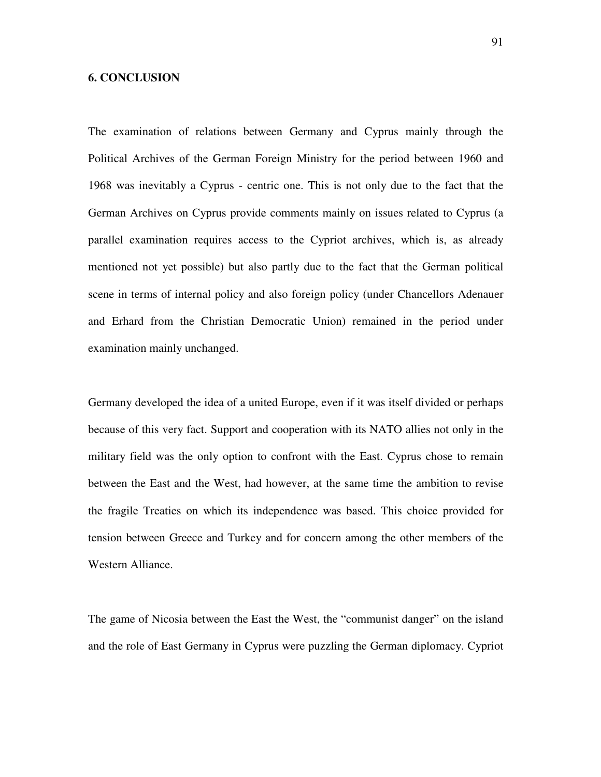## **6. CONCLUSION**

The examination of relations between Germany and Cyprus mainly through the Political Archives of the German Foreign Ministry for the period between 1960 and 1968 was inevitably a Cyprus - centric one. This is not only due to the fact that the German Archives on Cyprus provide comments mainly on issues related to Cyprus (a parallel examination requires access to the Cypriot archives, which is, as already mentioned not yet possible) but also partly due to the fact that the German political scene in terms of internal policy and also foreign policy (under Chancellors Adenauer and Erhard from the Christian Democratic Union) remained in the period under examination mainly unchanged.

Germany developed the idea of a united Europe, even if it was itself divided or perhaps because of this very fact. Support and cooperation with its NATO allies not only in the military field was the only option to confront with the East. Cyprus chose to remain between the East and the West, had however, at the same time the ambition to revise the fragile Treaties on which its independence was based. This choice provided for tension between Greece and Turkey and for concern among the other members of the Western Alliance.

The game of Nicosia between the East the West, the "communist danger" on the island and the role of East Germany in Cyprus were puzzling the German diplomacy. Cypriot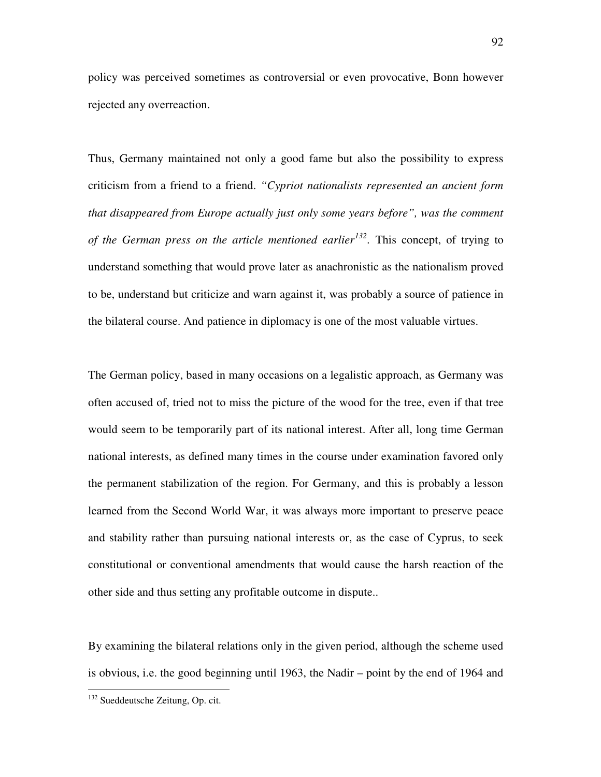policy was perceived sometimes as controversial or even provocative, Bonn however rejected any overreaction.

Thus, Germany maintained not only a good fame but also the possibility to express criticism from a friend to a friend. *"Cypriot nationalists represented an ancient form that disappeared from Europe actually just only some years before", was the comment of the German press on the article mentioned earlier<sup>132</sup>. This concept, of trying to* understand something that would prove later as anachronistic as the nationalism proved to be, understand but criticize and warn against it, was probably a source of patience in the bilateral course. And patience in diplomacy is one of the most valuable virtues.

The German policy, based in many occasions on a legalistic approach, as Germany was often accused of, tried not to miss the picture of the wood for the tree, even if that tree would seem to be temporarily part of its national interest. After all, long time German national interests, as defined many times in the course under examination favored only the permanent stabilization of the region. For Germany, and this is probably a lesson learned from the Second World War, it was always more important to preserve peace and stability rather than pursuing national interests or, as the case of Cyprus, to seek constitutional or conventional amendments that would cause the harsh reaction of the other side and thus setting any profitable outcome in dispute..

By examining the bilateral relations only in the given period, although the scheme used is obvious, i.e. the good beginning until 1963, the Nadir – point by the end of 1964 and

<sup>&</sup>lt;sup>132</sup> Sueddeutsche Zeitung, Op. cit.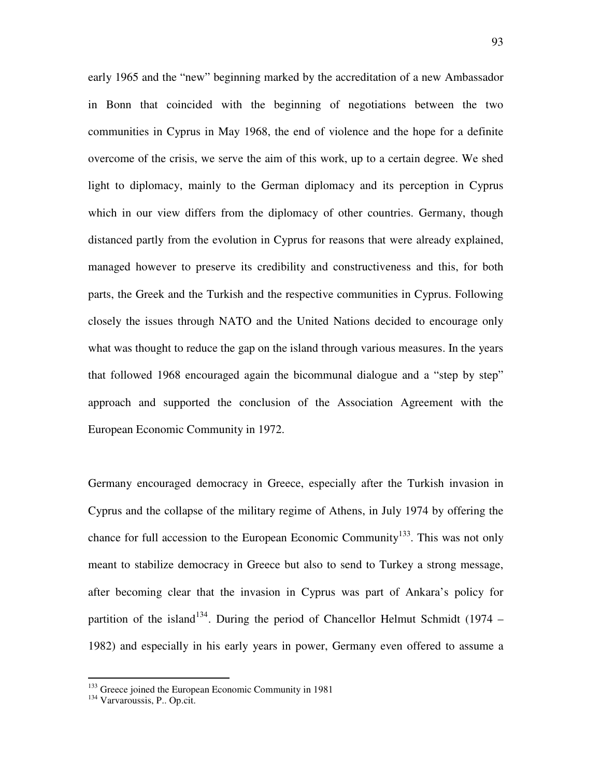early 1965 and the "new" beginning marked by the accreditation of a new Ambassador in Bonn that coincided with the beginning of negotiations between the two communities in Cyprus in May 1968, the end of violence and the hope for a definite overcome of the crisis, we serve the aim of this work, up to a certain degree. We shed light to diplomacy, mainly to the German diplomacy and its perception in Cyprus which in our view differs from the diplomacy of other countries. Germany, though distanced partly from the evolution in Cyprus for reasons that were already explained, managed however to preserve its credibility and constructiveness and this, for both parts, the Greek and the Turkish and the respective communities in Cyprus. Following closely the issues through NATO and the United Nations decided to encourage only what was thought to reduce the gap on the island through various measures. In the years that followed 1968 encouraged again the bicommunal dialogue and a "step by step" approach and supported the conclusion of the Association Agreement with the European Economic Community in 1972.

Germany encouraged democracy in Greece, especially after the Turkish invasion in Cyprus and the collapse of the military regime of Athens, in July 1974 by offering the chance for full accession to the European Economic Community<sup>133</sup>. This was not only meant to stabilize democracy in Greece but also to send to Turkey a strong message, after becoming clear that the invasion in Cyprus was part of Ankara's policy for partition of the island<sup>134</sup>. During the period of Chancellor Helmut Schmidt (1974 – 1982) and especially in his early years in power, Germany even offered to assume a

<sup>&</sup>lt;sup>133</sup> Greece joined the European Economic Community in 1981

<sup>&</sup>lt;sup>134</sup> Varvaroussis, P.. Op.cit.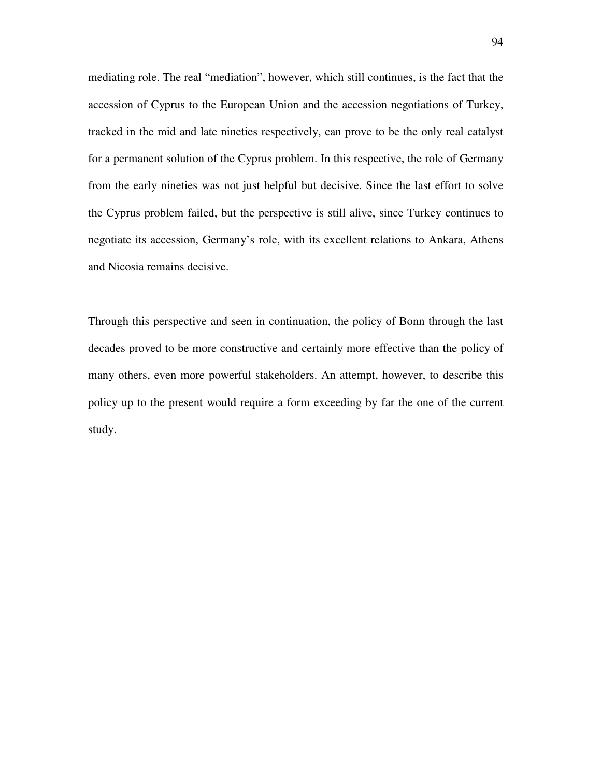mediating role. The real "mediation", however, which still continues, is the fact that the accession of Cyprus to the European Union and the accession negotiations of Turkey, tracked in the mid and late nineties respectively, can prove to be the only real catalyst for a permanent solution of the Cyprus problem. In this respective, the role of Germany from the early nineties was not just helpful but decisive. Since the last effort to solve the Cyprus problem failed, but the perspective is still alive, since Turkey continues to negotiate its accession, Germany's role, with its excellent relations to Ankara, Athens and Nicosia remains decisive.

Through this perspective and seen in continuation, the policy of Bonn through the last decades proved to be more constructive and certainly more effective than the policy of many others, even more powerful stakeholders. An attempt, however, to describe this policy up to the present would require a form exceeding by far the one of the current study.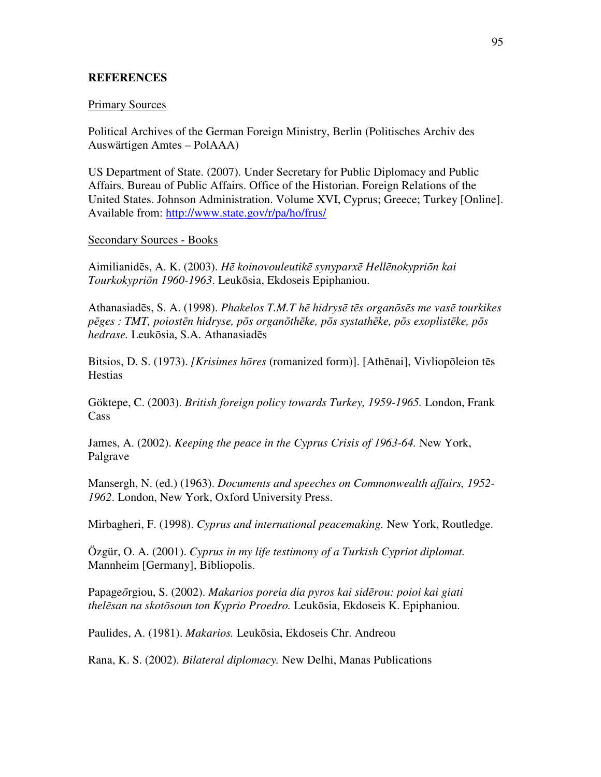# **REFERENCES**

### Primary Sources

Political Archives of the German Foreign Ministry, Berlin (Politisches Archiv des Auswärtigen Amtes – PolAAA)

US Department of State. (2007). Under Secretary for Public Diplomacy and Public Affairs. Bureau of Public Affairs. Office of the Historian. Foreign Relations of the United States. Johnson Administration. Volume XVI, Cyprus; Greece; Turkey [Online]. Available from: http://www.state.gov/r/pa/ho/frus/

## Secondary Sources - Books

Aimilianidēs, A. K. (2003). *H*ē *koinovouleutik*ē *synyparx*ē *Hell*ē*nokypri*ō*n kai Tourkokypri*ō*n 1960-1963*. Leukōsia, Ekdoseis Epiphaniou.

Athanasiadēs, S. A. (1998). *Phakelos T.M.T h*ē *hidrys*ē *t*ē*s organ*ō*s*ē*s me vas*ē *tourkikes p*ē*ges : TMT, poiost*ē*n hidryse, p*ō*s organ*ō*th*ē*ke, p*ō*s systath*ē*ke, p*ō*s exoplist*ē*ke, p*ō*s hedrase.* Leukōsia, S.A. Athanasiadēs

Bitsios, D. S. (1973). *[Krisimes h*ō*res* (romanized form)]. [Athēnai], Vivliopōleion tēs **Hestias** 

Göktepe, C. (2003). *British foreign policy towards Turkey, 1959-1965.* London, Frank **Cass** 

James, A. (2002). *Keeping the peace in the Cyprus Crisis of 1963-64.* New York, Palgrave

Mansergh, N. (ed.) (1963). *Documents and speeches on Commonwealth affairs, 1952- 1962*. London, New York, Oxford University Press.

Mirbagheri, F. (1998). *Cyprus and international peacemaking.* New York, Routledge.

Özgür, O. A. (2001). *Cyprus in my life testimony of a Turkish Cypriot diplomat.*  Mannheim [Germany], Bibliopolis.

Papageōrgiou, S. (2002). *Makarios poreia dia pyros kai sid*ē*rou: poioi kai giati thel*ē*san na skot*ō*soun ton Kyprio Proedro.* Leukōsia, Ekdoseis K. Epiphaniou.

Paulides, A. (1981). *Makarios.* Leukōsia, Ekdoseis Chr. Andreou

Rana, K. S. (2002). *Bilateral diplomacy.* New Delhi, Manas Publications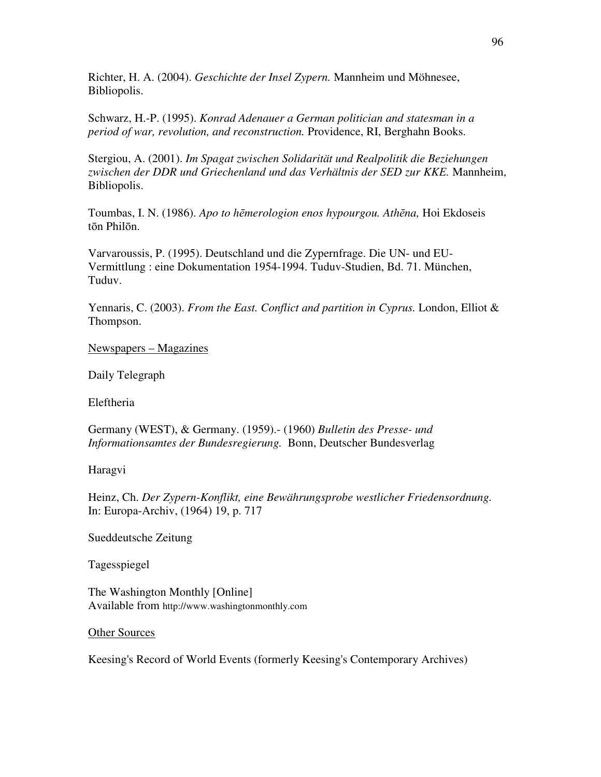Richter, H. A. (2004). *Geschichte der Insel Zypern.* Mannheim und Möhnesee, Bibliopolis.

Schwarz, H.-P. (1995). *Konrad Adenauer a German politician and statesman in a period of war, revolution, and reconstruction.* Providence, RI, Berghahn Books.

Stergiou, A. (2001). *Im Spagat zwischen Solidarität und Realpolitik die Beziehungen zwischen der DDR und Griechenland und das Verhältnis der SED zur KKE.* Mannheim, Bibliopolis.

Toumbas, I. N. (1986). *Apo to h*ē*merologion enos hypourgou. Ath*ē*na,* Hoi Ekdoseis tōn Philōn.

Varvaroussis, P. (1995). Deutschland und die Zypernfrage. Die UN- und EU-Vermittlung : eine Dokumentation 1954-1994. Tuduv-Studien, Bd. 71. München, Tuduv.

Yennaris, C. (2003). *From the East. Conflict and partition in Cyprus.* London, Elliot & Thompson.

# Newspapers – Magazines

Daily Telegraph

Eleftheria

Germany (WEST), & Germany. (1959).- (1960) *Bulletin des Presse- und Informationsamtes der Bundesregierung.* Bonn, Deutscher Bundesverlag

Haragvi

Heinz, Ch. *Der Zypern-Konflikt, eine Bewährungsprobe westlicher Friedensordnung.* In: Europa-Archiv, (1964) 19, p. 717

Sueddeutsche Zeitung

Tagesspiegel

The Washington Monthly [Online] Available from http://www.washingtonmonthly.com

Other Sources

Keesing's Record of World Events (formerly Keesing's Contemporary Archives)